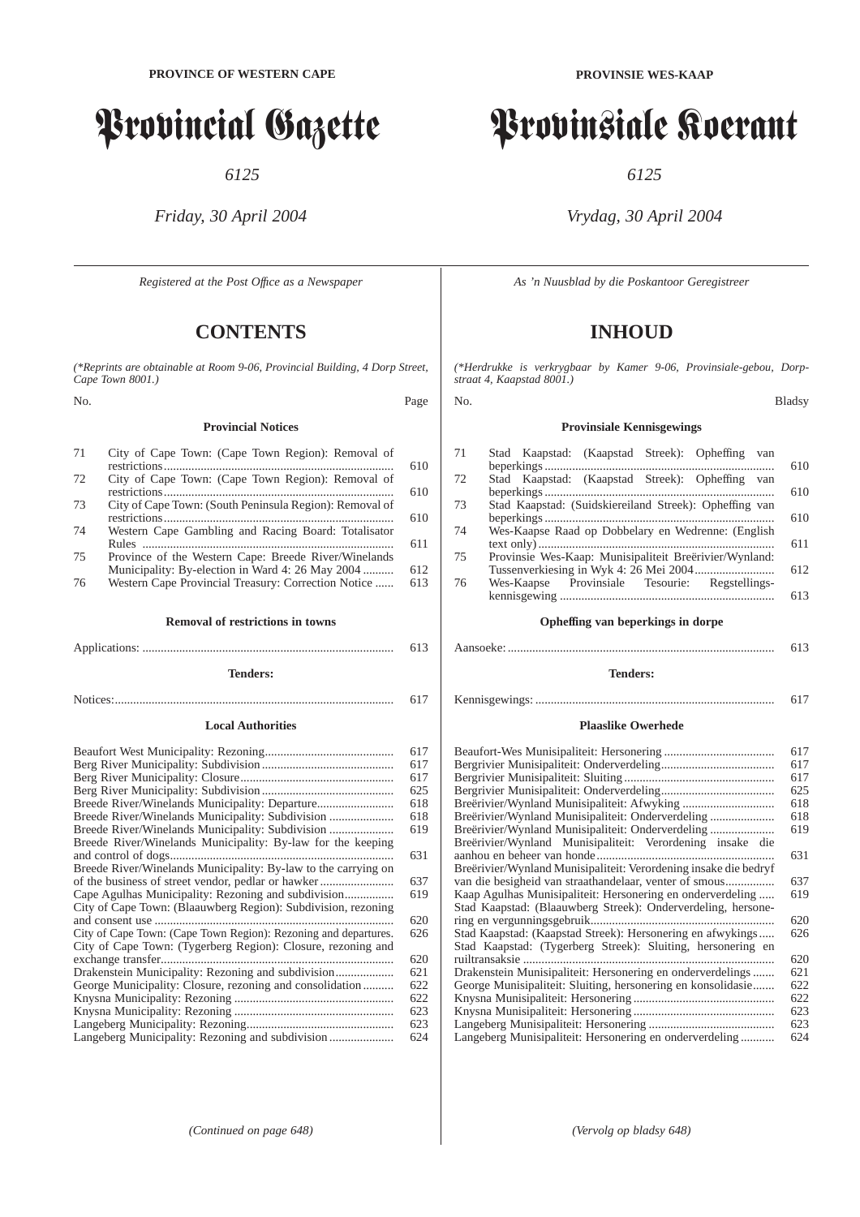# Provincial Gazette

*6125*

*Friday, 30 April 2004*

*Registered at the Post Offıce as a Newspaper*

# **CONTENTS**

*(\*Reprints are obtainable at Room 9-06, Provincial Building, 4 Dorp Street, Cape Town 8001.)*

No. Page

## **Provincial Notices**

| 71 | City of Cape Town: (Cape Town Region): Removal of       |     |
|----|---------------------------------------------------------|-----|
|    |                                                         | 610 |
| 72 | City of Cape Town: (Cape Town Region): Removal of       |     |
|    |                                                         | 610 |
| 73 | City of Cape Town: (South Peninsula Region): Removal of |     |
|    |                                                         | 610 |
| 74 | Western Cape Gambling and Racing Board: Totalisator     |     |
|    |                                                         | 611 |
| 75 | Province of the Western Cape: Breede River/Winelands    |     |

Municipality: By-election in Ward 4: 26 May 2004 ............ 612<br>Western Cape Provincial Treasury: Correction Notice ...... 613 76 Western Cape Provincial Treasury: Correction Notice ......

**Removal of restrictions in towns**

Applications: .................................................................................. 613 **Tenders:**

Notices:........................................................................................... 617

## **Local Authorities**

|                                                                 | 617 |
|-----------------------------------------------------------------|-----|
|                                                                 | 617 |
|                                                                 | 617 |
|                                                                 | 625 |
|                                                                 | 618 |
|                                                                 | 618 |
|                                                                 | 619 |
| Breede River/Winelands Municipality: By-law for the keeping     |     |
|                                                                 | 631 |
| Breede River/Winelands Municipality: By-law to the carrying on  |     |
| of the business of street vendor, pedlar or hawker              | 637 |
|                                                                 | 619 |
| City of Cape Town: (Blaauwberg Region): Subdivision, rezoning   |     |
|                                                                 | 620 |
| City of Cape Town: (Cape Town Region): Rezoning and departures. | 626 |
| City of Cape Town: (Tygerberg Region): Closure, rezoning and    |     |
| exchange transfer                                               | 620 |
|                                                                 | 621 |
| George Municipality: Closure, rezoning and consolidation        | 622 |
|                                                                 | 622 |
|                                                                 | 623 |
|                                                                 | 623 |
|                                                                 | 624 |
|                                                                 |     |

# Provinsiale Koerant

*6125*

## *Vrydag, 30 April 2004*

*As 'n Nuusblad by die Poskantoor Geregistreer*

# **INHOUD**

*(\*Herdrukke is verkrygbaar by Kamer 9-06, Provinsiale-gebou, Dorpstraat 4, Kaapstad 8001.)*

No. Bladsy

## **Provinsiale Kennisgewings**

| 71 | Stad Kaapstad: (Kaapstad Streek): Opheffing<br>van     |     |
|----|--------------------------------------------------------|-----|
|    |                                                        | 610 |
| 72 | Stad Kaapstad: (Kaapstad Streek): Opheffing van        |     |
|    |                                                        | 610 |
| 73 | Stad Kaapstad: (Suidskiereiland Streek): Opheffing van |     |
|    |                                                        | 610 |
| 74 | Wes-Kaapse Raad op Dobbelary en Wedrenne: (English     |     |
|    |                                                        | 611 |
| 75 | Provinsie Wes-Kaap: Munisipaliteit Breërivier/Wynland: |     |
|    |                                                        | 612 |
| 76 | Wes-Kaapse Provinsiale Tesourie: Regstellings-         |     |
|    |                                                        | 613 |
|    |                                                        |     |
|    | Opheffing van beperkings in dorpe                      |     |
|    |                                                        |     |
|    |                                                        | 613 |
|    |                                                        |     |

**Tenders:**

```
Kennisgewings: .............................................................................. 617
```
## **Plaaslike Owerhede**

|                                                                  | 617 |
|------------------------------------------------------------------|-----|
|                                                                  | 617 |
|                                                                  | 617 |
|                                                                  | 625 |
|                                                                  | 618 |
| Breërivier/Wynland Munisipaliteit: Onderverdeling                | 618 |
| Breërivier/Wynland Munisipaliteit: Onderverdeling                | 619 |
| Breërivier/Wynland Munisipaliteit: Verordening insake die        |     |
|                                                                  | 631 |
| Breërivier/Wynland Munisipaliteit: Verordening insake die bedryf |     |
|                                                                  | 637 |
| Kaap Agulhas Munisipaliteit: Hersonering en onderverdeling       | 619 |
| Stad Kaapstad: (Blaauwberg Streek): Onderverdeling, hersone-     |     |
|                                                                  | 620 |
| Stad Kaapstad: (Kaapstad Streek): Hersonering en afwykings       | 626 |
| Stad Kaapstad: (Tygerberg Streek): Sluiting, hersonering en      |     |
|                                                                  | 620 |
| Drakenstein Munisipaliteit: Hersonering en onderverdelings       | 621 |
| George Munisipaliteit: Sluiting, hersonering en konsolidasie     | 622 |
|                                                                  | 622 |
|                                                                  | 623 |
|                                                                  | 623 |
| Langeberg Munisipaliteit: Hersonering en onderverdeling          | 624 |
|                                                                  |     |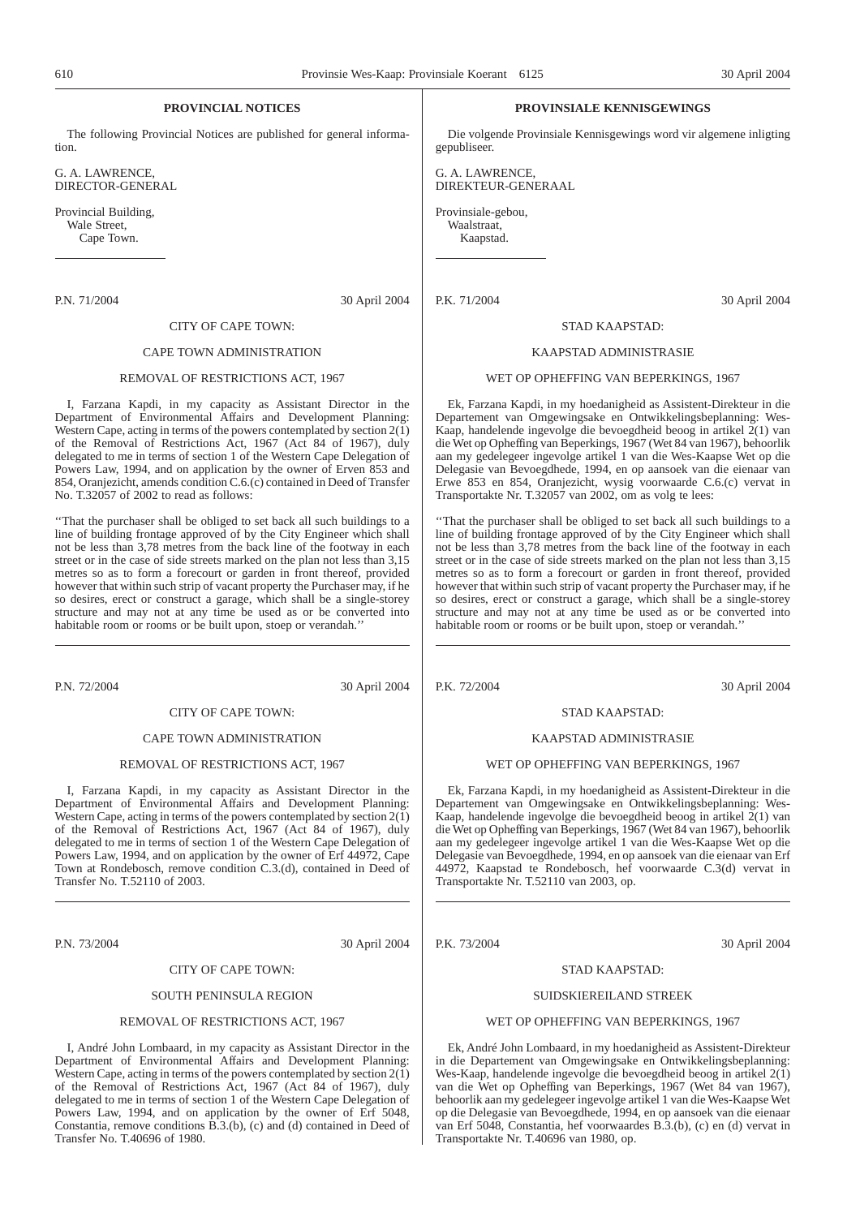## **PROVINCIAL NOTICES**

The following Provincial Notices are published for general information.

G. A. LAWRENCE, DIRECTOR-GENERAL

Provincial Building, Wale Street, Cape Town.

P.N. 71/2004 30 April 2004

## CITY OF CAPE TOWN: CAPE TOWN ADMINISTRATION

## REMOVAL OF RESTRICTIONS ACT, 1967

I, Farzana Kapdi, in my capacity as Assistant Director in the Department of Environmental Affairs and Development Planning: Western Cape, acting in terms of the powers contemplated by section  $2(1)$ of the Removal of Restrictions Act, 1967 (Act 84 of 1967), duly delegated to me in terms of section 1 of the Western Cape Delegation of Powers Law, 1994, and on application by the owner of Erven 853 and 854, Oranjezicht, amends condition C.6.(c) contained in Deed of Transfer No. T.32057 of 2002 to read as follows:

''That the purchaser shall be obliged to set back all such buildings to a line of building frontage approved of by the City Engineer which shall not be less than 3,78 metres from the back line of the footway in each street or in the case of side streets marked on the plan not less than 3,15 metres so as to form a forecourt or garden in front thereof, provided however that within such strip of vacant property the Purchaser may, if he so desires, erect or construct a garage, which shall be a single-storey structure and may not at any time be used as or be converted into habitable room or rooms or be built upon, stoep or verandah.''

P.N. 72/2004 30 April 2004

## CITY OF CAPE TOWN:

## CAPE TOWN ADMINISTRATION

## REMOVAL OF RESTRICTIONS ACT, 1967

I, Farzana Kapdi, in my capacity as Assistant Director in the Department of Environmental Affairs and Development Planning: Western Cape, acting in terms of the powers contemplated by section  $2(\overline{1})$ of the Removal of Restrictions Act, 1967 (Act 84 of 1967), duly delegated to me in terms of section 1 of the Western Cape Delegation of Powers Law, 1994, and on application by the owner of Erf 44972, Cape Town at Rondebosch, remove condition C.3.(d), contained in Deed of Transfer No. T.52110 of 2003.

P.N. 73/2004 30 April 2004

## CITY OF CAPE TOWN:

## SOUTH PENINSULA REGION

## REMOVAL OF RESTRICTIONS ACT, 1967

I, André John Lombaard, in my capacity as Assistant Director in the Department of Environmental Affairs and Development Planning: Western Cape, acting in terms of the powers contemplated by section  $2(\overline{1})$ of the Removal of Restrictions Act, 1967 (Act 84 of 1967), duly delegated to me in terms of section 1 of the Western Cape Delegation of Powers Law, 1994, and on application by the owner of Erf 5048, Constantia, remove conditions B.3.(b), (c) and (d) contained in Deed of Transfer No. T.40696 of 1980.

## **PROVINSIALE KENNISGEWINGS**

Die volgende Provinsiale Kennisgewings word vir algemene inligting gepubliseer.

G. A. LAWRENCE, DIREKTEUR-GENERAAL

Provinsiale-gebou, Waalstraat, Kaapstad.

P.K. 71/2004 30 April 2004

## STAD KAAPSTAD: KAAPSTAD ADMINISTRASIE

#### WET OP OPHEFFING VAN BEPERKINGS, 1967

Ek, Farzana Kapdi, in my hoedanigheid as Assistent-Direkteur in die Departement van Omgewingsake en Ontwikkelingsbeplanning: Wes-Kaap, handelende ingevolge die bevoegdheid beoog in artikel 2(1) van die Wet op Opheffing van Beperkings, 1967 (Wet 84 van 1967), behoorlik aan my gedelegeer ingevolge artikel 1 van die Wes-Kaapse Wet op die Delegasie van Bevoegdhede, 1994, en op aansoek van die eienaar van Erwe 853 en 854, Oranjezicht, wysig voorwaarde C.6.(c) vervat in Transportakte Nr. T.32057 van 2002, om as volg te lees:

''That the purchaser shall be obliged to set back all such buildings to a line of building frontage approved of by the City Engineer which shall not be less than 3,78 metres from the back line of the footway in each street or in the case of side streets marked on the plan not less than 3,15 metres so as to form a forecourt or garden in front thereof, provided however that within such strip of vacant property the Purchaser may, if he so desires, erect or construct a garage, which shall be a single-storey structure and may not at any time be used as or be converted into habitable room or rooms or be built upon, stoep or verandah.''

P.K. 72/2004 30 April 2004

## STAD KAAPSTAD:

## KAAPSTAD ADMINISTRASIE

## WET OP OPHEFFING VAN BEPERKINGS, 1967

Ek, Farzana Kapdi, in my hoedanigheid as Assistent-Direkteur in die Departement van Omgewingsake en Ontwikkelingsbeplanning: Wes-Kaap, handelende ingevolge die bevoegdheid beoog in artikel 2(1) van die Wet op Opheffing van Beperkings, 1967 (Wet 84 van 1967), behoorlik aan my gedelegeer ingevolge artikel 1 van die Wes-Kaapse Wet op die Delegasie van Bevoegdhede, 1994, en op aansoek van die eienaar van Erf 44972, Kaapstad te Rondebosch, hef voorwaarde C.3(d) vervat in Transportakte Nr. T.52110 van 2003, op.

P.K. 73/2004 30 April 2004

## STAD KAAPSTAD:

## SUIDSKIEREILAND STREEK

#### WET OP OPHEFFING VAN BEPERKINGS, 1967

Ek, André John Lombaard, in my hoedanigheid as Assistent-Direkteur in die Departement van Omgewingsake en Ontwikkelingsbeplanning: Wes-Kaap, handelende ingevolge die bevoegdheid beoog in artikel 2(1) van die Wet op Opheffing van Beperkings, 1967 (Wet 84 van 1967), behoorlik aan my gedelegeer ingevolge artikel 1 van die Wes-Kaapse Wet op die Delegasie van Bevoegdhede, 1994, en op aansoek van die eienaar van Erf 5048, Constantia, hef voorwaardes B.3.(b), (c) en (d) vervat in Transportakte Nr. T.40696 van 1980, op.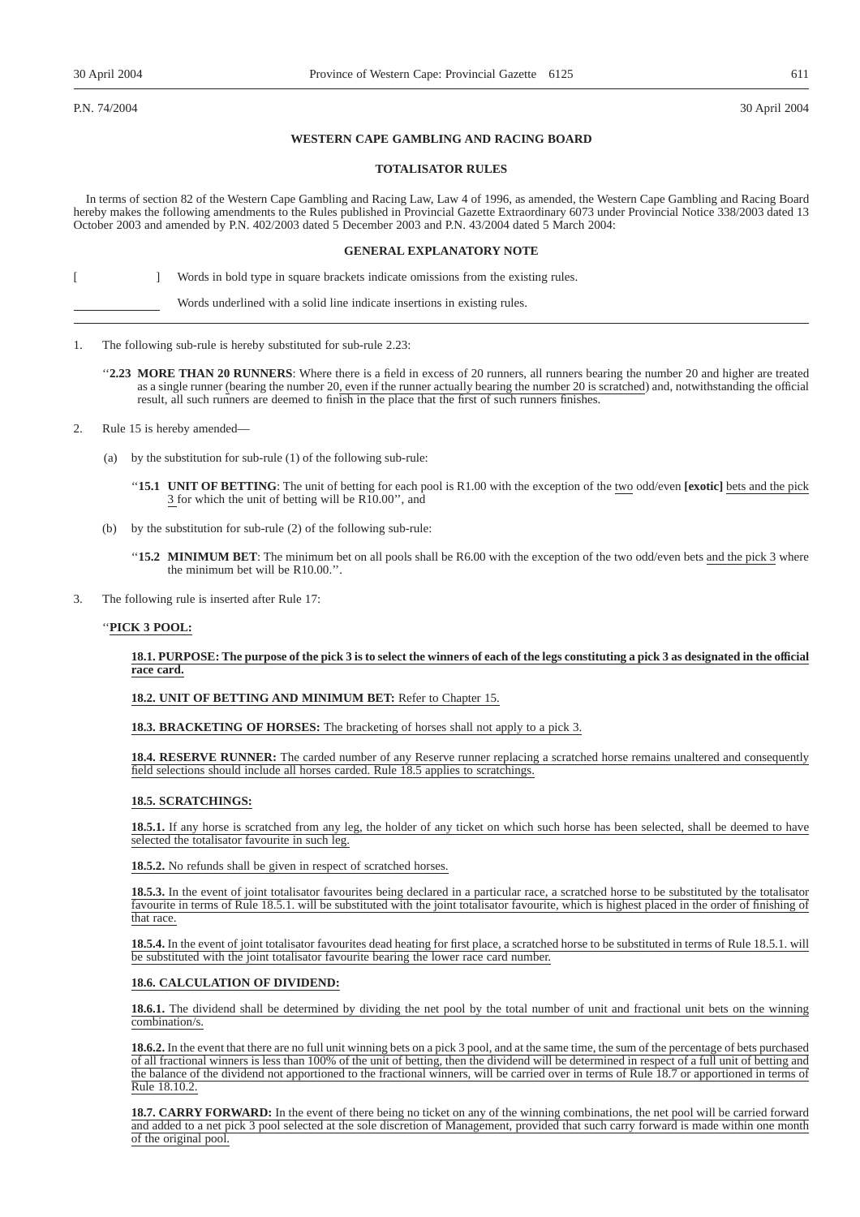P.N. 74/2004 30 April 2004

## **WESTERN CAPE GAMBLING AND RACING BOARD**

## **TOTALISATOR RULES**

In terms of section 82 of the Western Cape Gambling and Racing Law, Law 4 of 1996, as amended, the Western Cape Gambling and Racing Board hereby makes the following amendments to the Rules published in Provincial Gazette Extraordinary 6073 under Provincial Notice 338/2003 dated 13 October 2003 and amended by P.N. 402/2003 dated 5 December 2003 and P.N. 43/2004 dated 5 March 2004:

## **GENERAL EXPLANATORY NOTE**

[ ] Words in bold type in square brackets indicate omissions from the existing rules.

Words underlined with a solid line indicate insertions in existing rules.

- 1. The following sub-rule is hereby substituted for sub-rule 2.23:
	- "2.23 MORE THAN 20 RUNNERS: Where there is a field in excess of 20 runners, all runners bearing the number 20 and higher are treated as a single runner (bearing the number 20, even if the runner actually bearing the number 20 is scratched) and, notwithstanding the official result, all such runners are deemed to finish in the place that the first of such runners finishes.
- 2. Rule 15 is hereby amended—
	- (a) by the substitution for sub-rule (1) of the following sub-rule:
		- ''**15.1 UNIT OF BETTING**: The unit of betting for each pool is R1.00 with the exception of the two odd/even **[exotic]** bets and the pick 3 for which the unit of betting will be R10.00'', and
	- (b) by the substitution for sub-rule (2) of the following sub-rule:
		- ''**15.2 MINIMUM BET**: The minimum bet on all pools shall be R6.00 with the exception of the two odd/even bets and the pick 3 where the minimum bet will be R10.00.''.
- 3. The following rule is inserted after Rule 17:

## ''**PICK 3 POOL:**

## **18.1. PURPOSE: The purpose of the pick 3 is to select the winners of each of the legs constituting a pick 3 as designated in the official race card.**

**18.2. UNIT OF BETTING AND MINIMUM BET:** Refer to Chapter 15.

**18.3. BRACKETING OF HORSES:** The bracketing of horses shall not apply to a pick 3.

18.4. RESERVE RUNNER: The carded number of any Reserve runner replacing a scratched horse remains unaltered and consequently field selections should include all horses carded. Rule 18.5 applies to scratchings.

## **18.5. SCRATCHINGS:**

**18.5.1.** If any horse is scratched from any leg, the holder of any ticket on which such horse has been selected, shall be deemed to have selected the totalisator favourite in such leg.

**18.5.2.** No refunds shall be given in respect of scratched horses.

**18.5.3.** In the event of joint totalisator favourites being declared in a particular race, a scratched horse to be substituted by the totalisator favourite in terms of Rule 18.5.1. will be substituted with the joint totalisator favourite, which is highest placed in the order of finishing of that race.

**18.5.4.** In the event of joint totalisator favourites dead heating for first place, a scratched horse to be substituted in terms of Rule 18.5.1. will be substituted with the joint totalisator favourite bearing the lower race card number.

## **18.6. CALCULATION OF DIVIDEND:**

**18.6.1.** The dividend shall be determined by dividing the net pool by the total number of unit and fractional unit bets on the winning combination/s.

**18.6.2.** In the event that there are no full unit winning bets on a pick 3 pool, and at the same time, the sum of the percentage of bets purchased of all fractional winners is less than 100% of the unit of betting, then the dividend will be determined in respect of a full unit of betting and the balance of the dividend not apportioned to the fractional winners, will be carried over in terms of Rule 18.7 or apportioned in terms of Rule 18.10.2.

**18.7. CARRY FORWARD:** In the event of there being no ticket on any of the winning combinations, the net pool will be carried forward and added to a net pick 3 pool selected at the sole discretion of Management, provided that such carry forward is made within one month of the original pool.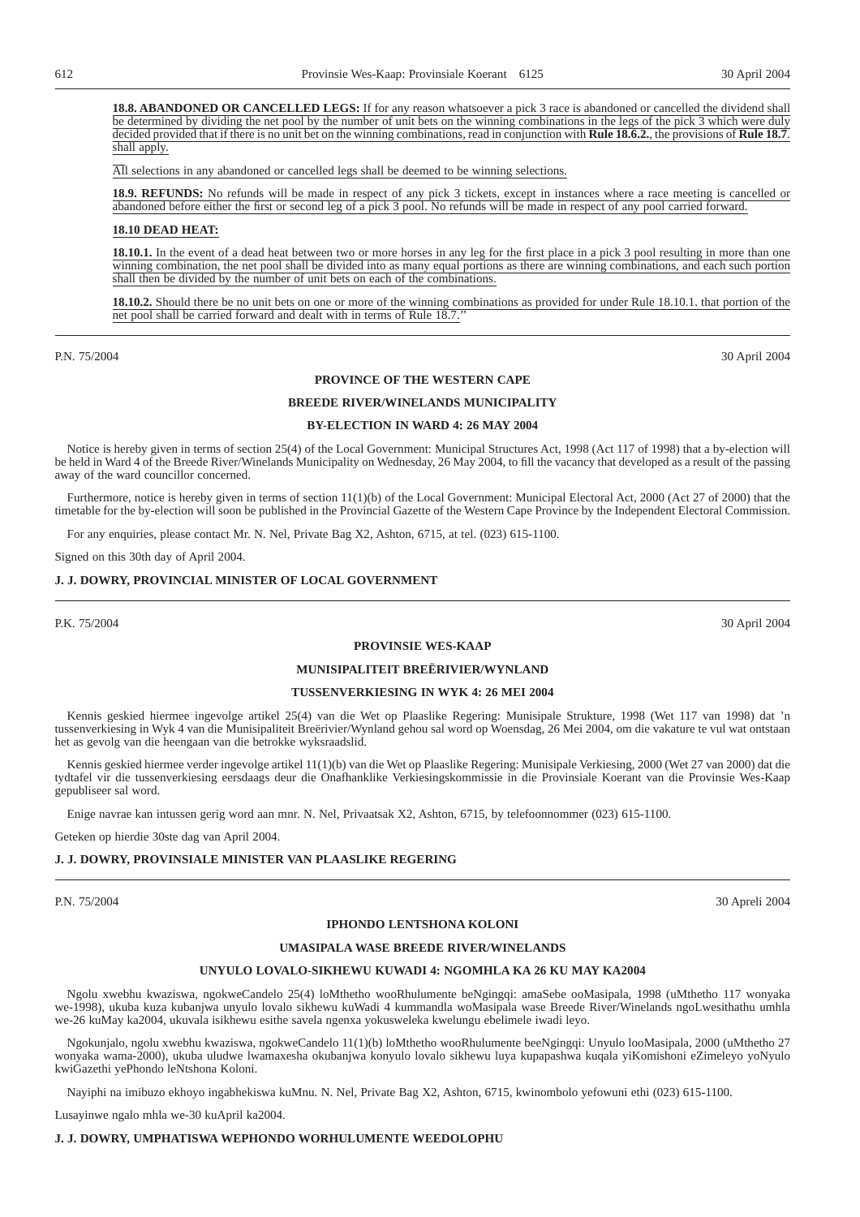**18.8. ABANDONED OR CANCELLED LEGS:** If for any reason whatsoever a pick 3 race is abandoned or cancelled the dividend shall be determined by dividing the net pool by the number of unit bets on the winning combinations in the legs of the pick 3 which were duly decided provided that if there is no unit bet on the winning combinations, read in conjunction with **Rule 18.6.2.**, the provisions of **Rule 18.7**. shall apply.

All selections in any abandoned or cancelled legs shall be deemed to be winning selections.

**18.9. REFUNDS:** No refunds will be made in respect of any pick 3 tickets, except in instances where a race meeting is cancelled or abandoned before either the first or second leg of a pick 3 pool. No refunds will be made in respect of any pool carried forward.

## **18.10 DEAD HEAT:**

**18.10.1.** In the event of a dead heat between two or more horses in any leg for the first place in a pick 3 pool resulting in more than one winning combination, the net pool shall be divided into as many equal portions as there are winning combinations, and each such portion shall then be divided by the number of unit bets on each of the combinations.

**18.10.2.** Should there be no unit bets on one or more of the winning combinations as provided for under Rule 18.10.1. that portion of the net pool shall be carried forward and dealt with in terms of Rule 18.7.''

P.N. 75/2004 30 April 2004

## **PROVINCE OF THE WESTERN CAPE**

## **BREEDE RIVER/WINELANDS MUNICIPALITY**

## **BY-ELECTION IN WARD 4: 26 MAY 2004**

Notice is hereby given in terms of section 25(4) of the Local Government: Municipal Structures Act, 1998 (Act 117 of 1998) that a by-election will be held in Ward 4 of the Breede River/Winelands Municipality on Wednesday, 26 May 2004, to fill the vacancy that developed as a result of the passing away of the ward councillor concerned.

Furthermore, notice is hereby given in terms of section 11(1)(b) of the Local Government: Municipal Electoral Act, 2000 (Act 27 of 2000) that the timetable for the by-election will soon be published in the Provincial Gazette of the Western Cape Province by the Independent Electoral Commission.

For any enquiries, please contact Mr. N. Nel, Private Bag X2, Ashton, 6715, at tel. (023) 615-1100.

Signed on this 30th day of April 2004.

## **J. J. DOWRY, PROVINCIAL MINISTER OF LOCAL GOVERNMENT**

## **PROVINSIE WES-KAAP**

## **MUNISIPALITEIT BREËRIVIER/WYNLAND**

## **TUSSENVERKIESING IN WYK 4: 26 MEI 2004**

Kennis geskied hiermee ingevolge artikel 25(4) van die Wet op Plaaslike Regering: Munisipale Strukture, 1998 (Wet 117 van 1998) dat 'n tussenverkiesing in Wyk 4 van die Munisipaliteit Breërivier/Wynland gehou sal word op Woensdag, 26 Mei 2004, om die vakature te vul wat ontstaan het as gevolg van die heengaan van die betrokke wyksraadslid.

Kennis geskied hiermee verder ingevolge artikel 11(1)(b) van die Wet op Plaaslike Regering: Munisipale Verkiesing, 2000 (Wet 27 van 2000) dat die tydtafel vir die tussenverkiesing eersdaags deur die Onafhanklike Verkiesingskommissie in die Provinsiale Koerant van die Provinsie Wes-Kaap gepubliseer sal word.

Enige navrae kan intussen gerig word aan mnr. N. Nel, Privaatsak X2, Ashton, 6715, by telefoonnommer (023) 615-1100.

Geteken op hierdie 30ste dag van April 2004.

## **J. J. DOWRY, PROVINSIALE MINISTER VAN PLAASLIKE REGERING**

P.N. 75/2004 30 Apreli 2004

## **IPHONDO LENTSHONA KOLONI**

## **UMASIPALA WASE BREEDE RIVER/WINELANDS**

## **UNYULO LOVALO-SIKHEWU KUWADI 4: NGOMHLA KA 26 KU MAY KA2004**

Ngolu xwebhu kwaziswa, ngokweCandelo 25(4) loMthetho wooRhulumente beNgingqi: amaSebe ooMasipala, 1998 (uMthetho 117 wonyaka we-1998), ukuba kuza kubanjwa unyulo lovalo sikhewu kuWadi 4 kummandla woMasipala wase Breede River/Winelands ngoLwesithathu umhla we-26 kuMay ka2004, ukuvala isikhewu esithe savela ngenxa yokusweleka kwelungu ebelimele iwadi leyo.

Ngokunjalo, ngolu xwebhu kwaziswa, ngokweCandelo 11(1)(b) loMthetho wooRhulumente beeNgingqi: Unyulo looMasipala, 2000 (uMthetho 27 wonyaka wama-2000), ukuba uludwe lwamaxesha okubanjwa konyulo lovalo sikhewu luya kupapashwa kuqala yiKomishoni eZimeleyo yoNyulo kwiGazethi yePhondo leNtshona Koloni.

Nayiphi na imibuzo ekhoyo ingabhekiswa kuMnu. N. Nel, Private Bag X2, Ashton, 6715, kwinombolo yefowuni ethi (023) 615-1100.

Lusayinwe ngalo mhla we-30 kuApril ka2004.

## **J. J. DOWRY, UMPHATISWA WEPHONDO WORHULUMENTE WEEDOLOPHU**

P.K. 75/2004 30 April 2004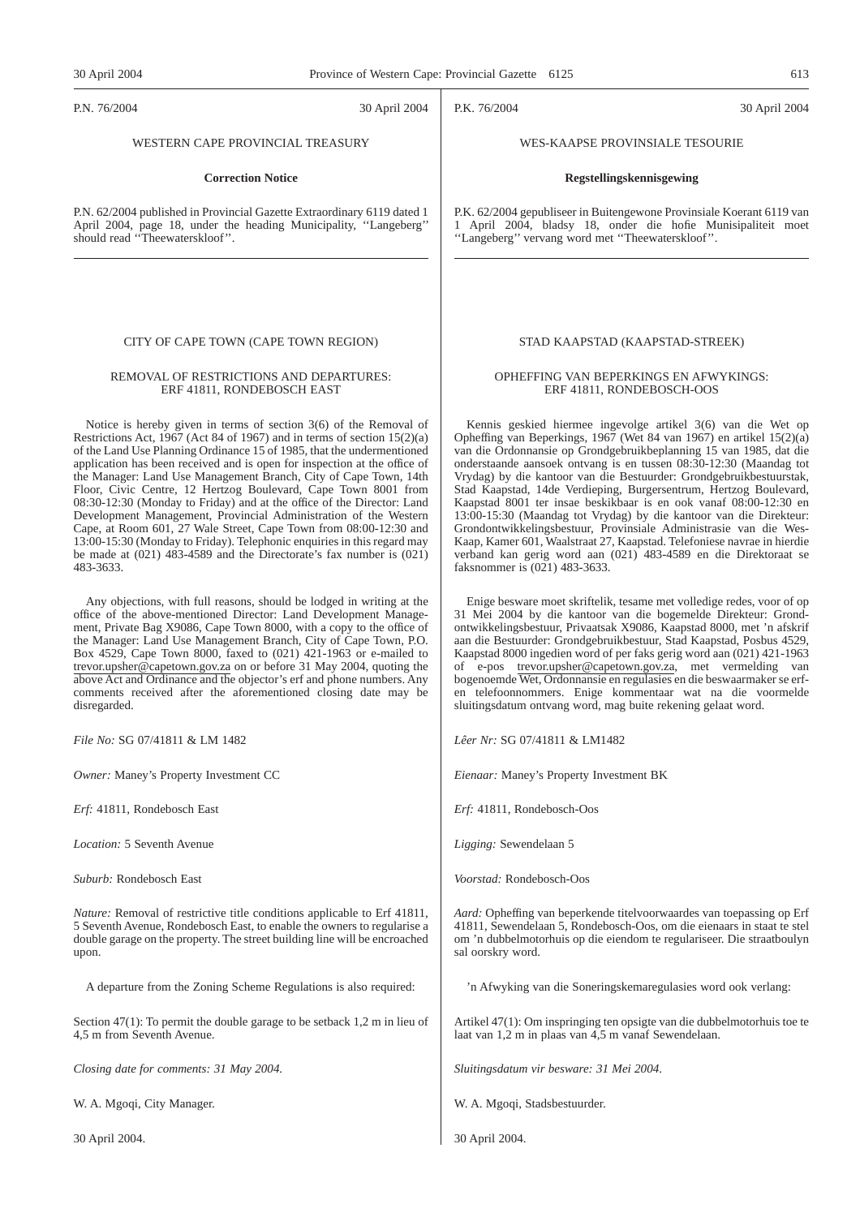P.N. 76/2004 30 April 2004

## WESTERN CAPE PROVINCIAL TREASURY

## **Correction Notice**

P.N. 62/2004 published in Provincial Gazette Extraordinary 6119 dated 1 April 2004, page 18, under the heading Municipality, ''Langeberg'' should read ''Theewaterskloof''.

## CITY OF CAPE TOWN (CAPE TOWN REGION)

## REMOVAL OF RESTRICTIONS AND DEPARTURES: ERF 41811, RONDEBOSCH EAST

Notice is hereby given in terms of section 3(6) of the Removal of Restrictions Act,  $1967$  (Act 84 of 1967) and in terms of section 15(2)(a) of the Land Use Planning Ordinance 15 of 1985, that the undermentioned application has been received and is open for inspection at the office of the Manager: Land Use Management Branch, City of Cape Town, 14th Floor, Civic Centre, 12 Hertzog Boulevard, Cape Town 8001 from 08:30-12:30 (Monday to Friday) and at the office of the Director: Land Development Management, Provincial Administration of the Western Cape, at Room 601, 27 Wale Street, Cape Town from 08:00-12:30 and 13:00-15:30 (Monday to Friday). Telephonic enquiries in this regard may be made at (021) 483-4589 and the Directorate's fax number is (021) 483-3633.

Any objections, with full reasons, should be lodged in writing at the office of the above-mentioned Director: Land Development Management, Private Bag X9086, Cape Town 8000, with a copy to the office of the Manager: Land Use Management Branch, City of Cape Town, P.O. Box 4529, Cape Town 8000, faxed to (021) 421-1963 or e-mailed to trevor.upsher@capetown.gov.za on or before 31 May 2004, quoting the above Act and Ordinance and the objector's erf and phone numbers. Any comments received after the aforementioned closing date may be disregarded.

*File No:* SG 07/41811 & LM 1482

*Owner:* Maney's Property Investment CC

*Erf:* 41811, Rondebosch East

*Location:* 5 Seventh Avenue

*Suburb:* Rondebosch East

*Nature:* Removal of restrictive title conditions applicable to Erf 41811, 5 Seventh Avenue, Rondebosch East, to enable the owners to regularise a double garage on the property. The street building line will be encroached upon.

A departure from the Zoning Scheme Regulations is also required:

Section 47(1): To permit the double garage to be setback 1,2 m in lieu of 4,5 m from Seventh Avenue.

*Closing date for comments: 31 May 2004.*

W. A. Mgoqi, City Manager.

30 April 2004.

P.K. 76/2004 30 April 2004

## WES-KAAPSE PROVINSIALE TESOURIE

## **Regstellingskennisgewing**

P.K. 62/2004 gepubliseer in Buitengewone Provinsiale Koerant 6119 van 1 April 2004, bladsy 18, onder die hofie Munisipaliteit moet ''Langeberg'' vervang word met ''Theewaterskloof''.

## STAD KAAPSTAD (KAAPSTAD-STREEK)

## OPHEFFING VAN BEPERKINGS EN AFWYKINGS: ERF 41811, RONDEBOSCH-OOS

Kennis geskied hiermee ingevolge artikel 3(6) van die Wet op Opheffing van Beperkings, 1967 (Wet 84 van 1967) en artikel 15(2)(a) van die Ordonnansie op Grondgebruikbeplanning 15 van 1985, dat die onderstaande aansoek ontvang is en tussen 08:30-12:30 (Maandag tot Vrydag) by die kantoor van die Bestuurder: Grondgebruikbestuurstak, Stad Kaapstad, 14de Verdieping, Burgersentrum, Hertzog Boulevard, Kaapstad 8001 ter insae beskikbaar is en ook vanaf 08:00-12:30 en 13:00-15:30 (Maandag tot Vrydag) by die kantoor van die Direkteur: Grondontwikkelingsbestuur, Provinsiale Administrasie van die Wes-Kaap, Kamer 601, Waalstraat 27, Kaapstad. Telefoniese navrae in hierdie verband kan gerig word aan (021) 483-4589 en die Direktoraat se faksnommer is (021) 483-3633.

Enige besware moet skriftelik, tesame met volledige redes, voor of op 31 Mei 2004 by die kantoor van die bogemelde Direkteur: Grondontwikkelingsbestuur, Privaatsak X9086, Kaapstad 8000, met 'n afskrif aan die Bestuurder: Grondgebruikbestuur, Stad Kaapstad, Posbus 4529, Kaapstad 8000 ingedien word of per faks gerig word aan (021) 421-1963 of e-pos trevor.upsher@capetown.gov.za, met vermelding van bogenoemde Wet, Ordonnansie en regulasies en die beswaarmaker se erfen telefoonnommers. Enige kommentaar wat na die voormelde sluitingsdatum ontvang word, mag buite rekening gelaat word.

*Lêer Nr:* SG 07/41811 & LM1482

*Eienaar:* Maney's Property Investment BK

*Erf:* 41811, Rondebosch-Oos

*Ligging:* Sewendelaan 5

*Voorstad:* Rondebosch-Oos

*Aard:* Opheffing van beperkende titelvoorwaardes van toepassing op Erf 41811, Sewendelaan 5, Rondebosch-Oos, om die eienaars in staat te stel om 'n dubbelmotorhuis op die eiendom te regulariseer. Die straatboulyn sal oorskry word.

'n Afwyking van die Soneringskemaregulasies word ook verlang:

Artikel 47(1): Om inspringing ten opsigte van die dubbelmotorhuis toe te laat van 1,2 m in plaas van 4,5 m vanaf Sewendelaan.

*Sluitingsdatum vir besware: 31 Mei 2004*.

W. A. Mgoqi, Stadsbestuurder.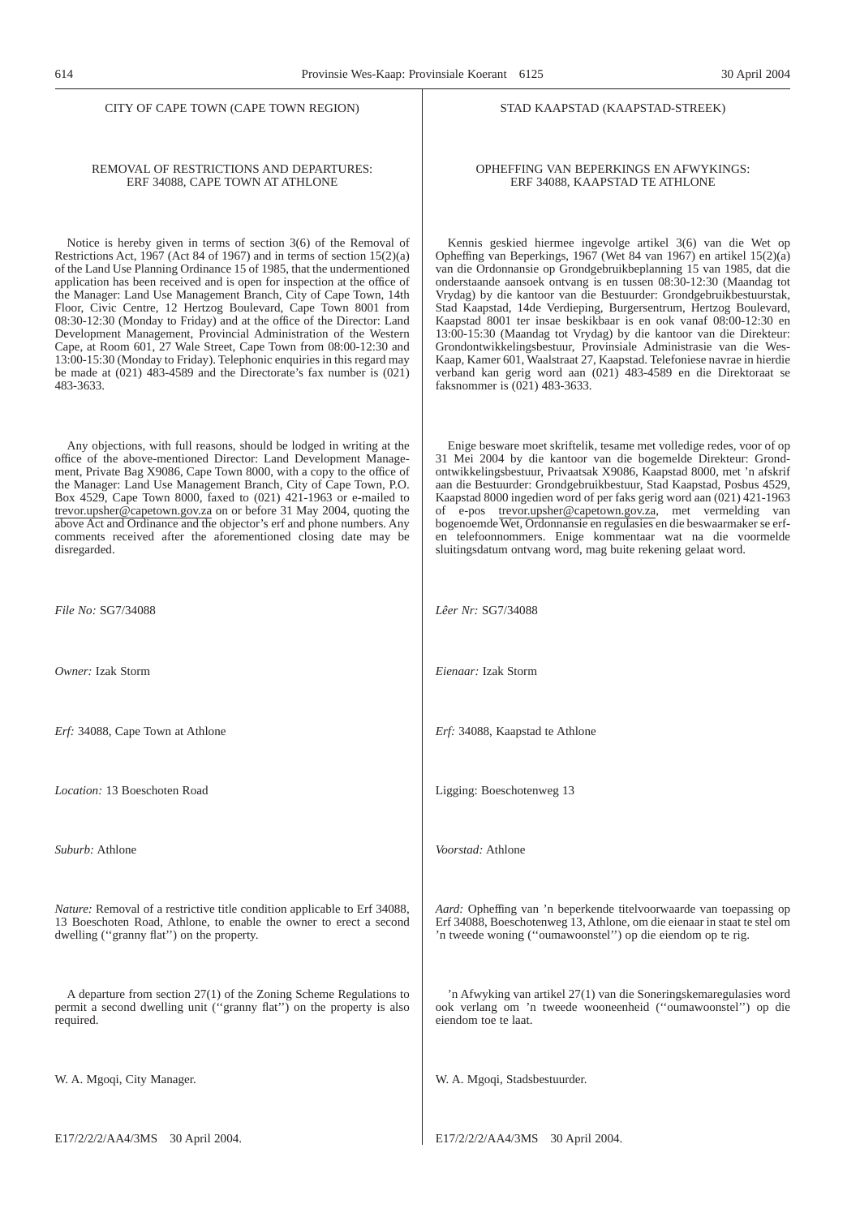## REMOVAL OF RESTRICTIONS AND DEPARTURES: ERF 34088, CAPE TOWN AT ATHLONE

Notice is hereby given in terms of section 3(6) of the Removal of Restrictions Act,  $1967$  (Act 84 of 1967) and in terms of section 15(2)(a) of the Land Use Planning Ordinance 15 of 1985, that the undermentioned application has been received and is open for inspection at the office of the Manager: Land Use Management Branch, City of Cape Town, 14th Floor, Civic Centre, 12 Hertzog Boulevard, Cape Town 8001 from 08:30-12:30 (Monday to Friday) and at the office of the Director: Land Development Management, Provincial Administration of the Western Cape, at Room 601, 27 Wale Street, Cape Town from 08:00-12:30 and 13:00-15:30 (Monday to Friday). Telephonic enquiries in this regard may be made at (021) 483-4589 and the Directorate's fax number is (021) 483-3633.

Any objections, with full reasons, should be lodged in writing at the office of the above-mentioned Director: Land Development Management, Private Bag X9086, Cape Town 8000, with a copy to the office of the Manager: Land Use Management Branch, City of Cape Town, P.O. Box 4529, Cape Town 8000, faxed to (021) 421-1963 or e-mailed to trevor.upsher@capetown.gov.za on or before 31 May 2004, quoting the above Act and Ordinance and the objector's erf and phone numbers. Any comments received after the aforementioned closing date may be disregarded.

*File No:* SG7/34088

*Owner:* Izak Storm

*Erf:* 34088, Cape Town at Athlone

*Location:* 13 Boeschoten Road

*Suburb:* Athlone

*Nature:* Removal of a restrictive title condition applicable to Erf 34088, 13 Boeschoten Road, Athlone, to enable the owner to erect a second dwelling (''granny flat'') on the property.

A departure from section 27(1) of the Zoning Scheme Regulations to permit a second dwelling unit (''granny flat'') on the property is also required.

W. A. Mgoqi, City Manager.

## STAD KAAPSTAD (KAAPSTAD-STREEK)

## OPHEFFING VAN BEPERKINGS EN AFWYKINGS: ERF 34088, KAAPSTAD TE ATHLONE

Kennis geskied hiermee ingevolge artikel 3(6) van die Wet op Opheffing van Beperkings, 1967 (Wet 84 van 1967) en artikel 15(2)(a) van die Ordonnansie op Grondgebruikbeplanning 15 van 1985, dat die onderstaande aansoek ontvang is en tussen 08:30-12:30 (Maandag tot Vrydag) by die kantoor van die Bestuurder: Grondgebruikbestuurstak, Stad Kaapstad, 14de Verdieping, Burgersentrum, Hertzog Boulevard, Kaapstad 8001 ter insae beskikbaar is en ook vanaf 08:00-12:30 en 13:00-15:30 (Maandag tot Vrydag) by die kantoor van die Direkteur: Grondontwikkelingsbestuur, Provinsiale Administrasie van die Wes-Kaap, Kamer 601, Waalstraat 27, Kaapstad. Telefoniese navrae in hierdie verband kan gerig word aan (021) 483-4589 en die Direktoraat se faksnommer is (021) 483-3633.

Enige besware moet skriftelik, tesame met volledige redes, voor of op 31 Mei 2004 by die kantoor van die bogemelde Direkteur: Grondontwikkelingsbestuur, Privaatsak X9086, Kaapstad 8000, met 'n afskrif aan die Bestuurder: Grondgebruikbestuur, Stad Kaapstad, Posbus 4529, Kaapstad 8000 ingedien word of per faks gerig word aan (021) 421-1963 of e-pos trevor.upsher@capetown.gov.za, met vermelding van bogenoemde Wet, Ordonnansie en regulasies en die beswaarmaker se erfen telefoonnommers. Enige kommentaar wat na die voormelde sluitingsdatum ontvang word, mag buite rekening gelaat word.

*Lêer Nr:* SG7/34088

*Eienaar:* Izak Storm

*Erf:* 34088, Kaapstad te Athlone

Ligging: Boeschotenweg 13

*Voorstad:* Athlone

*Aard:* Opheffing van 'n beperkende titelvoorwaarde van toepassing op Erf 34088, Boeschotenweg 13, Athlone, om die eienaar in staat te stel om 'n tweede woning (''oumawoonstel'') op die eiendom op te rig.

'n Afwyking van artikel 27(1) van die Soneringskemaregulasies word ook verlang om 'n tweede wooneenheid (''oumawoonstel'') op die eiendom toe te laat.

W. A. Mgoqi, Stadsbestuurder.

E17/2/2/2/AA4/3MS 30 April 2004.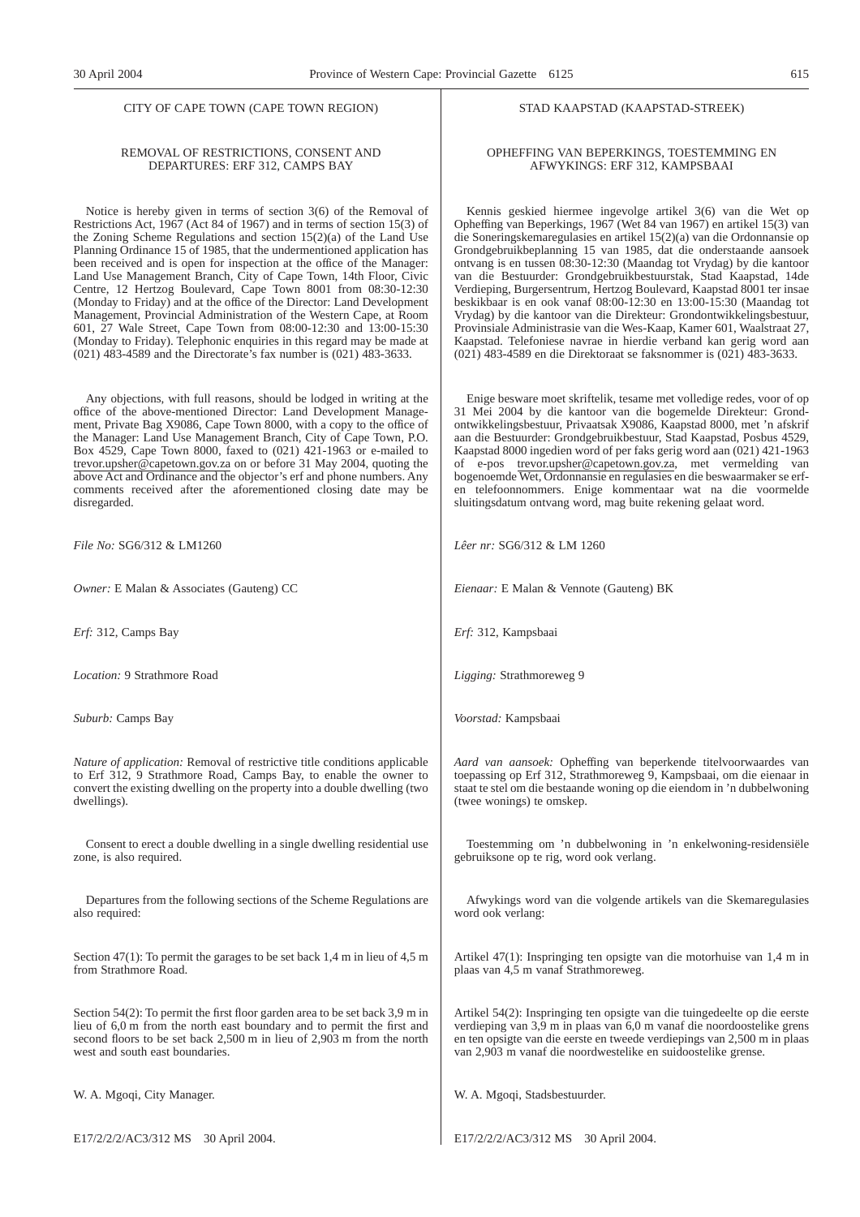## REMOVAL OF RESTRICTIONS, CONSENT AND DEPARTURES: ERF 312, CAMPS BAY

Notice is hereby given in terms of section 3(6) of the Removal of Restrictions Act, 1967 (Act 84 of 1967) and in terms of section 15(3) of the Zoning Scheme Regulations and section 15(2)(a) of the Land Use Planning Ordinance 15 of 1985, that the undermentioned application has been received and is open for inspection at the office of the Manager: Land Use Management Branch, City of Cape Town, 14th Floor, Civic Centre, 12 Hertzog Boulevard, Cape Town 8001 from 08:30-12:30 (Monday to Friday) and at the office of the Director: Land Development Management, Provincial Administration of the Western Cape, at Room 601, 27 Wale Street, Cape Town from 08:00-12:30 and 13:00-15:30 (Monday to Friday). Telephonic enquiries in this regard may be made at (021) 483-4589 and the Directorate's fax number is (021) 483-3633.

Any objections, with full reasons, should be lodged in writing at the office of the above-mentioned Director: Land Development Management, Private Bag X9086, Cape Town 8000, with a copy to the office of the Manager: Land Use Management Branch, City of Cape Town, P.O. Box 4529, Cape Town 8000, faxed to (021) 421-1963 or e-mailed to trevor.upsher@capetown.gov.za on or before 31 May 2004, quoting the above Act and Ordinance and the objector's erf and phone numbers. Any comments received after the aforementioned closing date may be disregarded.

*File No:* SG6/312 & LM1260

*Owner:* E Malan & Associates (Gauteng) CC

*Erf:* 312, Camps Bay

*Location:* 9 Strathmore Road

*Suburb:* Camps Bay

*Nature of application:* Removal of restrictive title conditions applicable to Erf 312, 9 Strathmore Road, Camps Bay, to enable the owner to convert the existing dwelling on the property into a double dwelling (two dwellings).

Consent to erect a double dwelling in a single dwelling residential use zone, is also required.

Departures from the following sections of the Scheme Regulations are also required:

Section 47(1): To permit the garages to be set back 1,4 m in lieu of 4,5 m from Strathmore Road.

Section 54(2): To permit the first floor garden area to be set back 3,9 m in lieu of 6,0 m from the north east boundary and to permit the first and second floors to be set back 2,500 m in lieu of 2,903 m from the north west and south east boundaries.

W. A. Mgoqi, City Manager.

E17/2/2/2/AC3/312 MS 30 April 2004.

## STAD KAAPSTAD (KAAPSTAD-STREEK)

## OPHEFFING VAN BEPERKINGS, TOESTEMMING EN AFWYKINGS: ERF 312, KAMPSBAAI

Kennis geskied hiermee ingevolge artikel 3(6) van die Wet op Opheffing van Beperkings, 1967 (Wet 84 van 1967) en artikel 15(3) van die Soneringskemaregulasies en artikel 15(2)(a) van die Ordonnansie op Grondgebruikbeplanning 15 van 1985, dat die onderstaande aansoek ontvang is en tussen 08:30-12:30 (Maandag tot Vrydag) by die kantoor van die Bestuurder: Grondgebruikbestuurstak, Stad Kaapstad, 14de Verdieping, Burgersentrum, Hertzog Boulevard, Kaapstad 8001 ter insae beskikbaar is en ook vanaf 08:00-12:30 en 13:00-15:30 (Maandag tot Vrydag) by die kantoor van die Direkteur: Grondontwikkelingsbestuur, Provinsiale Administrasie van die Wes-Kaap, Kamer 601, Waalstraat 27, Kaapstad. Telefoniese navrae in hierdie verband kan gerig word aan (021) 483-4589 en die Direktoraat se faksnommer is (021) 483-3633.

Enige besware moet skriftelik, tesame met volledige redes, voor of op 31 Mei 2004 by die kantoor van die bogemelde Direkteur: Grondontwikkelingsbestuur, Privaatsak X9086, Kaapstad 8000, met 'n afskrif aan die Bestuurder: Grondgebruikbestuur, Stad Kaapstad, Posbus 4529, Kaapstad 8000 ingedien word of per faks gerig word aan (021) 421-1963 of e-pos trevor.upsher@capetown.gov.za, met vermelding van bogenoemde Wet, Ordonnansie en regulasies en die beswaarmaker se erfen telefoonnommers. Enige kommentaar wat na die voormelde sluitingsdatum ontvang word, mag buite rekening gelaat word.

*Lêer nr:* SG6/312 & LM 1260

*Eienaar:* E Malan & Vennote (Gauteng) BK

*Erf:* 312, Kampsbaai

*Ligging:* Strathmoreweg 9

*Voorstad:* Kampsbaai

*Aard van aansoek:* Opheffing van beperkende titelvoorwaardes van toepassing op Erf 312, Strathmoreweg 9, Kampsbaai, om die eienaar in staat te stel om die bestaande woning op die eiendom in 'n dubbelwoning (twee wonings) te omskep.

Toestemming om 'n dubbelwoning in 'n enkelwoning-residensiële gebruiksone op te rig, word ook verlang.

Afwykings word van die volgende artikels van die Skemaregulasies word ook verlang:

Artikel 47(1): Inspringing ten opsigte van die motorhuise van 1,4 m in plaas van 4,5 m vanaf Strathmoreweg.

Artikel 54(2): Inspringing ten opsigte van die tuingedeelte op die eerste verdieping van 3,9 m in plaas van 6,0 m vanaf die noordoostelike grens en ten opsigte van die eerste en tweede verdiepings van 2,500 m in plaas van 2,903 m vanaf die noordwestelike en suidoostelike grense.

W. A. Mgoqi, Stadsbestuurder.

E17/2/2/2/AC3/312 MS 30 April 2004.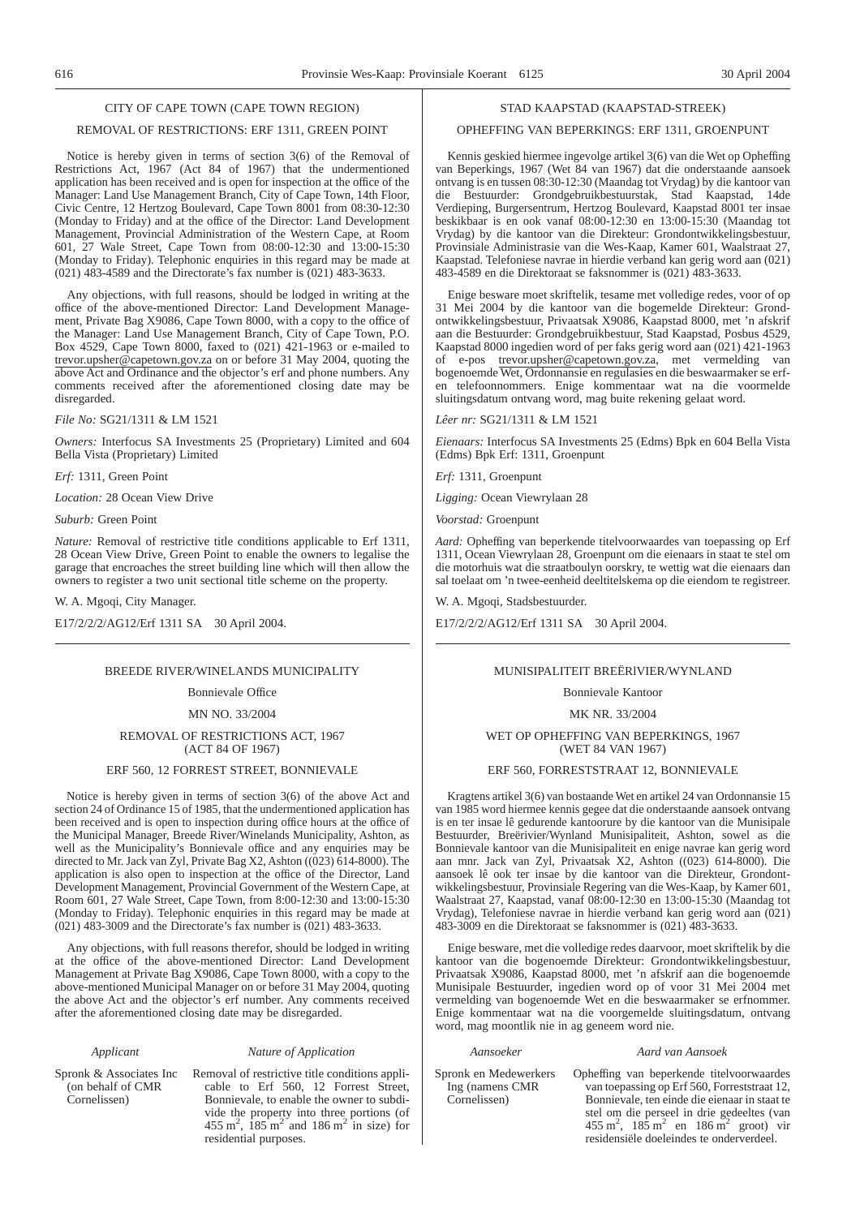## REMOVAL OF RESTRICTIONS: ERF 1311, GREEN POINT

Notice is hereby given in terms of section 3(6) of the Removal of Restrictions Act, 1967 (Act 84 of 1967) that the undermentioned application has been received and is open for inspection at the office of the Manager: Land Use Management Branch, City of Cape Town, 14th Floor, Civic Centre, 12 Hertzog Boulevard, Cape Town 8001 from 08:30-12:30 (Monday to Friday) and at the office of the Director: Land Development Management, Provincial Administration of the Western Cape, at Room 601, 27 Wale Street, Cape Town from 08:00-12:30 and 13:00-15:30 (Monday to Friday). Telephonic enquiries in this regard may be made at (021) 483-4589 and the Directorate's fax number is (021) 483-3633.

Any objections, with full reasons, should be lodged in writing at the office of the above-mentioned Director: Land Development Management, Private Bag X9086, Cape Town 8000, with a copy to the office of the Manager: Land Use Management Branch, City of Cape Town, P.O. Box 4529, Cape Town 8000, faxed to (021) 421-1963 or e-mailed to trevor.upsher@capetown.gov.za on or before 31 May 2004, quoting the above Act and Ordinance and the objector's erf and phone numbers. Any comments received after the aforementioned closing date may be disregarded.

## *File No:* SG21/1311 & LM 1521

*Owners:* Interfocus SA Investments 25 (Proprietary) Limited and 604 Bella Vista (Proprietary) Limited

*Erf:* 1311, Green Point

*Location:* 28 Ocean View Drive

*Suburb:* Green Point

*Nature:* Removal of restrictive title conditions applicable to Erf 1311, 28 Ocean View Drive, Green Point to enable the owners to legalise the garage that encroaches the street building line which will then allow the owners to register a two unit sectional title scheme on the property.

W. A. Mgoqi, City Manager.

E17/2/2/2/AG12/Erf 1311 SA 30 April 2004.

## BREEDE RIVER/WINELANDS MUNICIPALITY

## Bonnievale Office

MN NO. 33/2004

REMOVAL OF RESTRICTIONS ACT, 1967 (ACT 84 OF 1967)

## ERF 560, 12 FORREST STREET, BONNIEVALE

Notice is hereby given in terms of section 3(6) of the above Act and section 24 of Ordinance 15 of 1985, that the undermentioned application has been received and is open to inspection during office hours at the office of the Municipal Manager, Breede River/Winelands Municipality, Ashton, as well as the Municipality's Bonnievale office and any enquiries may be directed to Mr. Jack van Zyl, Private Bag X2, Ashton ((023) 614-8000). The application is also open to inspection at the office of the Director, Land Development Management, Provincial Government of the Western Cape, at Room 601, 27 Wale Street, Cape Town, from 8:00-12:30 and 13:00-15:30 (Monday to Friday). Telephonic enquiries in this regard may be made at (021) 483-3009 and the Directorate's fax number is (021) 483-3633.

Any objections, with full reasons therefor, should be lodged in writing at the office of the above-mentioned Director: Land Development Management at Private Bag X9086, Cape Town 8000, with a copy to the above-mentioned Municipal Manager on or before 31 May 2004, quoting the above Act and the objector's erf number. Any comments received after the aforementioned closing date may be disregarded.

residential purposes.

## *Applicant Nature of Application*

(on behalf of CMR Cornelissen)

Spronk & Associates Inc Removal of restrictive title conditions applicable to Erf 560, 12 Forrest Street, Bonnievale, to enable the owner to subdivide the property into three portions (of  $455 \text{ m}^2$ ,  $185 \text{ m}^2$  and  $186 \text{ m}^2$  in size) for

## STAD KAAPSTAD (KAAPSTAD-STREEK)

## OPHEFFING VAN BEPERKINGS: ERF 1311, GROENPUNT

Kennis geskied hiermee ingevolge artikel 3(6) van die Wet op Opheffing van Beperkings, 1967 (Wet 84 van 1967) dat die onderstaande aansoek ontvang is en tussen 08:30-12:30 (Maandag tot Vrydag) by die kantoor van die Bestuurder: Grondgebruikbestuurstak, Stad Kaapstad, 14de Verdieping, Burgersentrum, Hertzog Boulevard, Kaapstad 8001 ter insae beskikbaar is en ook vanaf 08:00-12:30 en 13:00-15:30 (Maandag tot Vrydag) by die kantoor van die Direkteur: Grondontwikkelingsbestuur, Provinsiale Administrasie van die Wes-Kaap, Kamer 601, Waalstraat 27, Kaapstad. Telefoniese navrae in hierdie verband kan gerig word aan (021) 483-4589 en die Direktoraat se faksnommer is (021) 483-3633.

Enige besware moet skriftelik, tesame met volledige redes, voor of op 31 Mei 2004 by die kantoor van die bogemelde Direkteur: Grondontwikkelingsbestuur, Privaatsak X9086, Kaapstad 8000, met 'n afskrif aan die Bestuurder: Grondgebruikbestuur, Stad Kaapstad, Posbus 4529, Kaapstad 8000 ingedien word of per faks gerig word aan (021) 421-1963 of e-pos trevor.upsher@capetown.gov.za, met vermelding van bogenoemde Wet, Ordonnansie en regulasies en die beswaarmaker se erfen telefoonnommers. Enige kommentaar wat na die voormelde sluitingsdatum ontvang word, mag buite rekening gelaat word.

## *Lêer nr:* SG21/1311 & LM 1521

*Eienaars:* Interfocus SA Investments 25 (Edms) Bpk en 604 Bella Vista (Edms) Bpk Erf: 1311, Groenpunt

*Erf:* 1311, Groenpunt

*Ligging:* Ocean Viewrylaan 28

*Voorstad:* Groenpunt

*Aard:* Opheffing van beperkende titelvoorwaardes van toepassing op Erf 1311, Ocean Viewrylaan 28, Groenpunt om die eienaars in staat te stel om die motorhuis wat die straatboulyn oorskry, te wettig wat die eienaars dan sal toelaat om 'n twee-eenheid deeltitelskema op die eiendom te registreer.

W. A. Mgoqi, Stadsbestuurder.

E17/2/2/2/AG12/Erf 1311 SA 30 April 2004.

## MUNISIPALITEIT BREËRlVIER/WYNLAND

## Bonnievale Kantoor

MK NR. 33/2004

## WET OP OPHEFFING VAN BEPERKINGS, 1967 (WET 84 VAN 1967)

## ERF 560, FORRESTSTRAAT 12, BONNIEVALE

Kragtens artikel 3(6) van bostaande Wet en artikel 24 van Ordonnansie 15 van 1985 word hiermee kennis gegee dat die onderstaande aansoek ontvang is en ter insae lê gedurende kantoorure by die kantoor van die Munisipale Bestuurder, Breërivier/Wynland Munisipaliteit, Ashton, sowel as die Bonnievale kantoor van die Munisipaliteit en enige navrae kan gerig word aan mnr. Jack van Zyl, Privaatsak X2, Ashton ((023) 614-8000). Die aansoek lê ook ter insae by die kantoor van die Direkteur, Grondontwikkelingsbestuur, Provinsiale Regering van die Wes-Kaap, by Kamer 601, Waalstraat 27, Kaapstad, vanaf 08:00-12:30 en 13:00-15:30 (Maandag tot Vrydag), Telefoniese navrae in hierdie verband kan gerig word aan (021) 483-3009 en die Direktoraat se faksnommer is (021) 483-3633.

Enige besware, met die volledige redes daarvoor, moet skriftelik by die kantoor van die bogenoemde Direkteur: Grondontwikkelingsbestuur, Privaatsak X9086, Kaapstad 8000, met 'n afskrif aan die bogenoemde Munisipale Bestuurder, ingedien word op of voor 31 Mei 2004 met vermelding van bogenoemde Wet en die beswaarmaker se erfnommer. Enige kommentaar wat na die voorgemelde sluitingsdatum, ontvang word, mag moontlik nie in ag geneem word nie.

## *Aansoeker Aard van Aansoek*

Spronk en Medewerkers Ing (namens CMR Cornelissen)

Opheffing van beperkende titelvoorwaardes van toepassing op Erf 560, Forreststraat 12, Bonnievale, ten einde die eienaar in staat te stel om die perseel in drie gedeeltes (van  $455 \text{ m}^2$ ,  $185 \text{ m}^2$  en  $186 \text{ m}^2$  groot) vir residensiële doeleindes te onderverdeel.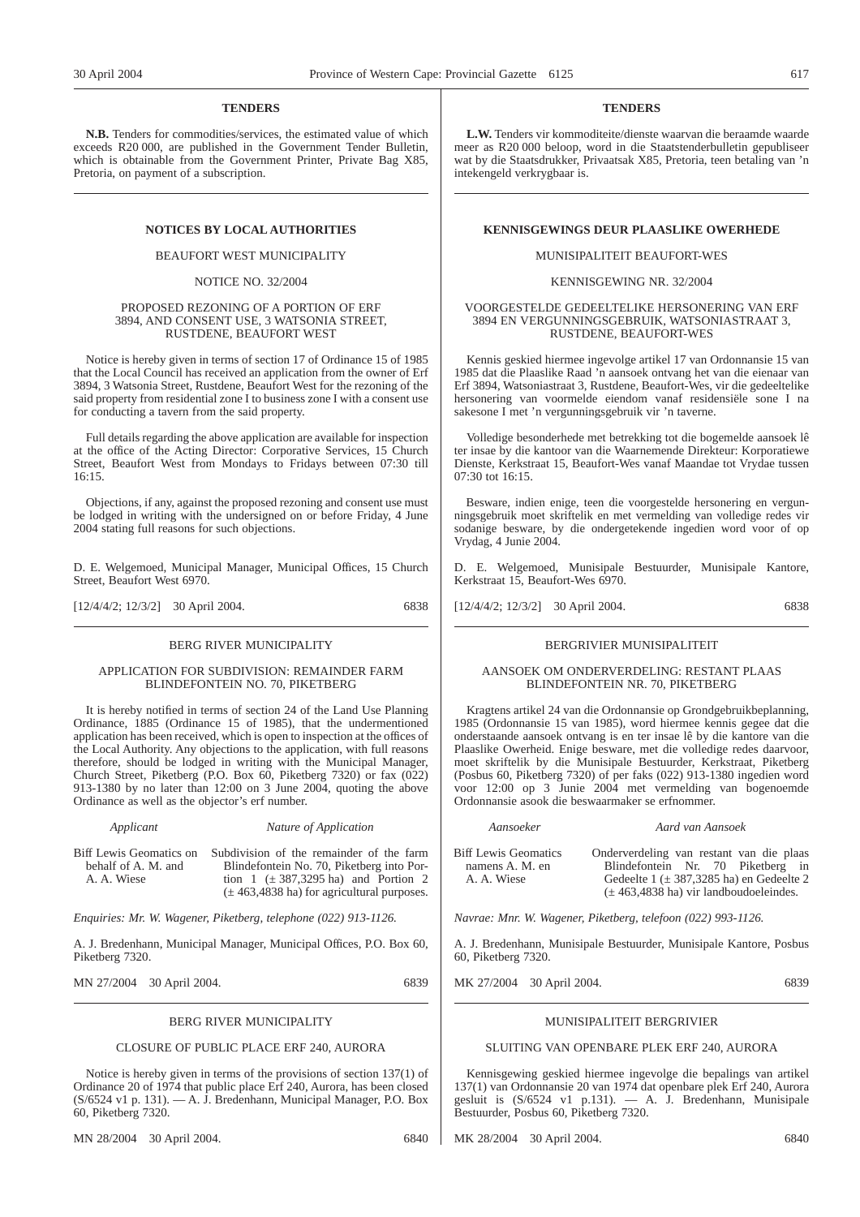## **TENDERS**

**N.B.** Tenders for commodities/services, the estimated value of which exceeds R20 000, are published in the Government Tender Bulletin, which is obtainable from the Government Printer, Private Bag X85, Pretoria, on payment of a subscription.

BEAUFORT WEST MUNICIPALITY

## NOTICE NO. 32/2004

## PROPOSED REZONING OF A PORTION OF ERF 3894, AND CONSENT USE, 3 WATSONIA STREET, RUSTDENE, BEAUFORT WEST

Notice is hereby given in terms of section 17 of Ordinance 15 of 1985 that the Local Council has received an application from the owner of Erf 3894, 3 Watsonia Street, Rustdene, Beaufort West for the rezoning of the said property from residential zone I to business zone I with a consent use for conducting a tavern from the said property.

Full details regarding the above application are available for inspection at the office of the Acting Director: Corporative Services, 15 Church Street, Beaufort West from Mondays to Fridays between 07:30 till  $16:15$ 

Objections, if any, against the proposed rezoning and consent use must be lodged in writing with the undersigned on or before Friday, 4 June 2004 stating full reasons for such objections.

D. E. Welgemoed, Municipal Manager, Municipal Offices, 15 Church Street, Beaufort West 6970.

[12/4/4/2; 12/3/2] 30 April 2004. 6838

## BERG RIVER MUNICIPALITY

## APPLICATION FOR SUBDIVISION: REMAINDER FARM BLINDEFONTEIN NO. 70, PIKETBERG

It is hereby notified in terms of section 24 of the Land Use Planning Ordinance, 1885 (Ordinance 15 of 1985), that the undermentioned application has been received, which is open to inspection at the offices of the Local Authority. Any objections to the application, with full reasons therefore, should be lodged in writing with the Municipal Manager, Church Street, Piketberg (P.O. Box  $60$ , Piketberg 7320) or fax  $(022)$ 913-1380 by no later than 12:00 on 3 June 2004, quoting the above Ordinance as well as the objector's erf number.

## *Applicant Nature of Application*

Biff Lewis Geomatics on Subdivision of the remainder of the farm behalf of A. M. and A. A. Wiese Blindefontein No. 70, Piketberg into Portion  $1$  ( $\pm$  387,3295 ha) and Portion 2  $(± 463,4838$  ha) for agricultural purposes.

*Enquiries: Mr. W. Wagener, Piketberg, telephone (022) 913-1126.*

A. J. Bredenhann, Municipal Manager, Municipal Offices, P.O. Box 60, Piketberg 7320.

MN 27/2004 30 April 2004. 6839

## BERG RIVER MUNICIPALITY

## CLOSURE OF PUBLIC PLACE ERF 240, AURORA

Notice is hereby given in terms of the provisions of section 137(1) of Ordinance 20 of 1974 that public place Erf 240, Aurora, has been closed (S/6524 v1 p. 131). — A. J. Bredenhann, Municipal Manager, P.O. Box 60, Piketberg 7320.

MN 28/2004 30 April 2004. 6840

## **TENDERS**

**L.W.** Tenders vir kommoditeite/dienste waarvan die beraamde waarde meer as R20 000 beloop, word in die Staatstenderbulletin gepubliseer wat by die Staatsdrukker, Privaatsak X85, Pretoria, teen betaling van 'n intekengeld verkrygbaar is.

## **NOTICES BY LOCAL AUTHORITIES KENNISGEWINGS DEUR PLAASLIKE OWERHEDE**

## MUNISIPALITEIT BEAUFORT-WES

## KENNISGEWING NR. 32/2004

## VOORGESTELDE GEDEELTELIKE HERSONERING VAN ERF 3894 EN VERGUNNINGSGEBRUIK, WATSONIASTRAAT 3, RUSTDENE, BEAUFORT-WES

Kennis geskied hiermee ingevolge artikel 17 van Ordonnansie 15 van 1985 dat die Plaaslike Raad 'n aansoek ontvang het van die eienaar van Erf 3894, Watsoniastraat 3, Rustdene, Beaufort-Wes, vir die gedeeltelike hersonering van voormelde eiendom vanaf residensiële sone I na sakesone I met 'n vergunningsgebruik vir 'n taverne.

Volledige besonderhede met betrekking tot die bogemelde aansoek lê ter insae by die kantoor van die Waarnemende Direkteur: Korporatiewe Dienste, Kerkstraat 15, Beaufort-Wes vanaf Maandae tot Vrydae tussen 07:30 tot 16:15.

Besware, indien enige, teen die voorgestelde hersonering en vergunningsgebruik moet skriftelik en met vermelding van volledige redes vir sodanige besware, by die ondergetekende ingedien word voor of op Vrydag, 4 Junie 2004.

D. E. Welgemoed, Munisipale Bestuurder, Munisipale Kantore, Kerkstraat 15, Beaufort-Wes 6970.

[12/4/4/2; 12/3/2] 30 April 2004. 6838

## BERGRIVIER MUNISIPALITEIT

## AANSOEK OM ONDERVERDELING: RESTANT PLAAS BLINDEFONTEIN NR. 70, PIKETBERG

Kragtens artikel 24 van die Ordonnansie op Grondgebruikbeplanning, 1985 (Ordonnansie 15 van 1985), word hiermee kennis gegee dat die onderstaande aansoek ontvang is en ter insae lê by die kantore van die Plaaslike Owerheid. Enige besware, met die volledige redes daarvoor, moet skriftelik by die Munisipale Bestuurder, Kerkstraat, Piketberg (Posbus 60, Piketberg 7320) of per faks (022) 913-1380 ingedien word voor 12:00 op 3 Junie 2004 met vermelding van bogenoemde Ordonnansie asook die beswaarmaker se erfnommer.

Biff Lewis Geomatics namens A. M. en A. A. Wiese

Onderverdeling van restant van die plaas Blindefontein Nr. 70 Piketberg in Gedeelte  $1 (\pm 387,3285 \text{ ha})$  en Gedeelte 2  $(\pm 463, 4838 \text{ ha})$  vir landboudoeleindes.

*Navrae: Mnr. W. Wagener, Piketberg, telefoon (022) 993-1126.*

*Aansoeker Aard van Aansoek*

A. J. Bredenhann, Munisipale Bestuurder, Munisipale Kantore, Posbus 60, Piketberg 7320.

MK 27/2004 30 April 2004. 6839

## MUNISIPALITEIT BERGRIVIER

## SLUITING VAN OPENBARE PLEK ERF 240, AURORA

Kennisgewing geskied hiermee ingevolge die bepalings van artikel 137(1) van Ordonnansie 20 van 1974 dat openbare plek Erf 240, Aurora gesluit is (S/6524 v1 p.131). — A. J. Bredenhann, Munisipale Bestuurder, Posbus 60, Piketberg 7320.

MK 28/2004 30 April 2004. 6840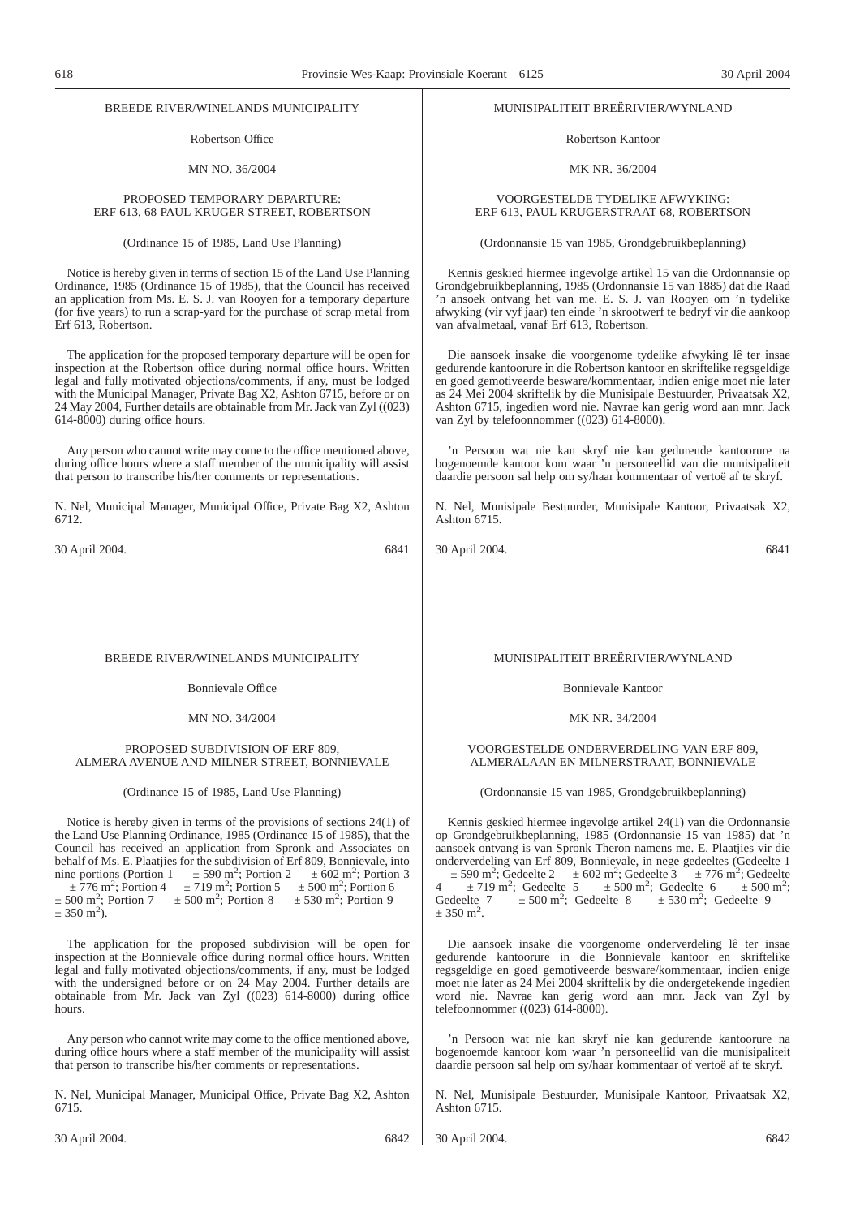## BREEDE RIVER/WINELANDS MUNICIPALITY

Robertson Office

MN NO. 36/2004

## PROPOSED TEMPORARY DEPARTURE: ERF 613, 68 PAUL KRUGER STREET, ROBERTSON

(Ordinance 15 of 1985, Land Use Planning)

Notice is hereby given in terms of section 15 of the Land Use Planning Ordinance, 1985 (Ordinance 15 of 1985), that the Council has received an application from Ms. E. S. J. van Rooyen for a temporary departure (for five years) to run a scrap-yard for the purchase of scrap metal from Erf 613, Robertson.

The application for the proposed temporary departure will be open for inspection at the Robertson office during normal office hours. Written legal and fully motivated objections/comments, if any, must be lodged with the Municipal Manager, Private Bag X2, Ashton 6715, before or on 24 May 2004, Further details are obtainable from Mr. Jack van Zyl ((023) 614-8000) during office hours.

Any person who cannot write may come to the office mentioned above, during office hours where a staff member of the municipality will assist that person to transcribe his/her comments or representations.

N. Nel, Municipal Manager, Municipal Office, Private Bag X2, Ashton 6712.

30 April 2004. 6841

## BREEDE RIVER/WINELANDS MUNICIPALITY

Bonnievale Office

## MN NO. 34/2004

## PROPOSED SUBDIVISION OF ERF 809 ALMERA AVENUE AND MILNER STREET, BONNIEVALE

(Ordinance 15 of 1985, Land Use Planning)

Notice is hereby given in terms of the provisions of sections 24(1) of the Land Use Planning Ordinance, 1985 (Ordinance 15 of 1985), that the Council has received an application from Spronk and Associates on behalf of Ms. E. Plaatjies for the subdivision of Erf 809, Bonnievale, into nine portions (Portion  $1 - \pm 590$  m<sup>2</sup>; Portion  $2 - \pm 602$  m<sup>2</sup>; Portion 3<br>-  $\pm 776$  m<sup>2</sup>; Portion 4 -  $\pm 719$  m<sup>2</sup>; Portion 5 -  $\pm 500$  m<sup>2</sup>; Portion 6 - $\pm$  500 m<sup>2</sup>; Portion 7 —  $\pm$  500 m<sup>2</sup>; Portion 8 —  $\pm$  530 m<sup>2</sup>; Portion 9 —  $\pm$  350 m<sup>2</sup>).

The application for the proposed subdivision will be open for inspection at the Bonnievale office during normal office hours. Written legal and fully motivated objections/comments, if any, must be lodged with the undersigned before or on 24 May 2004. Further details are obtainable from Mr. Jack van Zyl ((023) 614-8000) during office hours.

Any person who cannot write may come to the office mentioned above, during office hours where a staff member of the municipality will assist that person to transcribe his/her comments or representations.

N. Nel, Municipal Manager, Municipal Office, Private Bag X2, Ashton 6715.

## MUNISIPALITEIT BREËRIVIER/WYNLAND

Robertson Kantoor

## MK NR. 36/2004

VOORGESTELDE TYDELIKE AFWYKING: ERF 613, PAUL KRUGERSTRAAT 68, ROBERTSON

(Ordonnansie 15 van 1985, Grondgebruikbeplanning)

Kennis geskied hiermee ingevolge artikel 15 van die Ordonnansie op Grondgebruikbeplanning, 1985 (Ordonnansie 15 van 1885) dat die Raad 'n ansoek ontvang het van me. E. S. J. van Rooyen om 'n tydelike afwyking (vir vyf jaar) ten einde 'n skrootwerf te bedryf vir die aankoop van afvalmetaal, vanaf Erf 613, Robertson.

Die aansoek insake die voorgenome tydelike afwyking lê ter insae gedurende kantoorure in die Robertson kantoor en skriftelike regsgeldige en goed gemotiveerde besware/kommentaar, indien enige moet nie later as 24 Mei 2004 skriftelik by die Munisipale Bestuurder, Privaatsak X2, Ashton 6715, ingedien word nie. Navrae kan gerig word aan mnr. Jack van Zyl by telefoonnommer ((023) 614-8000).

'n Persoon wat nie kan skryf nie kan gedurende kantoorure na bogenoemde kantoor kom waar 'n personeellid van die munisipaliteit daardie persoon sal help om sy/haar kommentaar of vertoë af te skryf.

N. Nel, Munisipale Bestuurder, Munisipale Kantoor, Privaatsak X2, Ashton 6715.

30 April 2004. 6841

## MUNISIPALITEIT BREËRIVIER/WYNLAND

Bonnievale Kantoor

MK NR. 34/2004

## VOORGESTELDE ONDERVERDELING VAN ERF 809, ALMERALAAN EN MILNERSTRAAT, BONNIEVALE

(Ordonnansie 15 van 1985, Grondgebruikbeplanning)

Kennis geskied hiermee ingevolge artikel 24(1) van die Ordonnansie op Grondgebruikbeplanning, 1985 (Ordonnansie 15 van 1985) dat 'n aansoek ontvang is van Spronk Theron namens me. E. Plaatjies vir die onderverdeling van Erf 809, Bonnievale, in nege gedeeltes (Gedeelte 1 —  $\pm$  590 m<sup>2</sup>; Gedeelte 2 —  $\pm$  602 m<sup>2</sup>; Gedeelte 3 —  $\pm$  776 m<sup>2</sup>; Gedeelte  $4 - \pm 719 \text{ m}^2$ ; Gedeelte  $5 - \pm 500 \text{ m}^2$ ; Gedeelte  $6 - \pm 500 \text{ m}^2$ ; Gedeelte 7 —  $\pm$  500 m<sup>2</sup>; Gedeelte 8 —  $\pm$  530 m<sup>2</sup>; Gedeelte 9 —  $\pm$  350 m<sup>2</sup>.

Die aansoek insake die voorgenome onderverdeling lê ter insae gedurende kantoorure in die Bonnievale kantoor en skriftelike regsgeldige en goed gemotiveerde besware/kommentaar, indien enige moet nie later as 24 Mei 2004 skriftelik by die ondergetekende ingedien word nie. Navrae kan gerig word aan mnr. Jack van Zyl by telefoonnommer  $((023) 614-8000)$ .

'n Persoon wat nie kan skryf nie kan gedurende kantoorure na bogenoemde kantoor kom waar 'n personeellid van die munisipaliteit daardie persoon sal help om sy/haar kommentaar of vertoë af te skryf.

N. Nel, Munisipale Bestuurder, Munisipale Kantoor, Privaatsak X2, Ashton 6715.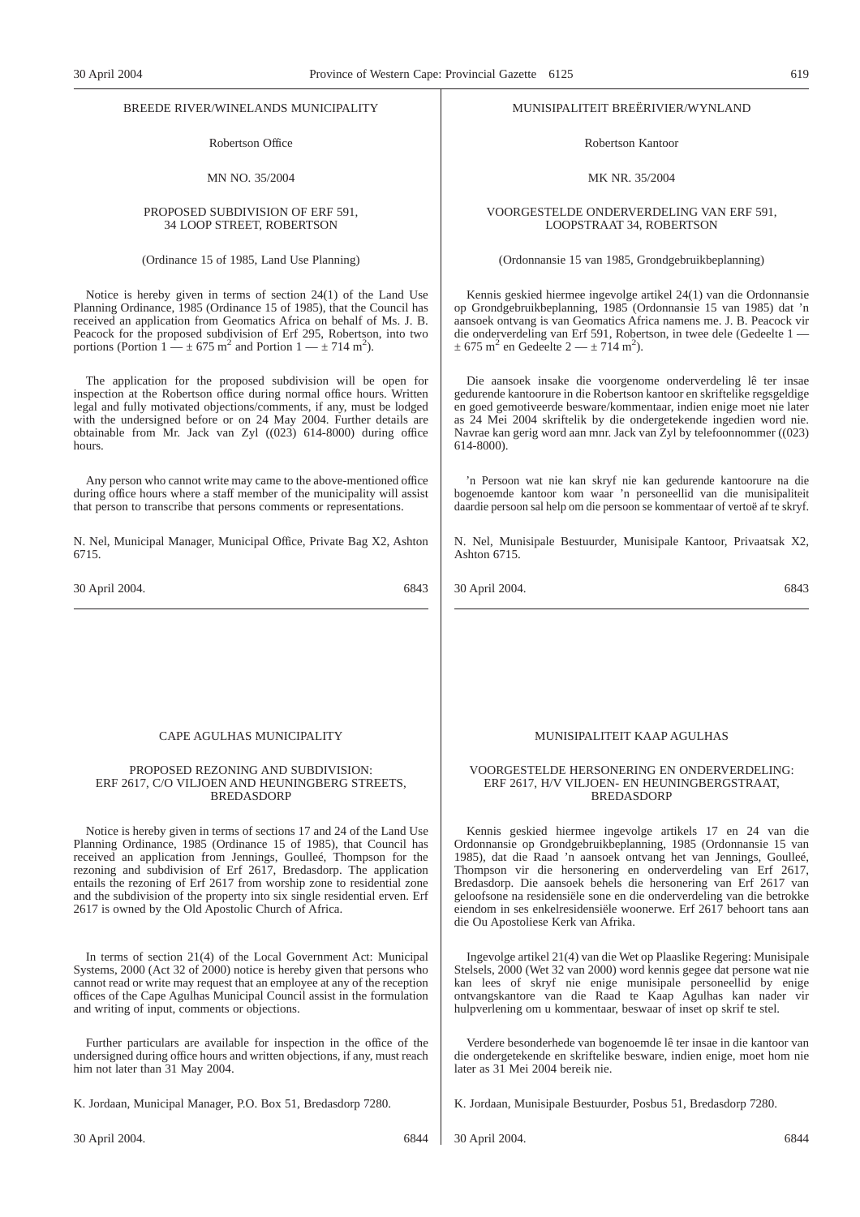## BREEDE RIVER/WINELANDS MUNICIPALITY

Robertson Office

## MN NO. 35/2004

## PROPOSED SUBDIVISION OF ERF 591, 34 LOOP STREET, ROBERTSON

(Ordinance 15 of 1985, Land Use Planning)

Notice is hereby given in terms of section 24(1) of the Land Use Planning Ordinance, 1985 (Ordinance 15 of 1985), that the Council has received an application from Geomatics Africa on behalf of Ms. J. B. Peacock for the proposed subdivision of Erf 295, Robertson, into two portions (Portion  $1 - \pm 675$  m<sup>2</sup> and Portion  $1 - \pm 714$  m<sup>2</sup>).

The application for the proposed subdivision will be open for inspection at the Robertson office during normal office hours. Written legal and fully motivated objections/comments, if any, must be lodged with the undersigned before or on 24 May 2004. Further details are obtainable from Mr. Jack van Zyl  $((023)$  614-8000) during office hours.

Any person who cannot write may came to the above-mentioned office during office hours where a staff member of the municipality will assist that person to transcribe that persons comments or representations.

N. Nel, Municipal Manager, Municipal Office, Private Bag X2, Ashton 6715.

30 April 2004. 6843

## CAPE AGULHAS MUNICIPALITY

## PROPOSED REZONING AND SUBDIVISION: ERF 2617, C/O VILJOEN AND HEUNINGBERG STREETS, BREDASDORP

Notice is hereby given in terms of sections 17 and 24 of the Land Use Planning Ordinance, 1985 (Ordinance 15 of 1985), that Council has received an application from Jennings, Goulleé, Thompson for the rezoning and subdivision of Erf 2617, Bredasdorp. The application entails the rezoning of Erf 2617 from worship zone to residential zone and the subdivision of the property into six single residential erven. Erf 2617 is owned by the Old Apostolic Church of Africa.

In terms of section 21(4) of the Local Government Act: Municipal Systems, 2000 (Act 32 of 2000) notice is hereby given that persons who cannot read or write may request that an employee at any of the reception offices of the Cape Agulhas Municipal Council assist in the formulation and writing of input, comments or objections.

Further particulars are available for inspection in the office of the undersigned during office hours and written objections, if any, must reach him not later than 31 May 2004.

K. Jordaan, Municipal Manager, P.O. Box 51, Bredasdorp 7280.

## MUNISIPALITEIT BREËRIVIER/WYNLAND

Robertson Kantoor

### MK NR. 35/2004

## VOORGESTELDE ONDERVERDELING VAN ERF 591, LOOPSTRAAT 34, ROBERTSON

## (Ordonnansie 15 van 1985, Grondgebruikbeplanning)

Kennis geskied hiermee ingevolge artikel 24(1) van die Ordonnansie op Grondgebruikbeplanning, 1985 (Ordonnansie 15 van 1985) dat 'n aansoek ontvang is van Geomatics Africa namens me. J. B. Peacock vir die onderverdeling van Erf 591, Robertson, in twee dele (Gedeelte 1 —  $\pm 675$  m<sup>2</sup> en Gedeelte 2 —  $\pm 714$  m<sup>2</sup>).

Die aansoek insake die voorgenome onderverdeling lê ter insae gedurende kantoorure in die Robertson kantoor en skriftelike regsgeldige en goed gemotiveerde besware/kommentaar, indien enige moet nie later as 24 Mei 2004 skriftelik by die ondergetekende ingedien word nie. Navrae kan gerig word aan mnr. Jack van Zyl by telefoonnommer ((023) 614-8000).

'n Persoon wat nie kan skryf nie kan gedurende kantoorure na die bogenoemde kantoor kom waar 'n personeellid van die munisipaliteit daardie persoon sal help om die persoon se kommentaar of vertoë af te skryf.

N. Nel, Munisipale Bestuurder, Munisipale Kantoor, Privaatsak X2, Ashton 6715.

30 April 2004. 6843

## MUNISIPALITEIT KAAP AGULHAS

## VOORGESTELDE HERSONERING EN ONDERVERDELING: ERF 2617, H/V VILJOEN- EN HEUNINGBERGSTRAAT, BREDASDORP

Kennis geskied hiermee ingevolge artikels 17 en 24 van die Ordonnansie op Grondgebruikbeplanning, 1985 (Ordonnansie 15 van 1985), dat die Raad 'n aansoek ontvang het van Jennings, Goulleé, Thompson vir die hersonering en onderverdeling van Erf 2617, Bredasdorp. Die aansoek behels die hersonering van Erf 2617 van geloofsone na residensiële sone en die onderverdeling van die betrokke eiendom in ses enkelresidensiële woonerwe. Erf 2617 behoort tans aan die Ou Apostoliese Kerk van Afrika.

Ingevolge artikel 21(4) van die Wet op Plaaslike Regering: Munisipale Stelsels, 2000 (Wet 32 van 2000) word kennis gegee dat persone wat nie kan lees of skryf nie enige munisipale personeellid by enige ontvangskantore van die Raad te Kaap Agulhas kan nader vir hulpverlening om u kommentaar, beswaar of inset op skrif te stel.

Verdere besonderhede van bogenoemde lê ter insae in die kantoor van die ondergetekende en skriftelike besware, indien enige, moet hom nie later as 31 Mei 2004 bereik nie.

K. Jordaan, Munisipale Bestuurder, Posbus 51, Bredasdorp 7280.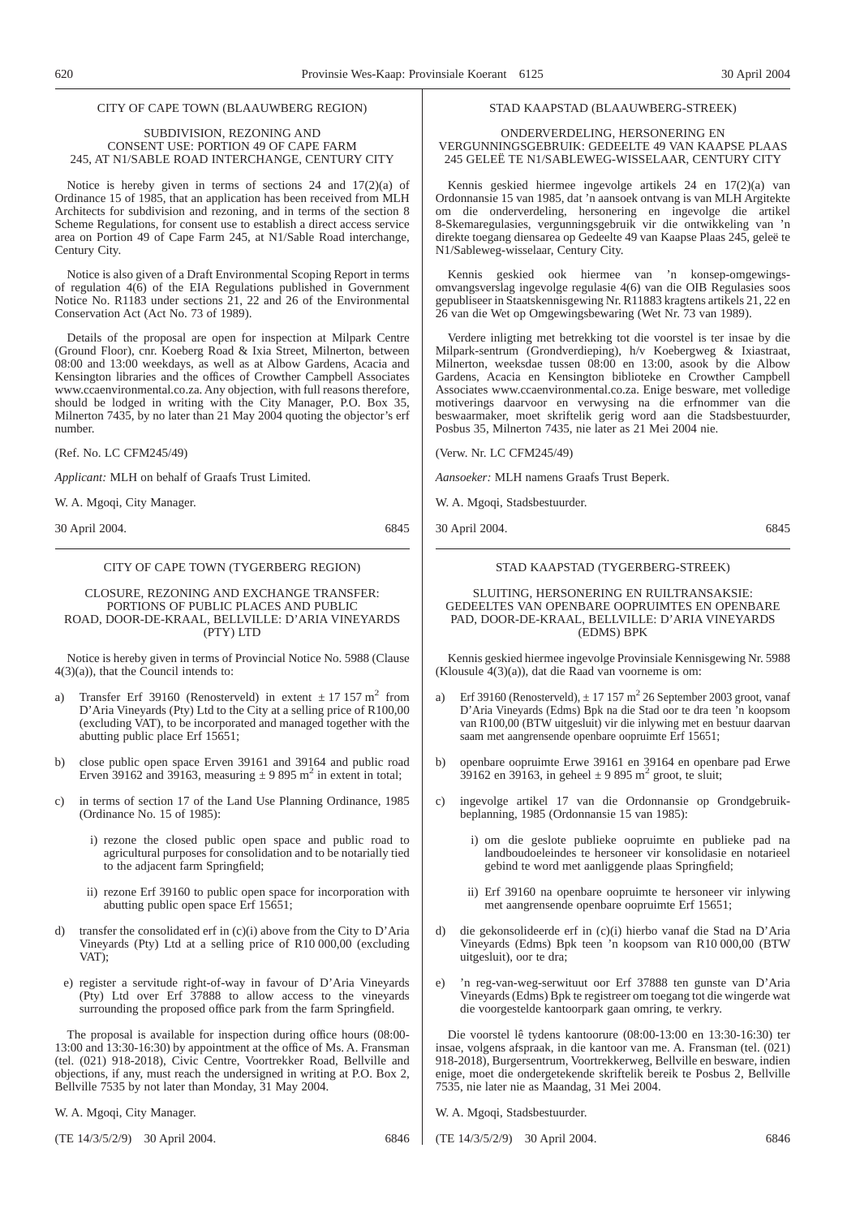## CITY OF CAPE TOWN (BLAAUWBERG REGION)

## SUBDIVISION, REZONING AND CONSENT USE: PORTION 49 OF CAPE FARM 245, AT N1/SABLE ROAD INTERCHANGE, CENTURY CITY

Notice is hereby given in terms of sections 24 and  $17(2)(a)$  of Ordinance 15 of 1985, that an application has been received from MLH Architects for subdivision and rezoning, and in terms of the section 8 Scheme Regulations, for consent use to establish a direct access service area on Portion 49 of Cape Farm 245, at N1/Sable Road interchange, Century City.

Notice is also given of a Draft Environmental Scoping Report in terms of regulation 4(6) of the EIA Regulations published in Government Notice No. R1183 under sections 21, 22 and 26 of the Environmental Conservation Act (Act No. 73 of 1989).

Details of the proposal are open for inspection at Milpark Centre (Ground Floor), cnr. Koeberg Road & Ixia Street, Milnerton, between 08:00 and 13:00 weekdays, as well as at Albow Gardens, Acacia and Kensington libraries and the offices of Crowther Campbell Associates www.ccaenvironmental.co.za. Any objection, with full reasons therefore, should be lodged in writing with the City Manager, P.O. Box 35, Milnerton 7435, by no later than 21 May 2004 quoting the objector's erf number.

(Ref. No. LC CFM245/49)

*Applicant:* MLH on behalf of Graafs Trust Limited.

W. A. Mgoqi, City Manager.

30 April 2004. 6845

## CITY OF CAPE TOWN (TYGERBERG REGION)

CLOSURE, REZONING AND EXCHANGE TRANSFER: PORTIONS OF PUBLIC PLACES AND PUBLIC ROAD, DOOR-DE-KRAAL, BELLVILLE: D'ARIA VINEYARDS (PTY) LTD

Notice is hereby given in terms of Provincial Notice No. 5988 (Clause  $4(3)(a)$ , that the Council intends to:

- a) Transfer Erf 39160 (Renosterveld) in extent  $\pm$  17 157 m<sup>2</sup> from D'Aria Vineyards (Pty) Ltd to the City at a selling price of R100,00 (excluding VAT), to be incorporated and managed together with the abutting public place Erf 15651;
- b) close public open space Erven 39161 and 39164 and public road Erven 39162 and 39163, measuring  $\pm$  9 895 m<sup>2</sup> in extent in total;
- c) in terms of section 17 of the Land Use Planning Ordinance, 1985 (Ordinance No. 15 of 1985):
	- i) rezone the closed public open space and public road to agricultural purposes for consolidation and to be notarially tied to the adjacent farm Springfield;
	- ii) rezone Erf 39160 to public open space for incorporation with abutting public open space Erf 15651;
- d) transfer the consolidated erf in (c)(i) above from the City to D'Aria Vineyards (Pty) Ltd at a selling price of R10 000,00 (excluding VAT);
- e) register a servitude right-of-way in favour of D'Aria Vineyards (Pty) Ltd over Erf 37888 to allow access to the vineyards surrounding the proposed office park from the farm Springfield.

The proposal is available for inspection during office hours (08:00- 13:00 and 13:30-16:30) by appointment at the office of Ms. A. Fransman (tel. (021) 918-2018), Civic Centre, Voortrekker Road, Bellville and objections, if any, must reach the undersigned in writing at P.O. Box 2, Bellville 7535 by not later than Monday, 31 May 2004.

W. A. Mgoqi, City Manager.

(TE 14/3/5/2/9) 30 April 2004. 6846

## STAD KAAPSTAD (BLAAUWBERG-STREEK)

ONDERVERDELING, HERSONERING EN VERGUNNINGSGEBRUIK: GEDEELTE 49 VAN KAAPSE PLAAS 245 GELEË TE N1/SABLEWEG-WISSELAAR, CENTURY CITY

Kennis geskied hiermee ingevolge artikels 24 en 17(2)(a) van Ordonnansie 15 van 1985, dat 'n aansoek ontvang is van MLH Argitekte om die onderverdeling, hersonering en ingevolge die artikel 8-Skemaregulasies, vergunningsgebruik vir die ontwikkeling van 'n direkte toegang diensarea op Gedeelte 49 van Kaapse Plaas 245, geleë te N1/Sableweg-wisselaar, Century City.

Kennis geskied ook hiermee van 'n konsep-omgewingsomvangsverslag ingevolge regulasie 4(6) van die OIB Regulasies soos gepubliseer in Staatskennisgewing Nr. R11883 kragtens artikels 21, 22 en 26 van die Wet op Omgewingsbewaring (Wet Nr. 73 van 1989).

Verdere inligting met betrekking tot die voorstel is ter insae by die Milpark-sentrum (Grondverdieping), h/v Koebergweg & Ixiastraat, Milnerton, weeksdae tussen 08:00 en 13:00, asook by die Albow Gardens, Acacia en Kensington biblioteke en Crowther Campbell Associates www.ccaenvironmental.co.za. Enige besware, met volledige motiverings daarvoor en verwysing na die erfnommer van die beswaarmaker, moet skriftelik gerig word aan die Stadsbestuurder, Posbus 35, Milnerton 7435, nie later as 21 Mei 2004 nie.

(Verw. Nr. LC CFM245/49)

*Aansoeker:* MLH namens Graafs Trust Beperk.

W. A. Mgoqi, Stadsbestuurder.

30 April 2004. 6845

## STAD KAAPSTAD (TYGERBERG-STREEK)

SLUITING, HERSONERING EN RUILTRANSAKSIE: GEDEELTES VAN OPENBARE OOPRUIMTES EN OPENBARE PAD, DOOR-DE-KRAAL, BELLVILLE: D'ARIA VINEYARDS (EDMS) BPK

Kennis geskied hiermee ingevolge Provinsiale Kennisgewing Nr. 5988 (Klousule 4(3)(a)), dat die Raad van voorneme is om:

- a) Erf 39160 (Renosterveld),  $\pm$  17 157 m<sup>2</sup> 26 September 2003 groot, vanaf D'Aria Vineyards (Edms) Bpk na die Stad oor te dra teen 'n koopsom van R100,00 (BTW uitgesluit) vir die inlywing met en bestuur daarvan saam met aangrensende openbare oopruimte Erf 15651;
- b) openbare oopruimte Erwe 39161 en 39164 en openbare pad Erwe  $39162$  en 39163, in geheel  $\pm$  9 895 m<sup>2</sup> groot, te sluit;
- c) ingevolge artikel 17 van die Ordonnansie op Grondgebruikbeplanning, 1985 (Ordonnansie 15 van 1985):
	- i) om die geslote publieke oopruimte en publieke pad na landboudoeleindes te hersoneer vir konsolidasie en notarieel gebind te word met aanliggende plaas Springfield;
	- ii) Erf 39160 na openbare oopruimte te hersoneer vir inlywing met aangrensende openbare oopruimte Erf 15651;
- d) die gekonsolideerde erf in (c)(i) hierbo vanaf die Stad na D'Aria Vineyards (Edms) Bpk teen 'n koopsom van R10 000,00 (BTW uitgesluit), oor te dra;
- e) 'n reg-van-weg-serwituut oor Erf 37888 ten gunste van D'Aria Vineyards (Edms) Bpk te registreer om toegang tot die wingerde wat die voorgestelde kantoorpark gaan omring, te verkry.

Die voorstel lê tydens kantoorure (08:00-13:00 en 13:30-16:30) ter insae, volgens afspraak, in die kantoor van me. A. Fransman (tel. (021) 918-2018), Burgersentrum, Voortrekkerweg, Bellville en besware, indien enige, moet die ondergetekende skriftelik bereik te Posbus 2, Bellville 7535, nie later nie as Maandag, 31 Mei 2004.

- W. A. Mgoqi, Stadsbestuurder.
- (TE 14/3/5/2/9) 30 April 2004. 6846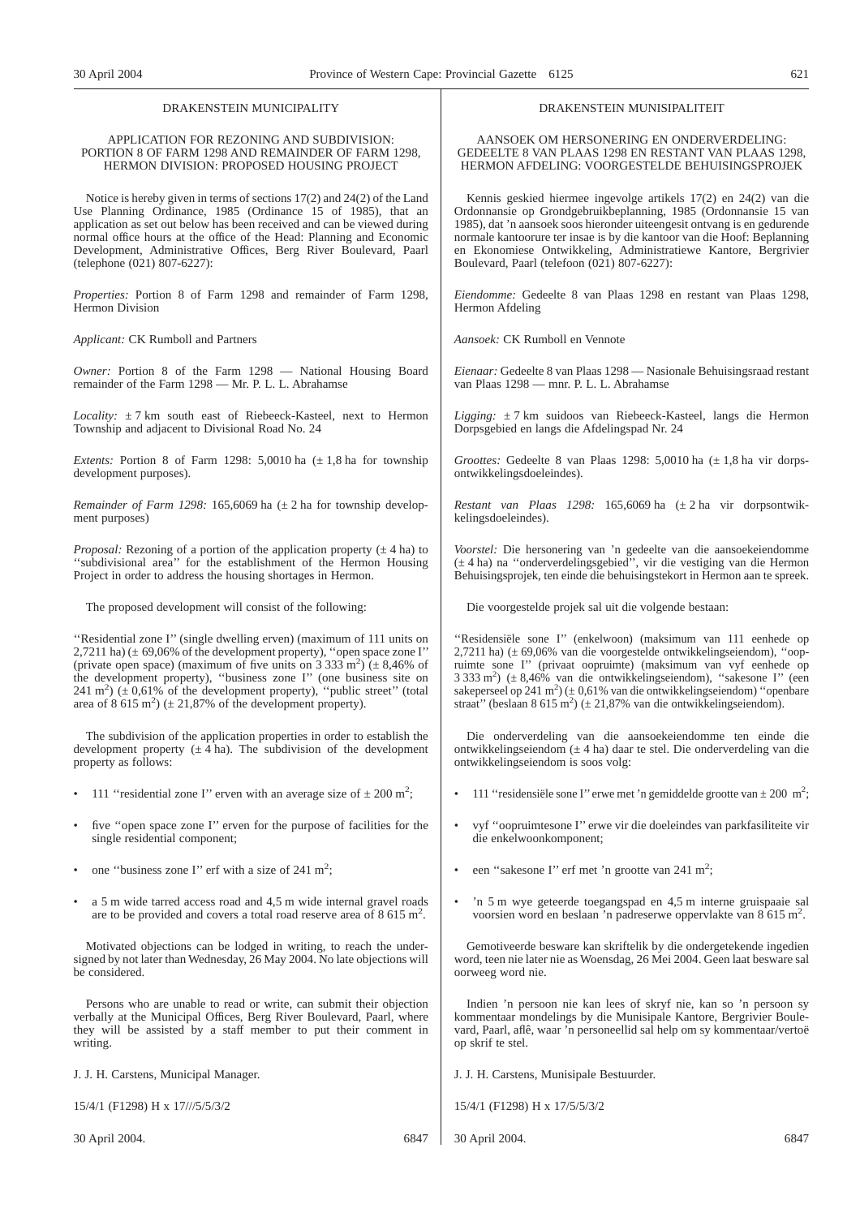## DRAKENSTEIN MUNICIPALITY

## APPLICATION FOR REZONING AND SUBDIVISION: PORTION 8 OF FARM 1298 AND REMAINDER OF FARM 1298, HERMON DIVISION: PROPOSED HOUSING PROJECT

Notice is hereby given in terms of sections 17(2) and 24(2) of the Land Use Planning Ordinance, 1985 (Ordinance 15 of 1985), that an application as set out below has been received and can be viewed during normal office hours at the office of the Head: Planning and Economic Development, Administrative Offices, Berg River Boulevard, Paarl (telephone (021) 807-6227):

*Properties:* Portion 8 of Farm 1298 and remainder of Farm 1298, Hermon Division

*Applicant:* CK Rumboll and Partners

*Owner:* Portion 8 of the Farm 1298 — National Housing Board remainder of the Farm 1298 — Mr. P. L. L. Abrahamse

*Locality:* ± 7 km south east of Riebeeck-Kasteel, next to Hermon Township and adjacent to Divisional Road No. 24

*Extents:* Portion 8 of Farm 1298: 5,0010 ha  $(\pm 1, 8)$  ha for township development purposes).

*Remainder of Farm 1298:* 165,6069 ha ( $\pm$  2 ha for township development purposes)

*Proposal:* Rezoning of a portion of the application property  $(\pm 4 \text{ ha})$  to ''subdivisional area'' for the establishment of the Hermon Housing Project in order to address the housing shortages in Hermon.

The proposed development will consist of the following:

''Residential zone I'' (single dwelling erven) (maximum of 111 units on 2,7211 ha)  $(\pm 69,06\%$  of the development property), "open space zone I" (private open space) (maximum of five units on  $3\overline{3}33\overline{3}$  m<sup>2</sup>) ( $\pm$  8,46% of the development property), ''business zone I'' (one business site on 241 m<sup>2</sup>) ( $\pm$  0,61% of the development property), "public street" (total area of  $8\,615 \text{ m}^2$ ) ( $\pm 21,87\%$  of the development property).

The subdivision of the application properties in order to establish the development property  $(\pm 4 \text{ ha})$ . The subdivision of the development property as follows:

- 111 "residential zone I" erven with an average size of  $\pm 200$  m<sup>2</sup>;
- five "open space zone I" erven for the purpose of facilities for the single residential component;
- one "business zone I" erf with a size of  $241 \text{ m}^2$ ;
- a 5 m wide tarred access road and 4,5 m wide internal gravel roads are to be provided and covers a total road reserve area of  $8\,615 \text{ m}^2$ .

Motivated objections can be lodged in writing, to reach the undersigned by not later than Wednesday, 26 May 2004. No late objections will be considered.

Persons who are unable to read or write, can submit their objection verbally at the Municipal Offices, Berg River Boulevard, Paarl, where they will be assisted by a staff member to put their comment in writing.

J. J. H. Carstens, Municipal Manager.

15/4/1 (F1298) H x 17///5/5/3/2

30 April 2004. 6847

## DRAKENSTEIN MUNISIPALITEIT

AANSOEK OM HERSONERING EN ONDERVERDELING: GEDEELTE 8 VAN PLAAS 1298 EN RESTANT VAN PLAAS 1298, HERMON AFDELING: VOORGESTELDE BEHUISINGSPROJEK

Kennis geskied hiermee ingevolge artikels 17(2) en 24(2) van die Ordonnansie op Grondgebruikbeplanning, 1985 (Ordonnansie 15 van 1985), dat 'n aansoek soos hieronder uiteengesit ontvang is en gedurende normale kantoorure ter insae is by die kantoor van die Hoof: Beplanning en Ekonomiese Ontwikkeling, Administratiewe Kantore, Bergrivier Boulevard, Paarl (telefoon (021) 807-6227):

*Eiendomme:* Gedeelte 8 van Plaas 1298 en restant van Plaas 1298, Hermon Afdeling

*Aansoek:* CK Rumboll en Vennote

*Eienaar:* Gedeelte 8 van Plaas 1298 — Nasionale Behuisingsraad restant van Plaas 1298 — mnr. P. L. L. Abrahamse

*Ligging:* ± 7 km suidoos van Riebeeck-Kasteel, langs die Hermon Dorpsgebied en langs die Afdelingspad Nr. 24

*Groottes:* Gedeelte 8 van Plaas 1298: 5,0010 ha ( $\pm$  1,8 ha vir dorpsontwikkelingsdoeleindes).

*Restant van Plaas 1298:* 165,6069 ha (± 2 ha vir dorpsontwikkelingsdoeleindes).

*Voorstel:* Die hersonering van 'n gedeelte van die aansoekeiendomme (± 4 ha) na ''onderverdelingsgebied'', vir die vestiging van die Hermon Behuisingsprojek, ten einde die behuisingstekort in Hermon aan te spreek.

Die voorgestelde projek sal uit die volgende bestaan:

''Residensiële sone I'' (enkelwoon) (maksimum van 111 eenhede op 2,7211 ha) (± 69,06% van die voorgestelde ontwikkelingseiendom), ''oopruimte sone I'' (privaat oopruimte) (maksimum van vyf eenhede op 3 333 m<sup>2</sup> ) (± 8,46% van die ontwikkelingseiendom), ''sakesone I'' (een sakeperseel op 241 m<sup>2</sup>) ( $\pm$  0,61% van die ontwikkelingseiendom) "openbare straat" (beslaan 8 615 m<sup>2</sup>) ( $\pm$  21,87% van die ontwikkelingseiendom).

Die onderverdeling van die aansoekeiendomme ten einde die ontwikkelingseiendom (± 4 ha) daar te stel. Die onderverdeling van die ontwikkelingseiendom is soos volg:

- 111 "residensiële sone I" erwe met 'n gemiddelde grootte van  $\pm$  200 m<sup>2</sup>;
- vyf ''oopruimtesone I'' erwe vir die doeleindes van parkfasiliteite vir die enkelwoonkomponent;
- een "sakesone I" erf met 'n grootte van  $241 \text{ m}^2$ ;
- 'n 5 m wye geteerde toegangspad en 4,5 m interne gruispaaie sal voorsien word en beslaan 'n padreserwe oppervlakte van 8 615 m2 .

Gemotiveerde besware kan skriftelik by die ondergetekende ingedien word, teen nie later nie as Woensdag, 26 Mei 2004. Geen laat besware sal oorweeg word nie.

Indien 'n persoon nie kan lees of skryf nie, kan so 'n persoon sy kommentaar mondelings by die Munisipale Kantore, Bergrivier Boulevard, Paarl, aflê, waar 'n personeellid sal help om sy kommentaar/vertoë op skrif te stel.

J. J. H. Carstens, Munisipale Bestuurder.

15/4/1 (F1298) H x 17/5/5/3/2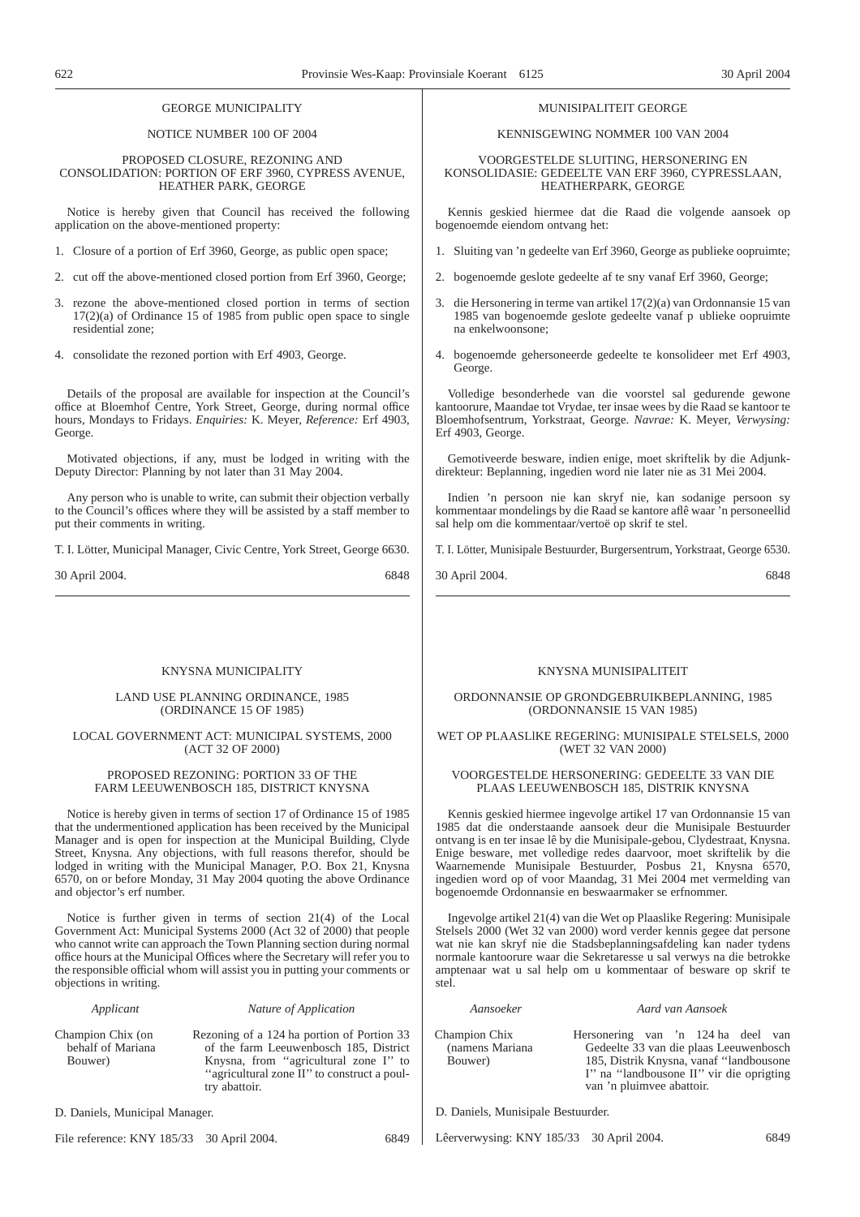## GEORGE MUNICIPALITY

## NOTICE NUMBER 100 OF 2004

PROPOSED CLOSURE, REZONING AND CONSOLIDATION: PORTION OF ERF 3960, CYPRESS AVENUE, HEATHER PARK, GEORGE

Notice is hereby given that Council has received the following application on the above-mentioned property:

- 1. Closure of a portion of Erf 3960, George, as public open space;
- 2. cut off the above-mentioned closed portion from Erf 3960, George;
- 3. rezone the above-mentioned closed portion in terms of section 17(2)(a) of Ordinance 15 of 1985 from public open space to single residential zone;
- 4. consolidate the rezoned portion with Erf 4903, George.

Details of the proposal are available for inspection at the Council's office at Bloemhof Centre, York Street, George, during normal office hours, Mondays to Fridays. *Enquiries:* K. Meyer, *Reference:* Erf 4903, George.

Motivated objections, if any, must be lodged in writing with the Deputy Director: Planning by not later than 31 May 2004.

Any person who is unable to write, can submit their objection verbally to the Council's offices where they will be assisted by a staff member to put their comments in writing.

T. I. Lötter, Municipal Manager, Civic Centre, York Street, George 6630.

30 April 2004. 6848

## KNYSNA MUNICIPALITY

## LAND USE PLANNING ORDINANCE, 1985 (ORDINANCE 15 OF 1985)

## LOCAL GOVERNMENT ACT: MUNICIPAL SYSTEMS, 2000 (ACT 32 OF 2000)

## PROPOSED REZONING: PORTION 33 OF THE FARM LEEUWENBOSCH 185, DISTRICT KNYSNA

Notice is hereby given in terms of section 17 of Ordinance 15 of 1985 that the undermentioned application has been received by the Municipal Manager and is open for inspection at the Municipal Building, Clyde Street, Knysna. Any objections, with full reasons therefor, should be lodged in writing with the Municipal Manager, P.O. Box 21, Knysna 6570, on or before Monday, 31 May 2004 quoting the above Ordinance and objector's erf number.

Notice is further given in terms of section 21(4) of the Local Government Act: Municipal Systems 2000 (Act 32 of 2000) that people who cannot write can approach the Town Planning section during normal office hours at the Municipal Offices where the Secretary will refer you to the responsible official whom will assist you in putting your comments or objections in writing.

Bouwer)

## *Applicant Nature of Application*

Champion Chix (on behalf of Mariana Rezoning of a 124 ha portion of Portion 33 of the farm Leeuwenbosch 185, District Knysna, from ''agricultural zone I'' to ''agricultural zone II''to construct a poultry abattoir.

D. Daniels, Municipal Manager.

File reference: KNY 185/33 30 April 2004. 6849

## MUNISIPALITEIT GEORGE

## KENNISGEWING NOMMER 100 VAN 2004

VOORGESTELDE SLUITING, HERSONERING EN KONSOLIDASIE: GEDEELTE VAN ERF 3960, CYPRESSLAAN, HEATHERPARK, GEORGE

Kennis geskied hiermee dat die Raad die volgende aansoek op bogenoemde eiendom ontvang het:

- 1. Sluiting van 'n gedeelte van Erf 3960, George as publieke oopruimte;
- 2. bogenoemde geslote gedeelte af te sny vanaf Erf 3960, George;
- 3. die Hersonering in terme van artikel 17(2)(a) van Ordonnansie 15 van 1985 van bogenoemde geslote gedeelte vanaf p ublieke oopruimte na enkelwoonsone;
- 4. bogenoemde gehersoneerde gedeelte te konsolideer met Erf 4903, George.

Volledige besonderhede van die voorstel sal gedurende gewone kantoorure, Maandae tot Vrydae, ter insae wees by die Raad se kantoor te Bloemhofsentrum, Yorkstraat, George. *Navrae:* K. Meyer, *Verwysing:* Erf 4903, George.

Gemotiveerde besware, indien enige, moet skriftelik by die Adjunkdirekteur: Beplanning, ingedien word nie later nie as 31 Mei 2004.

Indien 'n persoon nie kan skryf nie, kan sodanige persoon sy kommentaar mondelings by die Raad se kantore aflê waar 'n personeellid sal help om die kommentaar/vertoë op skrif te stel.

T. I. Lötter, Munisipale Bestuurder, Burgersentrum, Yorkstraat, George 6530.

30 April 2004. 6848

## KNYSNA MUNISIPALITEIT

## ORDONNANSIE OP GRONDGEBRUIKBEPLANNING, 1985 (ORDONNANSIE 15 VAN 1985)

## WET OP PLAASLlKE REGERlNG: MUNISIPALE STELSELS, 2000 (WET 32 VAN 2000)

## VOORGESTELDE HERSONERING: GEDEELTE 33 VAN DIE PLAAS LEEUWENBOSCH 185, DlSTRIK KNYSNA

Kennis geskied hiermee ingevolge artikel 17 van Ordonnansie 15 van 1985 dat die onderstaande aansoek deur die Munisipale Bestuurder ontvang is en ter insae lê by die Munisipale-gebou, Clydestraat, Knysna. Enige besware, met volledige redes daarvoor, moet skriftelik by die Waarnemende Munisipale Bestuurder, Posbus 21, Knysna 6570, ingedien word op of voor Maandag, 31 Mei 2004 met vermelding van bogenoemde Ordonnansie en beswaarmaker se erfnommer.

Ingevolge artikel 21(4) van die Wet op Plaaslike Regering: Munisipale Stelsels 2000 (Wet 32 van 2000) word verder kennis gegee dat persone wat nie kan skryf nie die Stadsbeplanningsafdeling kan nader tydens normale kantoorure waar die Sekretaresse u sal verwys na die betrokke amptenaar wat u sal help om u kommentaar of besware op skrif te stel.

*Aansoeker Aard van Aansoek*

## Champion Chix (namens Mariana Bouwer)

- Hersonering van 'n 124 ha deel van Gedeelte 33 van die plaas Leeuwenbosch 185, Distrik Knysna, vanaf ''landbousone I'' na ''landbousone II'' vir die oprigting van 'n pluimvee abattoir.
- D. Daniels, Munisipale Bestuurder.

Lêerverwysing: KNY 185/33 30 April 2004. 6849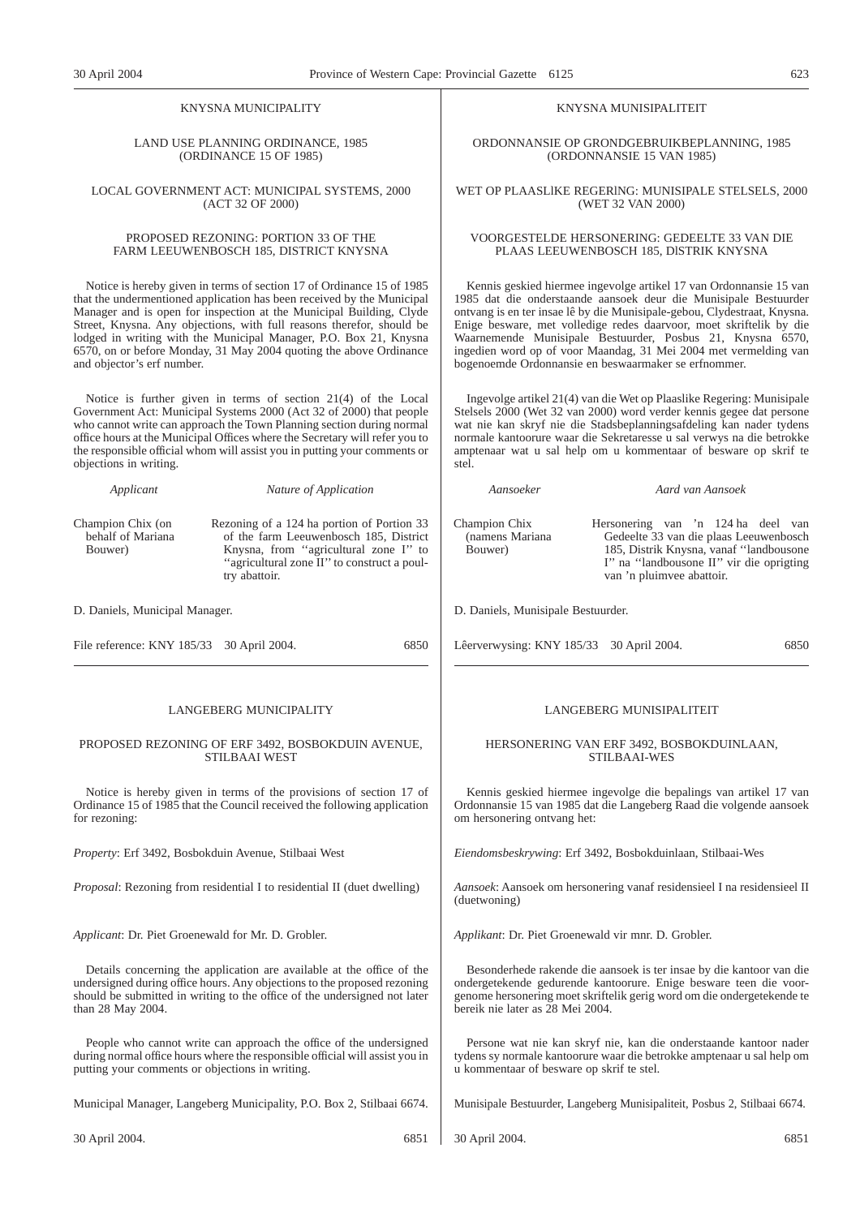## KNYSNA MUNICIPALITY

## LAND USE PLANNING ORDINANCE, 1985 (ORDINANCE 15 OF 1985)

LOCAL GOVERNMENT ACT: MUNICIPAL SYSTEMS, 2000 (ACT 32 OF 2000)

## PROPOSED REZONING: PORTION 33 OF THE FARM LEEUWENBOSCH 185, DISTRICT KNYSNA

Notice is hereby given in terms of section 17 of Ordinance 15 of 1985 that the undermentioned application has been received by the Municipal Manager and is open for inspection at the Municipal Building, Clyde Street, Knysna. Any objections, with full reasons therefor, should be lodged in writing with the Municipal Manager, P.O. Box 21, Knysna 6570, on or before Monday, 31 May 2004 quoting the above Ordinance and objector's erf number.

Notice is further given in terms of section 21(4) of the Local Government Act: Municipal Systems 2000 (Act 32 of 2000) that people who cannot write can approach the Town Planning section during normal office hours at the Municipal Offices where the Secretary will refer you to the responsible official whom will assist you in putting your comments or objections in writing.

Champion Chix (on behalf of Mariana Bouwer) Rezoning of a 124 ha portion of Portion 33 of the farm Leeuwenbosch 185, District Knysna, from ''agricultural zone I'' to ''agricultural zone II''to construct a poultry abattoir.

*Applicant Nature of Application*

D. Daniels, Municipal Manager.

| File reference: KNY 185/33 30 April 2004. |  | 6850 |
|-------------------------------------------|--|------|
|                                           |  |      |

## LANGEBERG MUNICIPALITY

## PROPOSED REZONING OF ERF 3492, BOSBOKDUIN AVENUE, STILBAAI WEST

Notice is hereby given in terms of the provisions of section 17 of Ordinance 15 of 1985 that the Council received the following application for rezoning:

*Property*: Erf 3492, Bosbokduin Avenue, Stilbaai West

*Proposal*: Rezoning from residential I to residential II (duet dwelling)

*Applicant*: Dr. Piet Groenewald for Mr. D. Grobler.

Details concerning the application are available at the office of the undersigned during office hours. Any objections to the proposed rezoning should be submitted in writing to the office of the undersigned not later than 28 May 2004.

People who cannot write can approach the office of the undersigned during normal office hours where the responsible official will assist you in putting your comments or objections in writing.

Municipal Manager, Langeberg Municipality, P.O. Box 2, Stilbaai 6674.

30 April 2004. 6851

KNYSNA MUNISIPALITEIT

ORDONNANSIE OP GRONDGEBRUIKBEPLANNING, 1985 (ORDONNANSIE 15 VAN 1985)

WET OP PLAASLlKE REGERlNG: MUNISIPALE STELSELS, 2000 (WET 32 VAN 2000)

## VOORGESTELDE HERSONERING: GEDEELTE 33 VAN DIE PLAAS LEEUWENBOSCH 185, DlSTRIK KNYSNA

Kennis geskied hiermee ingevolge artikel 17 van Ordonnansie 15 van 1985 dat die onderstaande aansoek deur die Munisipale Bestuurder ontvang is en ter insae lê by die Munisipale-gebou, Clydestraat, Knysna. Enige besware, met volledige redes daarvoor, moet skriftelik by die Waarnemende Munisipale Bestuurder, Posbus 21, Knysna 6570, ingedien word op of voor Maandag, 31 Mei 2004 met vermelding van bogenoemde Ordonnansie en beswaarmaker se erfnommer.

Ingevolge artikel 21(4) van die Wet op Plaaslike Regering: Munisipale Stelsels 2000 (Wet 32 van 2000) word verder kennis gegee dat persone wat nie kan skryf nie die Stadsbeplanningsafdeling kan nader tydens normale kantoorure waar die Sekretaresse u sal verwys na die betrokke amptenaar wat u sal help om u kommentaar of besware op skrif te stel.

*Aansoeker Aard van Aansoek*

Hersonering van 'n 124 ha deel van Gedeelte 33 van die plaas Leeuwenbosch

Champion Chix (namens Mariana Bouwer)

185, Distrik Knysna, vanaf ''landbousone I'' na ''landbousone II'' vir die oprigting van 'n pluimvee abattoir.

D. Daniels, Munisipale Bestuurder.

Lêerverwysing: KNY 185/33 30 April 2004. 6850

## LANGEBERG MUNISIPALITEIT

## HERSONERING VAN ERF 3492, BOSBOKDUINLAAN, STILBAAI-WES

Kennis geskied hiermee ingevolge die bepalings van artikel 17 van Ordonnansie 15 van 1985 dat die Langeberg Raad die volgende aansoek om hersonering ontvang het:

*Eiendomsbeskrywing*: Erf 3492, Bosbokduinlaan, Stilbaai-Wes

*Aansoek*: Aansoek om hersonering vanaf residensieel I na residensieel II (duetwoning)

*Applikant*: Dr. Piet Groenewald vir mnr. D. Grobler.

Besonderhede rakende die aansoek is ter insae by die kantoor van die ondergetekende gedurende kantoorure. Enige besware teen die voorgenome hersonering moet skriftelik gerig word om die ondergetekende te bereik nie later as 28 Mei 2004.

Persone wat nie kan skryf nie, kan die onderstaande kantoor nader tydens sy normale kantoorure waar die betrokke amptenaar u sal help om u kommentaar of besware op skrif te stel.

Munisipale Bestuurder, Langeberg Munisipaliteit, Posbus 2, Stilbaai 6674.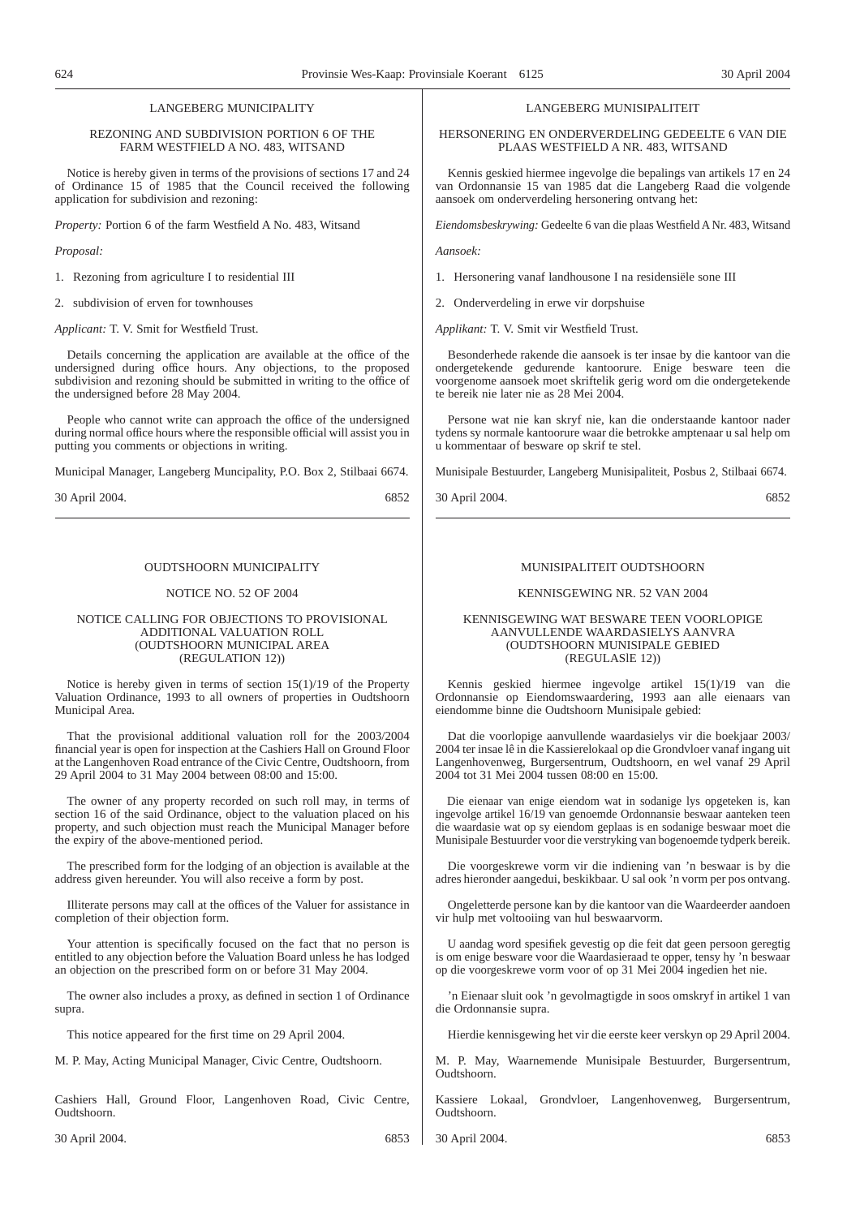## LANGEBERG MUNICIPALITY

## REZONING AND SUBDIVISION PORTION 6 OF THE FARM WESTFIELD A NO. 483, WITSAND

Notice is hereby given in terms of the provisions of sections 17 and 24 of Ordinance 15 of 1985 that the Council received the following application for subdivision and rezoning:

*Property:* Portion 6 of the farm Westfield A No. 483, Witsand

*Proposal:*

1. Rezoning from agriculture I to residential III

2. subdivision of erven for townhouses

*Applicant:* T. V. Smit for Westfield Trust.

Details concerning the application are available at the office of the undersigned during office hours. Any objections, to the proposed subdivision and rezoning should be submitted in writing to the office of the undersigned before 28 May 2004.

People who cannot write can approach the office of the undersigned during normal office hours where the responsible official will assist you in putting you comments or objections in writing.

Municipal Manager, Langeberg Muncipality, P.O. Box 2, Stilbaai 6674.

30 April 2004. 6852

## OUDTSHOORN MUNICIPALITY

## NOTICE NO. 52 OF 2004

## NOTICE CALLING FOR OBJECTIONS TO PROVISIONAL ADDITIONAL VALUATION ROLL (OUDTSHOORN MUNICIPAL AREA (REGULATION 12))

Notice is hereby given in terms of section 15(1)/19 of the Property Valuation Ordinance, 1993 to all owners of properties in Oudtshoorn Municipal Area.

That the provisional additional valuation roll for the 2003/2004 financial year is open for inspection at the Cashiers Hall on Ground Floor at the Langenhoven Road entrance of the Civic Centre, Oudtshoorn, from 29 April 2004 to 31 May 2004 between 08:00 and 15:00.

The owner of any property recorded on such roll may, in terms of section 16 of the said Ordinance, object to the valuation placed on his property, and such objection must reach the Municipal Manager before the expiry of the above-mentioned period.

The prescribed form for the lodging of an objection is available at the address given hereunder. You will also receive a form by post.

Illiterate persons may call at the offices of the Valuer for assistance in completion of their objection form.

Your attention is specifically focused on the fact that no person is entitled to any objection before the Valuation Board unless he has lodged an objection on the prescribed form on or before 31 May 2004.

The owner also includes a proxy, as defined in section 1 of Ordinance supra.

This notice appeared for the first time on 29 April 2004.

M. P. May, Acting Municipal Manager, Civic Centre, Oudtshoorn.

Cashiers Hall, Ground Floor, Langenhoven Road, Civic Centre, Oudtshoorn.

30 April 2004. 6853

LANGEBERG MUNISIPALITEIT

HERSONERING EN ONDERVERDELING GEDEELTE 6 VAN DIE PLAAS WESTFIELD A NR. 483, WITSAND

Kennis geskied hiermee ingevolge die bepalings van artikels 17 en 24 van Ordonnansie 15 van 1985 dat die Langeberg Raad die volgende aansoek om onderverdeling hersonering ontvang het:

*Eiendomsbeskrywing:* Gedeelte 6 van die plaas Westfield A Nr. 483, Witsand

*Aansoek:*

- 1. Hersonering vanaf landhousone I na residensiële sone III
- 2. Onderverdeling in erwe vir dorpshuise

*Applikant:* T. V. Smit vir Westfield Trust.

Besonderhede rakende die aansoek is ter insae by die kantoor van die ondergetekende gedurende kantoorure. Enige besware teen die voorgenome aansoek moet skriftelik gerig word om die ondergetekende te bereik nie later nie as 28 Mei 2004.

Persone wat nie kan skryf nie, kan die onderstaande kantoor nader tydens sy normale kantoorure waar die betrokke amptenaar u sal help om u kommentaar of besware op skrif te stel.

Munisipale Bestuurder, Langeberg Munisipaliteit, Posbus 2, Stilbaai 6674.

30 April 2004. 6852

## MUNISIPALITEIT OUDTSHOORN

## KENNISGEWING NR. 52 VAN 2004

## KENNISGEWING WAT BESWARE TEEN VOORLOPIGE AANVULLENDE WAARDASIELYS AANVRA (OUDTSHOORN MUNISIPALE GEBIED (REGULASlE 12))

Kennis geskied hiermee ingevolge artikel 15(1)/19 van die Ordonnansie op Eiendomswaardering, 1993 aan alle eienaars van eiendomme binne die Oudtshoorn Munisipale gebied:

Dat die voorlopige aanvullende waardasielys vir die boekjaar 2003/ 2004 ter insae lê in die Kassierelokaal op die Grondvloer vanaf ingang uit Langenhovenweg, Burgersentrum, Oudtshoorn, en wel vanaf 29 April 2004 tot 31 Mei 2004 tussen 08:00 en 15:00.

Die eienaar van enige eiendom wat in sodanige lys opgeteken is, kan ingevolge artikel 16/19 van genoemde Ordonnansie beswaar aanteken teen die waardasie wat op sy eiendom geplaas is en sodanige beswaar moet die Munisipale Bestuurder voor die verstryking van bogenoemde tydperk bereik.

Die voorgeskrewe vorm vir die indiening van 'n beswaar is by die adres hieronder aangedui, beskikbaar. U sal ook 'n vorm per pos ontvang.

Ongeletterde persone kan by die kantoor van die Waardeerder aandoen vir hulp met voltooiing van hul beswaarvorm.

U aandag word spesifiek gevestig op die feit dat geen persoon geregtig is om enige besware voor die Waardasieraad te opper, tensy hy 'n beswaar op die voorgeskrewe vorm voor of op 31 Mei 2004 ingedien het nie.

'n Eienaar sluit ook 'n gevolmagtigde in soos omskryf in artikel 1 van die Ordonnansie supra.

Hierdie kennisgewing het vir die eerste keer verskyn op 29 April 2004.

M. P. May, Waarnemende Munisipale Bestuurder, Burgersentrum, Oudtshoorn.

Kassiere Lokaal, Grondvloer, Langenhovenweg, Burgersentrum, Oudtshoorn.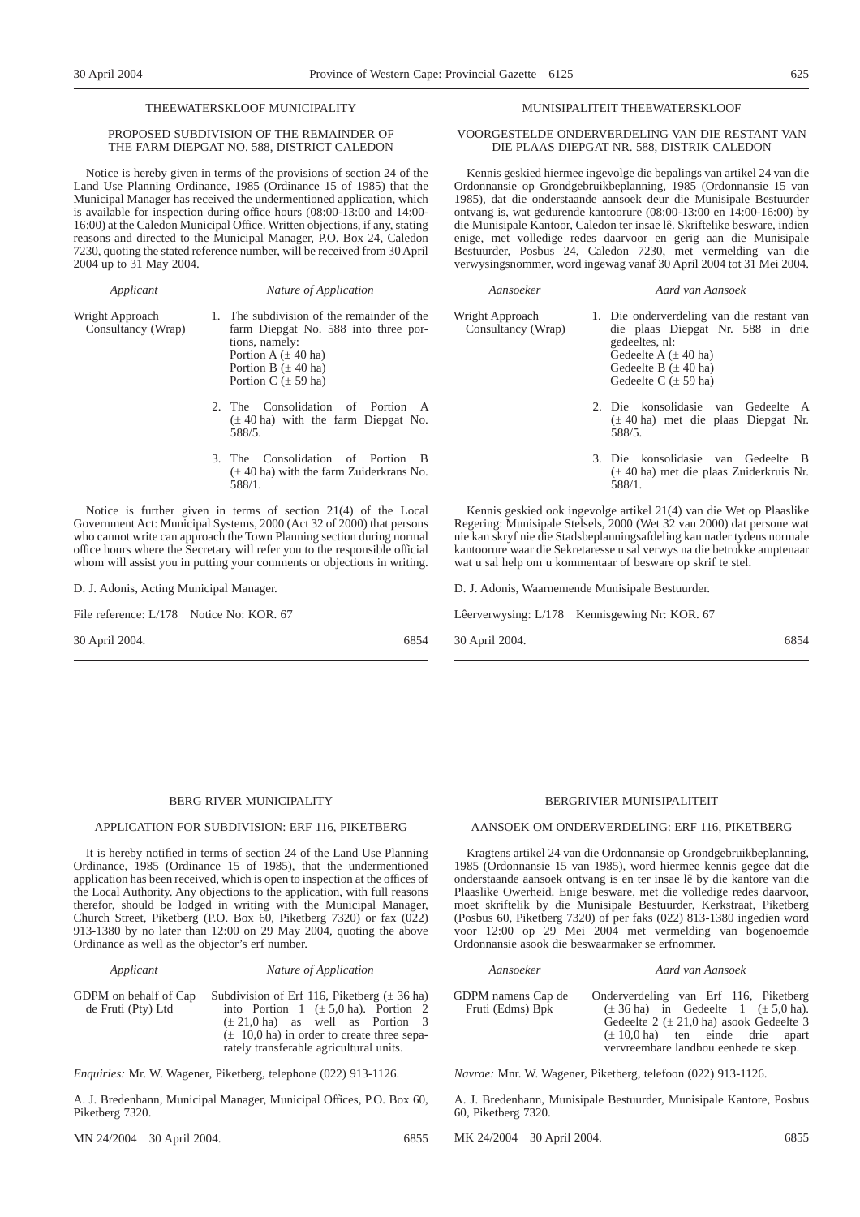## THEEWATERSKLOOF MUNICIPALITY

## PROPOSED SUBDIVISION OF THE REMAINDER OF THE FARM DIEPGAT NO. 588, DISTRICT CALEDON

Notice is hereby given in terms of the provisions of section 24 of the Land Use Planning Ordinance, 1985 (Ordinance 15 of 1985) that the Municipal Manager has received the undermentioned application, which is available for inspection during office hours (08:00-13:00 and 14:00- 16:00) at the Caledon Municipal Office. Written objections, if any, stating reasons and directed to the Municipal Manager, P.O. Box 24, Caledon 7230, quoting the stated reference number, will be received from 30 April 2004 up to 31 May 2004.

| Applicant                             | Nature of Application                                                                                                                                                                                                                                                                             |
|---------------------------------------|---------------------------------------------------------------------------------------------------------------------------------------------------------------------------------------------------------------------------------------------------------------------------------------------------|
| Wright Approach<br>Consultancy (Wrap) | 1. The subdivision of the remainder of the<br>farm Diepgat No. 588 into three por-<br>tions, namely:<br>Portion A $(\pm 40$ ha)<br>Portion B $(\pm 40$ ha)<br>Portion C $(\pm 59$ ha)                                                                                                             |
|                                       | 2. The Consolidation of Portion A<br>$(\pm 40 \text{ ha})$ with the farm Diepgat No.<br>588/5.                                                                                                                                                                                                    |
|                                       | 3. The Consolidation of Portion B<br>$(\pm 40$ ha) with the farm Zuiderkrans No.<br>588/1.                                                                                                                                                                                                        |
|                                       | Notice is further given in terms of section $21(4)$ of the Local<br>Government Act: Municipal Systems, 2000 (Act 32 of 2000) that persons<br>who cannot write can approach the Town Planning section during normal<br>office hours where the Secretary will refer you to the responsible official |

whom will assist you in putting your comments or objections in writing.

D. J. Adonis, Acting Municipal Manager.

File reference: L/178 Notice No: KOR. 67

30 April 2004. 6854

## BERG RIVER MUNICIPALITY APPLICATION FOR SUBDIVISION: ERF 116, PIKETBERG

It is hereby notified in terms of section 24 of the Land Use Planning Ordinance, 1985 (Ordinance 15 of 1985), that the undermentioned application has been received, which is open to inspection at the offices of the Local Authority. Any objections to the application, with full reasons therefor, should be lodged in writing with the Municipal Manager, Church Street, Piketberg (P.O. Box 60, Piketberg 7320) or fax (022) 913-1380 by no later than 12:00 on 29 May 2004, quoting the above Ordinance as well as the objector's erf number.

## *Applicant Nature of Application*

GDPM on behalf of Cap de Fruti (Pty) Ltd Subdivision of Erf 116, Piketberg  $(\pm 36$  ha) into Portion 1 ( $\pm$  5,0 ha). Portion 2  $(\pm 21,0 \text{ ha})$  as well as Portion 3  $(\pm 10,0)$  ha) in order to create three separately transferable agricultural units.

*Enquiries:* Mr. W. Wagener, Piketberg, telephone (022) 913-1126.

A. J. Bredenhann, Municipal Manager, Municipal Offices, P.O. Box 60, Piketberg 7320.

MN 24/2004 30 April 2004. 6855

## MUNISIPALITEIT THEEWATERSKLOOF

## VOORGESTELDE ONDERVERDELING VAN DIE RESTANT VAN DIE PLAAS DIEPGAT NR. 588, DISTRIK CALEDON

Kennis geskied hiermee ingevolge die bepalings van artikel 24 van die Ordonnansie op Grondgebruikbeplanning, 1985 (Ordonnansie 15 van 1985), dat die onderstaande aansoek deur die Munisipale Bestuurder ontvang is, wat gedurende kantoorure (08:00-13:00 en 14:00-16:00) by die Munisipale Kantoor, Caledon ter insae lê. Skriftelike besware, indien enige, met volledige redes daarvoor en gerig aan die Munisipale Bestuurder, Posbus 24, Caledon 7230, met vermelding van die verwysingsnommer, word ingewag vanaf 30 April 2004 tot 31 Mei 2004.

*Aansoeker Aard van Aansoek* Wright Approach Consultancy (Wrap) 1. Die onderverdeling van die restant van die plaas Diepgat Nr. 588 in drie gedeeltes, nl:

- Gedeelte A  $(\pm 40$  ha) Gedeelte B  $(\pm 40$  ha) Gedeelte C  $(± 59$  ha) 2. Die konsolidasie van Gedeelte A
- (± 40 ha) met die plaas Diepgat Nr. 588/5.
- 3. Die konsolidasie van Gedeelte B (± 40 ha) met die plaas Zuiderkruis Nr. 588/1.

Kennis geskied ook ingevolge artikel 21(4) van die Wet op Plaaslike Regering: Munisipale Stelsels, 2000 (Wet 32 van 2000) dat persone wat nie kan skryf nie die Stadsbeplanningsafdeling kan nader tydens normale kantoorure waar die Sekretaresse u sal verwys na die betrokke amptenaar wat u sal help om u kommentaar of besware op skrif te stel.

D. J. Adonis, Waarnemende Munisipale Bestuurder.

Lêerverwysing: L/178 Kennisgewing Nr: KOR. 67

30 April 2004. 6854

## BERGRIVIER MUNISIPALITEIT

## AANSOEK OM ONDERVERDELING: ERF 116, PIKETBERG

Kragtens artikel 24 van die Ordonnansie op Grondgebruikbeplanning, 1985 (Ordonnansie 15 van 1985), word hiermee kennis gegee dat die onderstaande aansoek ontvang is en ter insae lê by die kantore van die Plaaslike Owerheid. Enige besware, met die volledige redes daarvoor, moet skriftelik by die Munisipale Bestuurder, Kerkstraat, Piketberg (Posbus 60, Piketberg 7320) of per faks (022) 813-1380 ingedien word voor 12:00 op 29 Mei 2004 met vermelding van bogenoemde Ordonnansie asook die beswaarmaker se erfnommer.

## *Aansoeker Aard van Aansoek*

Onderverdeling van Erf 116, Piketberg  $(\pm 36 \text{ ha})$  in Gedeelte 1  $(\pm 5.0 \text{ ha})$ . Gedeelte 2 ( $\pm$  21,0 ha) asook Gedeelte 3  $(\pm 10,0)$  ha) ten einde drie apart vervreembare landbou eenhede te skep.

*Navrae:* Mnr. W. Wagener, Piketberg, telefoon (022) 913-1126.

A. J. Bredenhann, Munisipale Bestuurder, Munisipale Kantore, Posbus 60, Piketberg 7320.

MK 24/2004 30 April 2004. 6855

## GDPM namens Cap de Fruti (Edms) Bpk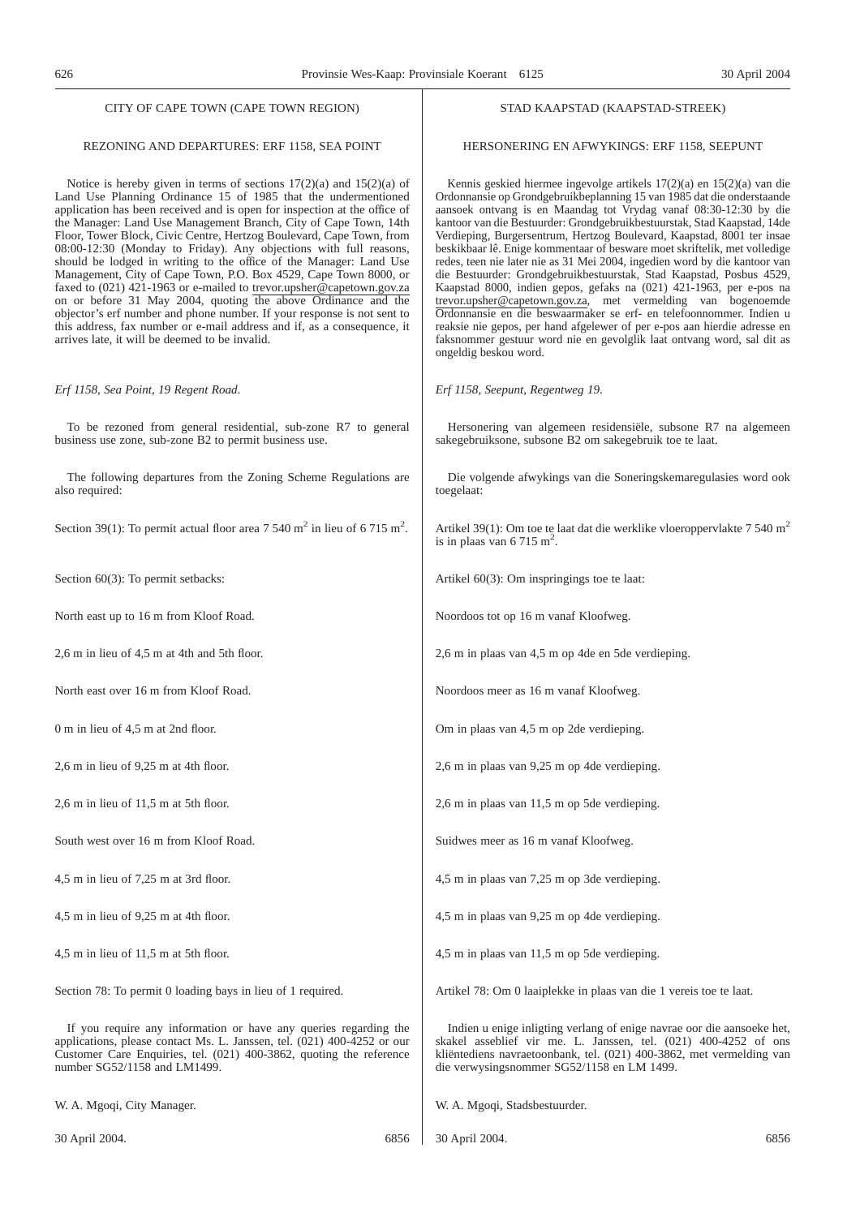## REZONING AND DEPARTURES: ERF 1158, SEA POINT

Notice is hereby given in terms of sections 17(2)(a) and 15(2)(a) of Land Use Planning Ordinance 15 of 1985 that the undermentioned application has been received and is open for inspection at the office of the Manager: Land Use Management Branch, City of Cape Town, 14th Floor, Tower Block, Civic Centre, Hertzog Boulevard, Cape Town, from 08:00-12:30 (Monday to Friday). Any objections with full reasons, should be lodged in writing to the office of the Manager: Land Use Management, City of Cape Town, P.O. Box 4529, Cape Town 8000, or faxed to (021) 421-1963 or e-mailed to trevor.upsher@capetown.gov.za on or before 31 May 2004, quoting the above Ordinance and the objector's erf number and phone number. If your response is not sent to this address, fax number or e-mail address and if, as a consequence, it arrives late, it will be deemed to be invalid.

*Erf 1158, Sea Point, 19 Regent Road*.

To be rezoned from general residential, sub-zone R7 to general business use zone, sub-zone B2 to permit business use.

The following departures from the Zoning Scheme Regulations are also required:

Section 39(1): To permit actual floor area  $7540 \text{ m}^2$  in lieu of  $6715 \text{ m}^2$ .

Section 60(3): To permit setbacks:

North east up to 16 m from Kloof Road.

2,6 m in lieu of 4,5 m at 4th and 5th floor.

North east over 16 m from Kloof Road.

 $0 \text{ m}$  in lieu of  $4.5 \text{ m}$  at 2nd floor.

2,6 m in lieu of 9,25 m at 4th floor.

2,6 m in lieu of 11,5 m at 5th floor.

South west over 16 m from Kloof Road.

4,5 m in lieu of 7,25 m at 3rd floor.

4,5 m in lieu of 9,25 m at 4th floor.

4,5 m in lieu of 11,5 m at 5th floor.

Section 78: To permit 0 loading bays in lieu of 1 required.

If you require any information or have any queries regarding the applications, please contact Ms. L. Janssen, tel. (021) 400-4252 or our Customer Care Enquiries, tel. (021) 400-3862, quoting the reference number SG52/1158 and LM1499.

W. A. Mgoqi, City Manager.

## STAD KAAPSTAD (KAAPSTAD-STREEK)

## HERSONERING EN AFWYKINGS: ERF 1158, SEEPUNT

Kennis geskied hiermee ingevolge artikels 17(2)(a) en 15(2)(a) van die Ordonnansie op Grondgebruikbeplanning 15 van 1985 dat die onderstaande aansoek ontvang is en Maandag tot Vrydag vanaf 08:30-12:30 by die kantoor van die Bestuurder: Grondgebruikbestuurstak, Stad Kaapstad, 14de Verdieping, Burgersentrum, Hertzog Boulevard, Kaapstad, 8001 ter insae beskikbaar lê. Enige kommentaar of besware moet skriftelik, met volledige redes, teen nie later nie as 31 Mei 2004, ingedien word by die kantoor van die Bestuurder: Grondgebruikbestuurstak, Stad Kaapstad, Posbus 4529, Kaapstad 8000, indien gepos, gefaks na (021) 421-1963, per e-pos na trevor.upsher@capetown.gov.za, met vermelding van bogenoemde Ordonnansie en die beswaarmaker se erf- en telefoonnommer. Indien u reaksie nie gepos, per hand afgelewer of per e-pos aan hierdie adresse en faksnommer gestuur word nie en gevolglik laat ontvang word, sal dit as ongeldig beskou word.

*Erf 1158, Seepunt, Regentweg 19*.

Hersonering van algemeen residensiële, subsone R7 na algemeen sakegebruiksone, subsone B2 om sakegebruik toe te laat.

Die volgende afwykings van die Soneringskemaregulasies word ook toegelaat:

Artikel 39(1): Om toe te laat dat die werklike vloeroppervlakte 7 540 m<sup>2</sup> is in plaas van 6 715 m<sup>2</sup>.

Artikel 60(3): Om inspringings toe te laat:

Noordoos tot op 16 m vanaf Kloofweg.

2,6 m in plaas van 4,5 m op 4de en 5de verdieping.

Noordoos meer as 16 m vanaf Kloofweg.

Om in plaas van 4,5 m op 2de verdieping.

2,6 m in plaas van 9,25 m op 4de verdieping.

2,6 m in plaas van 11,5 m op 5de verdieping.

Suidwes meer as 16 m vanaf Kloofweg.

4,5 m in plaas van 7,25 m op 3de verdieping.

4,5 m in plaas van 9,25 m op 4de verdieping.

4,5 m in plaas van 11,5 m op 5de verdieping.

Artikel 78: Om 0 laaiplekke in plaas van die 1 vereis toe te laat.

Indien u enige inligting verlang of enige navrae oor die aansoeke het, skakel asseblief vir me. L. Janssen, tel. (021) 400-4252 of ons kliëntediens navraetoonbank, tel. (021) 400-3862, met vermelding van die verwysingsnommer SG52/1158 en LM 1499.

W. A. Mgoqi, Stadsbestuurder.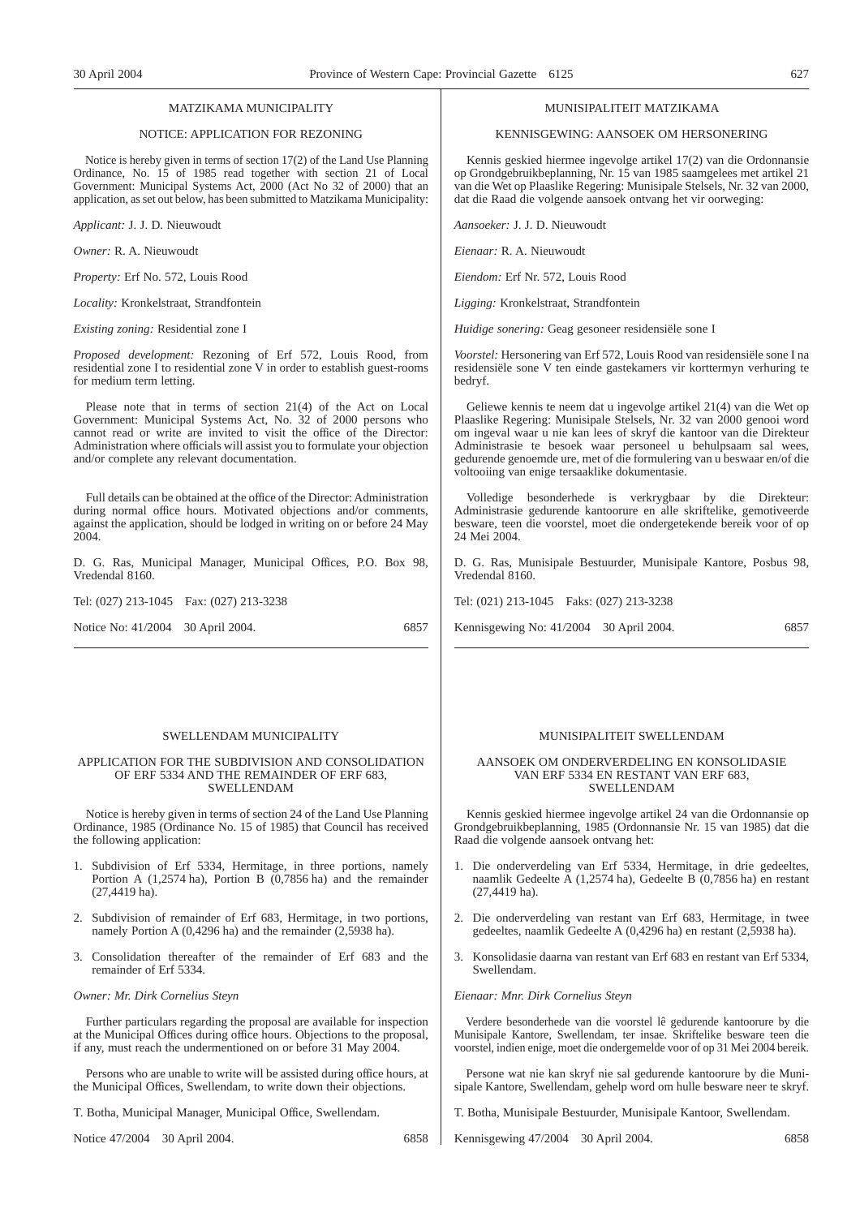## MATZIKAMA MUNICIPALITY

## NOTICE: APPLICATION FOR REZONING

Notice is hereby given in terms of section 17(2) of the Land Use Planning Ordinance, No. 15 of 1985 read together with section 21 of Local Government: Municipal Systems Act, 2000 (Act No 32 of 2000) that an application, as set out below, has been submitted to Matzikama Municipality:

*Applicant:* J. J. D. Nieuwoudt

*Owner:* R. A. Nieuwoudt

*Property:* Erf No. 572, Louis Rood

*Locality:* Kronkelstraat, Strandfontein

*Existing zoning:* Residential zone I

*Proposed development:* Rezoning of Erf 572, Louis Rood, from residential zone I to residential zone V in order to establish guest-rooms for medium term letting.

Please note that in terms of section 21(4) of the Act on Local Government: Municipal Systems Act, No. 32 of 2000 persons who cannot read or write are invited to visit the office of the Director: Administration where officials will assist you to formulate your objection and/or complete any relevant documentation.

Full details can be obtained at the office of the Director: Administration during normal office hours. Motivated objections and/or comments, against the application, should be lodged in writing on or before 24 May 2004

D. G. Ras, Municipal Manager, Municipal Offices, P.O. Box 98, Vredendal 8160.

Tel: (027) 213-1045 Fax: (027) 213-3238

Notice No: 41/2004 30 April 2004. 6857

## SWELLENDAM MUNICIPALITY

## APPLICATION FOR THE SUBDIVISION AND CONSOLIDATION OF ERF 5334 AND THE REMAINDER OF ERF 683, SWELLENDAM

Notice is hereby given in terms of section 24 of the Land Use Planning Ordinance, 1985 (Ordinance No. 15 of 1985) that Council has received the following application:

- 1. Subdivision of Erf 5334, Hermitage, in three portions, namely Portion A (1,2574 ha), Portion B (0,7856 ha) and the remainder (27,4419 ha).
- 2. Subdivision of remainder of Erf 683, Hermitage, in two portions, namely Portion A (0,4296 ha) and the remainder (2,5938 ha).
- 3. Consolidation thereafter of the remainder of Erf 683 and the remainder of Erf 5334.

## *Owner: Mr. Dirk Cornelius Steyn*

Further particulars regarding the proposal are available for inspection at the Municipal Offices during office hours. Objections to the proposal, if any, must reach the undermentioned on or before 31 May 2004.

Persons who are unable to write will be assisted during office hours, at the Municipal Offices, Swellendam, to write down their objections.

T. Botha, Municipal Manager, Municipal Office, Swellendam.

Notice 47/2004 30 April 2004. 6858

### MUNISIPALITEIT MATZIKAMA

## KENNISGEWING: AANSOEK OM HERSONERING

Kennis geskied hiermee ingevolge artikel 17(2) van die Ordonnansie op Grondgebruikbeplanning, Nr. 15 van 1985 saamgelees met artikel 21 van die Wet op Plaaslike Regering: Munisipale Stelsels, Nr. 32 van 2000, dat die Raad die volgende aansoek ontvang het vir oorweging:

*Aansoeker:* J. J. D. Nieuwoudt

*Eienaar:* R. A. Nieuwoudt

*Eiendom:* Erf Nr. 572, Louis Rood

*Ligging:* Kronkelstraat, Strandfontein

*Huidige sonering:* Geag gesoneer residensiële sone I

*Voorstel:* Hersonering van Erf 572, Louis Rood van residensiële sone I na residensiële sone V ten einde gastekamers vir korttermyn verhuring te bedryf.

Geliewe kennis te neem dat u ingevolge artikel 21(4) van die Wet op Plaaslike Regering: Munisipale Stelsels, Nr. 32 van 2000 genooi word om ingeval waar u nie kan lees of skryf die kantoor van die Direkteur Administrasie te besoek waar personeel u behulpsaam sal wees, gedurende genoemde ure, met of die formulering van u beswaar en/of die voltooiing van enige tersaaklike dokumentasie.

Volledige besonderhede is verkrygbaar by die Direkteur: Administrasie gedurende kantoorure en alle skriftelike, gemotiveerde besware, teen die voorstel, moet die ondergetekende bereik voor of op 24 Mei 2004.

D. G. Ras, Munisipale Bestuurder, Munisipale Kantore, Posbus 98, Vredendal 8160.

Tel: (021) 213-1045 Faks: (027) 213-3238

Kennisgewing No: 41/2004 30 April 2004. 6857

## MUNISIPALITEIT SWELLENDAM

## AANSOEK OM ONDERVERDELING EN KONSOLIDASIE VAN ERF 5334 EN RESTANT VAN ERF 683, SWELLENDAM

Kennis geskied hiermee ingevolge artikel 24 van die Ordonnansie op Grondgebruikbeplanning, 1985 (Ordonnansie Nr. 15 van 1985) dat die Raad die volgende aansoek ontvang het:

- 1. Die onderverdeling van Erf 5334, Hermitage, in drie gedeeltes, naamlik Gedeelte A (1,2574 ha), Gedeelte B (0,7856 ha) en restant (27,4419 ha).
- 2. Die onderverdeling van restant van Erf 683, Hermitage, in twee gedeeltes, naamlik Gedeelte A (0,4296 ha) en restant (2,5938 ha).
- 3. Konsolidasie daarna van restant van Erf 683 en restant van Erf 5334, Swellendam.

## *Eienaar: Mnr. Dirk Cornelius Steyn*

Verdere besonderhede van die voorstel lê gedurende kantoorure by die Munisipale Kantore, Swellendam, ter insae. Skriftelike besware teen die voorstel, indien enige, moet die ondergemelde voor of op 31 Mei 2004 bereik.

Persone wat nie kan skryf nie sal gedurende kantoorure by die Munisipale Kantore, Swellendam, gehelp word om hulle besware neer te skryf.

T. Botha, Munisipale Bestuurder, Munisipale Kantoor, Swellendam.

Kennisgewing 47/2004 30 April 2004. 6858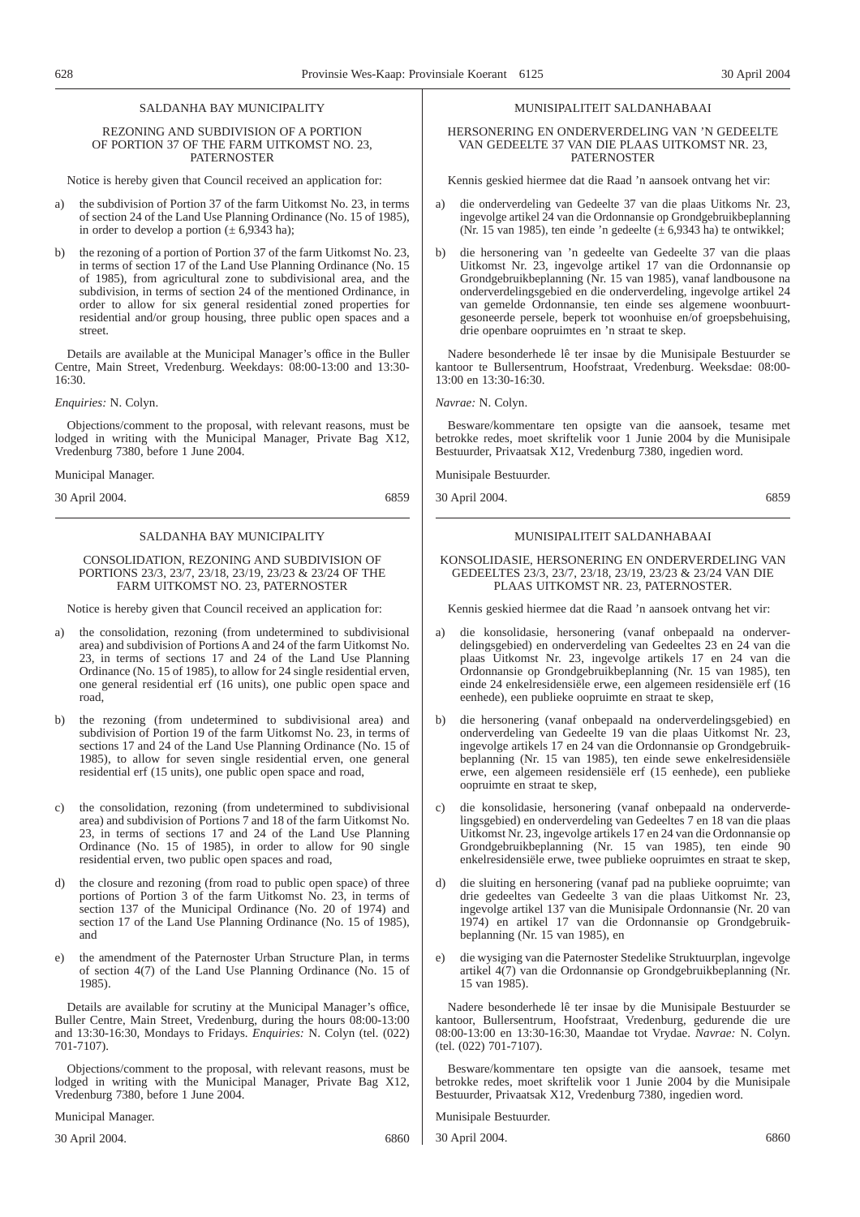## SALDANHA BAY MUNICIPALITY

## REZONING AND SUBDIVISION OF A PORTION OF PORTION 37 OF THE FARM UITKOMST NO. 23, PATERNOSTER

Notice is hereby given that Council received an application for:

- a) the subdivision of Portion 37 of the farm Uitkomst No. 23, in terms of section 24 of the Land Use Planning Ordinance (No. 15 of 1985), in order to develop a portion ( $\pm$  6,9343 ha);
- b) the rezoning of a portion of Portion 37 of the farm Uitkomst No. 23, in terms of section 17 of the Land Use Planning Ordinance (No. 15 of 1985), from agricultural zone to subdivisional area, and the subdivision, in terms of section 24 of the mentioned Ordinance, in order to allow for six general residential zoned properties for residential and/or group housing, three public open spaces and a street.

Details are available at the Municipal Manager's office in the Buller Centre, Main Street, Vredenburg. Weekdays: 08:00-13:00 and 13:30- 16:30.

*Enquiries:* N. Colyn.

Objections/comment to the proposal, with relevant reasons, must be lodged in writing with the Municipal Manager, Private Bag X12, Vredenburg 7380, before 1 June 2004.

Municipal Manager.

30 April 2004. 6859

## SALDANHA BAY MUNICIPALITY

## CONSOLIDATION, REZONING AND SUBDIVISION OF PORTIONS 23/3, 23/7, 23/18, 23/19, 23/23 & 23/24 OF THE FARM UITKOMST NO. 23, PATERNOSTER

Notice is hereby given that Council received an application for:

- a) the consolidation, rezoning (from undetermined to subdivisional area) and subdivision of Portions A and 24 of the farm Uitkomst No. 23, in terms of sections 17 and 24 of the Land Use Planning Ordinance (No. 15 of 1985), to allow for 24 single residential erven, one general residential erf (16 units), one public open space and road,
- b) the rezoning (from undetermined to subdivisional area) and subdivision of Portion 19 of the farm Uitkomst No. 23, in terms of sections 17 and 24 of the Land Use Planning Ordinance (No. 15 of 1985), to allow for seven single residential erven, one general residential erf (15 units), one public open space and road,
- c) the consolidation, rezoning (from undetermined to subdivisional area) and subdivision of Portions 7 and 18 of the farm Uitkomst No. 23, in terms of sections 17 and 24 of the Land Use Planning Ordinance (No. 15 of 1985), in order to allow for 90 single residential erven, two public open spaces and road,
- the closure and rezoning (from road to public open space) of three portions of Portion 3 of the farm Uitkomst No. 23, in terms of section 137 of the Municipal Ordinance (No. 20 of 1974) and section 17 of the Land Use Planning Ordinance (No. 15 of 1985), and
- e) the amendment of the Paternoster Urban Structure Plan, in terms of section 4(7) of the Land Use Planning Ordinance (No. 15 of 1985).

Details are available for scrutiny at the Municipal Manager's office, Buller Centre, Main Street, Vredenburg, during the hours 08:00-13:00 and 13:30-16:30, Mondays to Fridays. *Enquiries:* N. Colyn (tel. (022) 701-7107).

Objections/comment to the proposal, with relevant reasons, must be lodged in writing with the Municipal Manager, Private Bag X12, Vredenburg 7380, before 1 June 2004.

Municipal Manager.

30 April 2004. 6860

## MUNISIPALITEIT SALDANHABAAI

## HERSONERING EN ONDERVERDELING VAN 'N GEDEELTE VAN GEDEELTE 37 VAN DIE PLAAS UITKOMST NR. 23, PATERNOSTER

Kennis geskied hiermee dat die Raad 'n aansoek ontvang het vir:

- a) die onderverdeling van Gedeelte 37 van die plaas Uitkoms Nr. 23, ingevolge artikel 24 van die Ordonnansie op Grondgebruikbeplanning (Nr. 15 van 1985), ten einde 'n gedeelte  $(\pm 6.9343 \text{ ha})$  te ontwikkel;
- b) die hersonering van 'n gedeelte van Gedeelte 37 van die plaas Uitkomst Nr. 23, ingevolge artikel 17 van die Ordonnansie op Grondgebruikbeplanning (Nr. 15 van 1985), vanaf landbousone na onderverdelingsgebied en die onderverdeling, ingevolge artikel 24 van gemelde Ordonnansie, ten einde ses algemene woonbuurtgesoneerde persele, beperk tot woonhuise en/of groepsbehuising, drie openbare oopruimtes en 'n straat te skep.

Nadere besonderhede lê ter insae by die Munisipale Bestuurder se kantoor te Bullersentrum, Hoofstraat, Vredenburg. Weeksdae: 08:00- 13:00 en 13:30-16:30.

## *Navrae:* N. Colyn.

Besware/kommentare ten opsigte van die aansoek, tesame met betrokke redes, moet skriftelik voor 1 Junie 2004 by die Munisipale Bestuurder, Privaatsak X12, Vredenburg 7380, ingedien word.

Munisipale Bestuurder.

30 April 2004. 6859

## MUNISIPALITEIT SALDANHABAAI

KONSOLIDASIE, HERSONERING EN ONDERVERDELING VAN GEDEELTES 23/3, 23/7, 23/18, 23/19, 23/23 & 23/24 VAN DIE PLAAS UITKOMST NR. 23, PATERNOSTER.

Kennis geskied hiermee dat die Raad 'n aansoek ontvang het vir:

- a) die konsolidasie, hersonering (vanaf onbepaald na onderverdelingsgebied) en onderverdeling van Gedeeltes 23 en 24 van die plaas Uitkomst Nr. 23, ingevolge artikels 17 en 24 van die Ordonnansie op Grondgebruikbeplanning (Nr. 15 van 1985), ten einde 24 enkelresidensiële erwe, een algemeen residensiële erf (16 eenhede), een publieke oopruimte en straat te skep,
- b) die hersonering (vanaf onbepaald na onderverdelingsgebied) en onderverdeling van Gedeelte 19 van die plaas Uitkomst Nr. 23, ingevolge artikels 17 en 24 van die Ordonnansie op Grondgebruikbeplanning (Nr. 15 van 1985), ten einde sewe enkelresidensiële erwe, een algemeen residensiële erf (15 eenhede), een publieke oopruimte en straat te skep,
- c) die konsolidasie, hersonering (vanaf onbepaald na onderverdelingsgebied) en onderverdeling van Gedeeltes 7 en 18 van die plaas Uitkomst Nr. 23, ingevolge artikels 17 en 24 van die Ordonnansie op Grondgebruikbeplanning (Nr. 15 van 1985), ten einde 90 enkelresidensiële erwe, twee publieke oopruimtes en straat te skep,
- die sluiting en hersonering (vanaf pad na publieke oopruimte; van drie gedeeltes van Gedeelte 3 van die plaas Uitkomst Nr. 23, ingevolge artikel 137 van die Munisipale Ordonnansie (Nr. 20 van 1974) en artikel 17 van die Ordonnansie op Grondgebruikbeplanning (Nr. 15 van 1985), en
- e) die wysiging van die Paternoster Stedelike Struktuurplan, ingevolge artikel 4(7) van die Ordonnansie op Grondgebruikbeplanning (Nr. 15 van 1985).

Nadere besonderhede lê ter insae by die Munisipale Bestuurder se kantoor, Bullersentrum, Hoofstraat, Vredenburg, gedurende die ure 08:00-13:00 en 13:30-16:30, Maandae tot Vrydae. *Navrae:* N. Colyn. (tel. (022) 701-7107).

Besware/kommentare ten opsigte van die aansoek, tesame met betrokke redes, moet skriftelik voor 1 Junie 2004 by die Munisipale Bestuurder, Privaatsak X12, Vredenburg 7380, ingedien word.

Munisipale Bestuurder.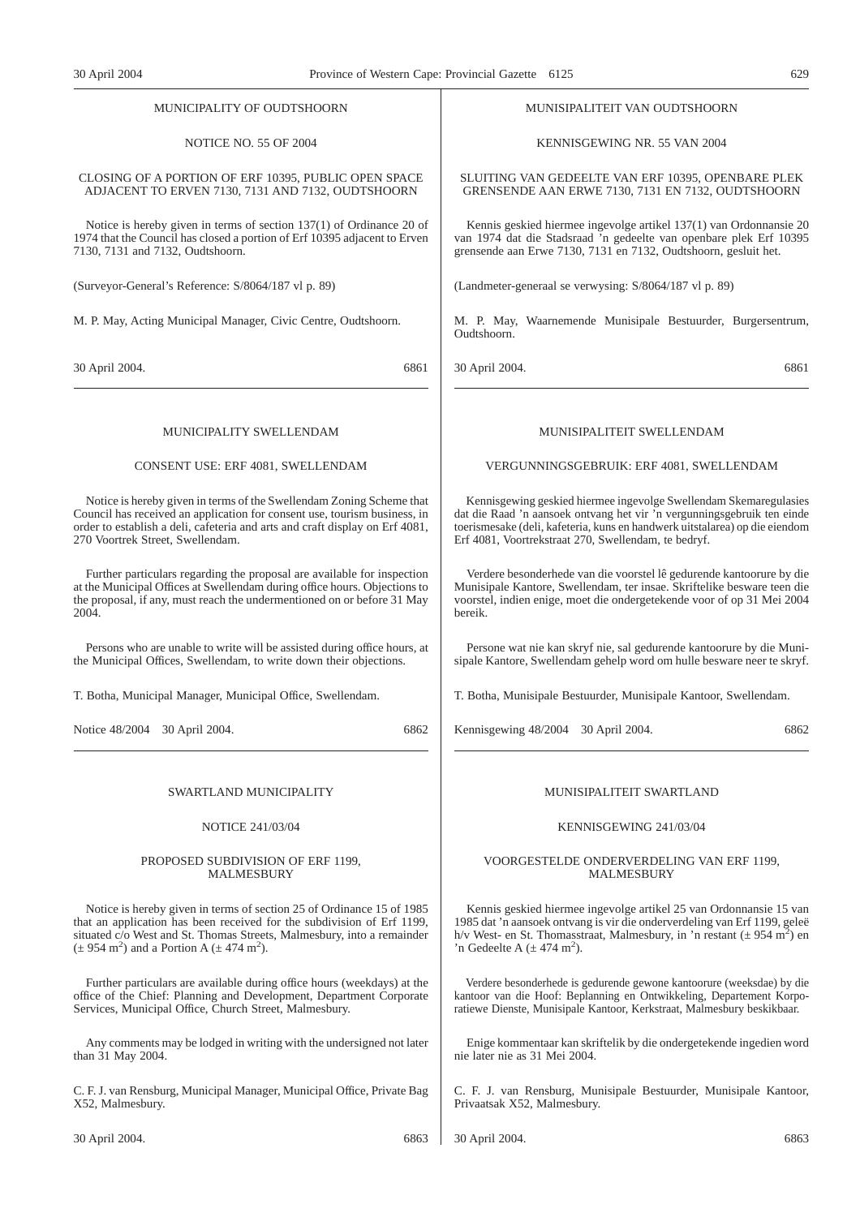| MUNICIPALITY OF OUDTSHOORN                                                   | MUNISIPALITEIT VAN OUDTSHOORN                                                            |
|------------------------------------------------------------------------------|------------------------------------------------------------------------------------------|
| <b>NOTICE NO. 55 OF 2004</b>                                                 | KENNISGEWING NR. 55 VAN 2004                                                             |
| CLOSING OF A PORTION OF ERF 10395, PUBLIC OPEN SPACE                         | SLUITING VAN GEDEELTE VAN ERF 10395, OPENBARE PLEK                                       |
| ADJACENT TO ERVEN 7130, 7131 AND 7132, OUDTSHOORN                            | GRENSENDE AAN ERWE 7130, 7131 EN 7132, OUDTSHOORN                                        |
| Notice is hereby given in terms of section $137(1)$ of Ordinance 20 of       | Kennis geskied hiermee ingevolge artikel 137(1) van Ordonnansie 20                       |
| 1974 that the Council has closed a portion of Erf 10395 adjacent to Erven    | van 1974 dat die Stadsraad 'n gedeelte van openbare plek Erf 10395                       |
| 7130, 7131 and 7132, Oudtshoorn.                                             | grensende aan Erwe 7130, 7131 en 7132, Oudtshoorn, gesluit het.                          |
| (Surveyor-General's Reference: S/8064/187 vl p. 89)                          | (Landmeter-generaal se verwysing: S/8064/187 vl p. 89)                                   |
| M. P. May, Acting Municipal Manager, Civic Centre, Oudtshoorn.               | M. P. May, Waarnemende Munisipale Bestuurder, Burgersentrum,<br>Oudtshoorn.              |
| 6861                                                                         | 30 April 2004.                                                                           |
| 30 April 2004.                                                               | 6861                                                                                     |
| MUNICIPALITY SWELLENDAM                                                      | MUNISIPALITEIT SWELLENDAM                                                                |
| CONSENT USE: ERF 4081, SWELLENDAM                                            | VERGUNNINGSGEBRUIK: ERF 4081, SWELLENDAM                                                 |
| Notice is hereby given in terms of the Swellendam Zoning Scheme that         | Kennisgewing geskied hiermee ingevolge Swellendam Skemaregulasies                        |
| Council has received an application for consent use, tourism business, in    | dat die Raad 'n aansoek ontvang het vir 'n vergunningsgebruik ten einde                  |
| order to establish a deli, cafeteria and arts and craft display on Erf 4081, | toerismesake (deli, kafeteria, kuns en handwerk uitstalarea) op die eiendom              |
| 270 Voortrek Street, Swellendam.                                             | Erf 4081, Voortrekstraat 270, Swellendam, te bedryf.                                     |
| Further particulars regarding the proposal are available for inspection      | Verdere besonderhede van die voorstel lê gedurende kantoorure by die                     |
| at the Municipal Offices at Swellendam during office hours. Objections to    | Munisipale Kantore, Swellendam, ter insae. Skriftelike besware teen die                  |
| the proposal, if any, must reach the undermentioned on or before 31 May      | voorstel, indien enige, moet die ondergetekende voor of op 31 Mei 2004                   |
| 2004.                                                                        | bereik.                                                                                  |
| Persons who are unable to write will be assisted during office hours, at     | Persone wat nie kan skryf nie, sal gedurende kantoorure by die Muni-                     |
| the Municipal Offices, Swellendam, to write down their objections.           | sipale Kantore, Swellendam gehelp word om hulle besware neer te skryf.                   |
| T. Botha, Municipal Manager, Municipal Office, Swellendam.                   | T. Botha, Munisipale Bestuurder, Munisipale Kantoor, Swellendam.                         |
| Notice 48/2004 30 April 2004.                                                | Kennisgewing 48/2004 30 April 2004.                                                      |
| 6862                                                                         | 6862                                                                                     |
| SWARTLAND MUNICIPALITY                                                       | MUNISIPALITEIT SWARTLAND                                                                 |
| <b>NOTICE 241/03/04</b>                                                      | KENNISGEWING 241/03/04                                                                   |
| PROPOSED SUBDIVISION OF ERF 1199,                                            | VOORGESTELDE ONDERVERDELING VAN ERF 1199,                                                |
| <b>MALMESBURY</b>                                                            | <b>MALMESBURY</b>                                                                        |
| Notice is hereby given in terms of section 25 of Ordinance 15 of 1985        | Kennis geskied hiermee ingevolge artikel 25 van Ordonnansie 15 van                       |
| that an application has been received for the subdivision of Erf 1199,       | 1985 dat 'n aansoek ontvang is vir die onderverdeling van Erf 1199, geleë                |
| situated c/o West and St. Thomas Streets, Malmesbury, into a remainder       | h/v West- en St. Thomasstraat, Malmesbury, in 'n restant ( $\pm$ 954 m <sup>2</sup> ) en |
| $(\pm 954 \text{ m}^2)$ and a Portion A $(\pm 474 \text{ m}^2)$ .            | 'n Gedeelte A $(\pm 474 \text{ m}^2)$ .                                                  |
| Further particulars are available during office hours (weekdays) at the      | Verdere besonderhede is gedurende gewone kantoorure (weeksdae) by die                    |
| office of the Chief: Planning and Development, Department Corporate          | kantoor van die Hoof: Beplanning en Ontwikkeling, Departement Korpo-                     |
| Services, Municipal Office, Church Street, Malmesbury.                       | ratiewe Dienste, Munisipale Kantoor, Kerkstraat, Malmesbury beskikbaar.                  |

Any comments may be lodged in writing with the undersigned not later than 31 May 2004.

C. F. J. van Rensburg, Municipal Manager, Municipal Office, Private Bag X52, Malmesbury.

Enige kommentaar kan skriftelik by die ondergetekende ingedien word nie later nie as 31 Mei 2004.

C. F. J. van Rensburg, Munisipale Bestuurder, Munisipale Kantoor, Privaatsak X52, Malmesbury.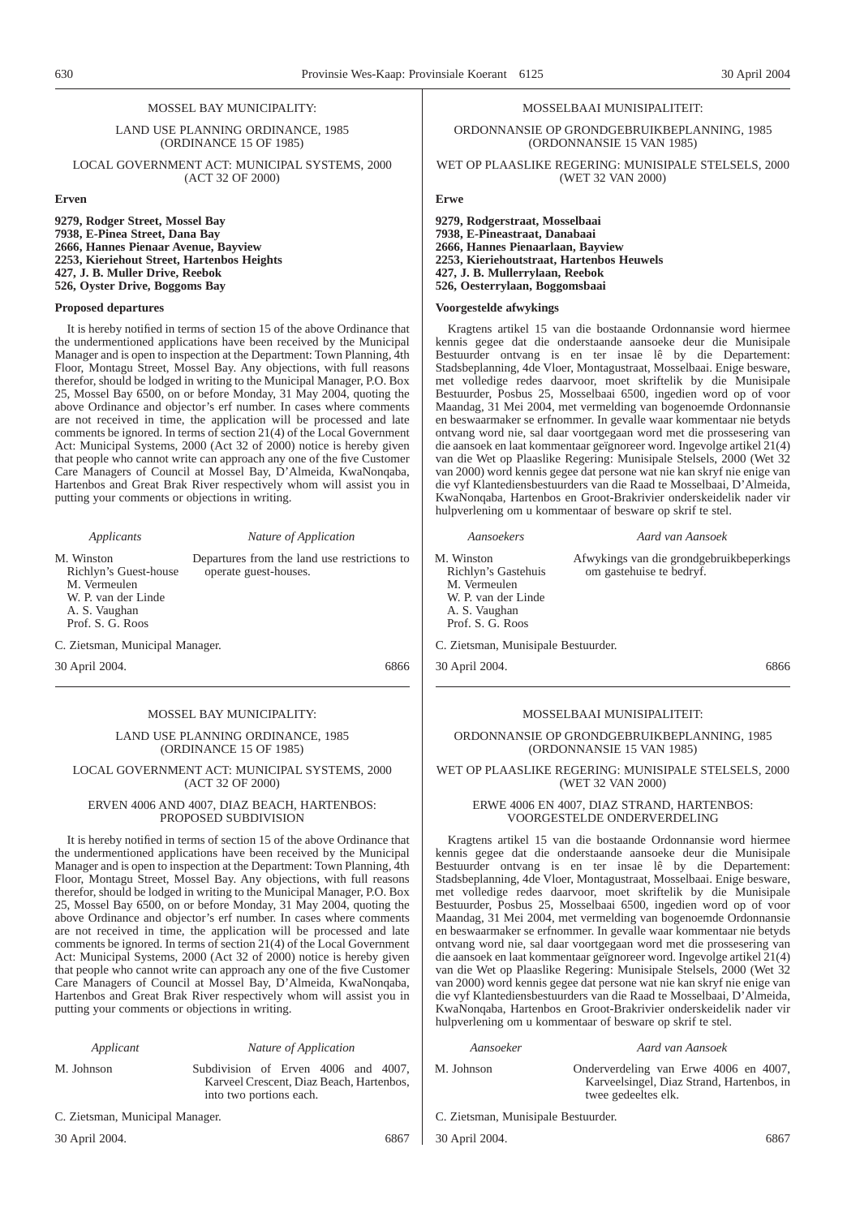## MOSSEL BAY MUNICIPALITY:

LAND USE PLANNING ORDINANCE, 1985 (ORDINANCE 15 OF 1985)

LOCAL GOVERNMENT ACT: MUNICIPAL SYSTEMS, 2000 (ACT 32 OF 2000)

**Erven**

**9279, Rodger Street, Mossel Bay 7938, E-Pinea Street, Dana Bay 2666, Hannes Pienaar Avenue, Bayview 2253, Kieriehout Street, Hartenbos Heights 427, J. B. Muller Drive, Reebok 526, Oyster Drive, Boggoms Bay**

## **Proposed departures**

It is hereby notified in terms of section 15 of the above Ordinance that the undermentioned applications have been received by the Municipal Manager and is open to inspection at the Department: Town Planning, 4th Floor, Montagu Street, Mossel Bay. Any objections, with full reasons therefor, should be lodged in writing to the Municipal Manager, P.O. Box 25, Mossel Bay 6500, on or before Monday, 31 May 2004, quoting the above Ordinance and objector's erf number. In cases where comments are not received in time, the application will be processed and late comments be ignored. In terms of section 21(4) of the Local Government Act: Municipal Systems, 2000 (Act 32 of 2000) notice is hereby given that people who cannot write can approach any one of the five Customer Care Managers of Council at Mossel Bay, D'Almeida, KwaNonqaba, Hartenbos and Great Brak River respectively whom will assist you in putting your comments or objections in writing.

*Applicants Nature of Application* M. Winston Richlyn's Guest-house M. Vermeulen W. P. van der Linde A. S. Vaughan Prof. S. G. Roos Departures from the land use restrictions to operate guest-houses.

C. Zietsman, Municipal Manager.

30 April 2004. 6866

## MOSSEL BAY MUNICIPALITY:

LAND USE PLANNING ORDINANCE, 1985 (ORDINANCE 15 OF 1985)

## LOCAL GOVERNMENT ACT: MUNICIPAL SYSTEMS, 2000 (ACT 32 OF 2000)

## ERVEN 4006 AND 4007, DIAZ BEACH, HARTENBOS: PROPOSED SUBDIVISION

It is hereby notified in terms of section 15 of the above Ordinance that the undermentioned applications have been received by the Municipal Manager and is open to inspection at the Department: Town Planning, 4th Floor, Montagu Street, Mossel Bay. Any objections, with full reasons therefor, should be lodged in writing to the Municipal Manager, P.O. Box 25, Mossel Bay 6500, on or before Monday, 31 May 2004, quoting the above Ordinance and objector's erf number. In cases where comments are not received in time, the application will be processed and late comments be ignored. In terms of section 21(4) of the Local Government Act: Municipal Systems, 2000 (Act 32 of 2000) notice is hereby given that people who cannot write can approach any one of the five Customer Care Managers of Council at Mossel Bay, D'Almeida, KwaNonqaba, Hartenbos and Great Brak River respectively whom will assist you in putting your comments or objections in writing.

*Applicant Nature of Application* M. Johnson Subdivision of Erven 4006 and 4007, Karveel Crescent, Diaz Beach, Hartenbos, into two portions each.

C. Zietsman, Municipal Manager.

30 April 2004. 6867

### MOSSELBAAI MUNISIPALITEIT:

ORDONNANSIE OP GRONDGEBRUIKBEPLANNING, 1985 (ORDONNANSIE 15 VAN 1985)

WET OP PLAASLIKE REGERING: MUNISIPALE STELSELS, 2000 (WET 32 VAN 2000)

**Erwe**

**9279, Rodgerstraat, Mosselbaai 7938, E-Pineastraat, Danabaai 2666, Hannes Pienaarlaan, Bayview 2253, Kieriehoutstraat, Hartenbos Heuwels 427, J. B. Mullerrylaan, Reebok 526, Oesterrylaan, Boggomsbaai**

## **Voorgestelde afwykings**

Kragtens artikel 15 van die bostaande Ordonnansie word hiermee kennis gegee dat die onderstaande aansoeke deur die Munisipale Bestuurder ontvang is en ter insae lê by die Departement: Stadsbeplanning, 4de Vloer, Montagustraat, Mosselbaai. Enige besware, met volledige redes daarvoor, moet skriftelik by die Munisipale Bestuurder, Posbus 25, Mosselbaai 6500, ingedien word op of voor Maandag, 31 Mei 2004, met vermelding van bogenoemde Ordonnansie en beswaarmaker se erfnommer. In gevalle waar kommentaar nie betyds ontvang word nie, sal daar voortgegaan word met die prossesering van die aansoek en laat kommentaar geïgnoreer word. Ingevolge artikel 21(4) van die Wet op Plaaslike Regering: Munisipale Stelsels, 2000 (Wet 32 van 2000) word kennis gegee dat persone wat nie kan skryf nie enige van die vyf Klantediensbestuurders van die Raad te Mosselbaai, D'Almeida, KwaNonqaba, Hartenbos en Groot-Brakrivier onderskeidelik nader vir hulpverlening om u kommentaar of besware op skrif te stel.

*Aansoekers Aard van Aansoek* M. Winston Richlyn's Gastehuis M. Vermeulen W. P. van der Linde A. S. Vaughan Prof. S. G. Roos Afwykings van die grondgebruikbeperkings om gastehuise te bedryf. C. Zietsman, Munisipale Bestuurder. 30 April 2004. 6866

## MOSSELBAAI MUNISIPALITEIT:

ORDONNANSIE OP GRONDGEBRUIKBEPLANNING, 1985 (ORDONNANSIE 15 VAN 1985)

WET OP PLAASLIKE REGERING: MUNISIPALE STELSELS, 2000 (WET 32 VAN 2000)

## ERWE 4006 EN 4007, DIAZ STRAND, HARTENBOS: VOORGESTELDE ONDERVERDELING

Kragtens artikel 15 van die bostaande Ordonnansie word hiermee kennis gegee dat die onderstaande aansoeke deur die Munisipale Bestuurder ontvang is en ter insae lê by die Departement: Stadsbeplanning, 4de Vloer, Montagustraat, Mosselbaai. Enige besware, met volledige redes daarvoor, moet skriftelik by die Munisipale Bestuurder, Posbus 25, Mosselbaai 6500, ingedien word op of voor Maandag, 31 Mei 2004, met vermelding van bogenoemde Ordonnansie en beswaarmaker se erfnommer. In gevalle waar kommentaar nie betyds ontvang word nie, sal daar voortgegaan word met die prossesering van die aansoek en laat kommentaar geïgnoreer word. Ingevolge artikel 21(4) van die Wet op Plaaslike Regering: Munisipale Stelsels, 2000 (Wet 32 van 2000) word kennis gegee dat persone wat nie kan skryf nie enige van die vyf Klantediensbestuurders van die Raad te Mosselbaai, D'Almeida, KwaNonqaba, Hartenbos en Groot-Brakrivier onderskeidelik nader vir hulpverlening om u kommentaar of besware op skrif te stel.

| Aard van Aansoek<br>Aansoeker                                                                                           |  |
|-------------------------------------------------------------------------------------------------------------------------|--|
| M. Johnson<br>Onderverdeling van Erwe 4006 en 4007,<br>Karveelsingel, Diaz Strand, Hartenbos, in<br>twee gedeeltes elk. |  |

C. Zietsman, Munisipale Bestuurder.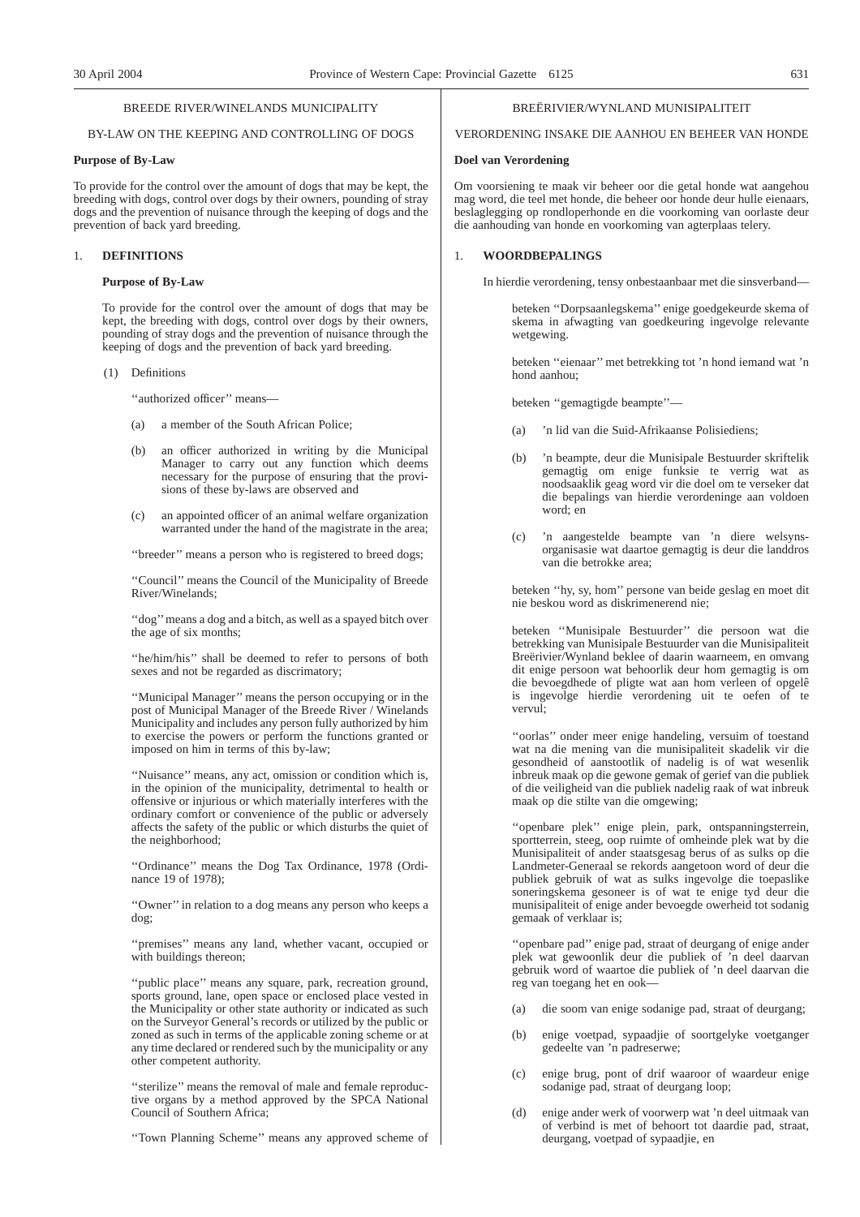## BREEDE RIVER/WINELANDS MUNICIPALITY

## BY-LAW ON THE KEEPING AND CONTROLLING OF DOGS

### **Purpose of By-Law**

To provide for the control over the amount of dogs that may be kept, the breeding with dogs, control over dogs by their owners, pounding of stray dogs and the prevention of nuisance through the keeping of dogs and the prevention of back yard breeding.

## 1. **DEFINITIONS**

## **Purpose of By-Law**

To provide for the control over the amount of dogs that may be kept, the breeding with dogs, control over dogs by their owners, pounding of stray dogs and the prevention of nuisance through the keeping of dogs and the prevention of back yard breeding.

(1) Definitions

''authorized officer'' means—

- (a) a member of the South African Police;
- (b) an officer authorized in writing by die Municipal Manager to carry out any function which deems necessary for the purpose of ensuring that the provisions of these by-laws are observed and
- (c) an appointed officer of an animal welfare organization warranted under the hand of the magistrate in the area;

''breeder'' means a person who is registered to breed dogs;

''Council'' means the Council of the Municipality of Breede River/Winelands;

''dog''means a dog and a bitch, as well as a spayed bitch over the age of six months;

''he/him/his'' shall be deemed to refer to persons of both sexes and not be regarded as discrimatory;

''Municipal Manager'' means the person occupying or in the post of Municipal Manager of the Breede River / Winelands Municipality and includes any person fully authorized by him to exercise the powers or perform the functions granted or imposed on him in terms of this by-law;

''Nuisance'' means, any act, omission or condition which is, in the opinion of the municipality, detrimental to health or offensive or injurious or which materially interferes with the ordinary comfort or convenience of the public or adversely affects the safety of the public or which disturbs the quiet of the neighborhood;

''Ordinance'' means the Dog Tax Ordinance, 1978 (Ordinance 19 of 1978);

''Owner'' in relation to a dog means any person who keeps a dog;

''premises'' means any land, whether vacant, occupied or with buildings thereon;

"public place" means any square, park, recreation ground, sports ground, lane, open space or enclosed place vested in the Municipality or other state authority or indicated as such on the Surveyor General's records or utilized by the public or zoned as such in terms of the applicable zoning scheme or at any time declared or rendered such by the municipality or any other competent authority.

''sterilize'' means the removal of male and female reproductive organs by a method approved by the SPCA National Council of Southern Africa;

''Town Planning Scheme'' means any approved scheme of

## BREËRIVIER/WYNLAND MUNISIPALITEIT

VERORDENING INSAKE DIE AANHOU EN BEHEER VAN HONDE

#### **Doel van Verordening**

Om voorsiening te maak vir beheer oor die getal honde wat aangehou mag word, die teel met honde, die beheer oor honde deur hulle eienaars, beslaglegging op rondloperhonde en die voorkoming van oorlaste deur die aanhouding van honde en voorkoming van agterplaas telery.

## 1. **WOORDBEPALINGS**

In hierdie verordening, tensy onbestaanbaar met die sinsverband—

beteken ''Dorpsaanlegskema'' enige goedgekeurde skema of skema in afwagting van goedkeuring ingevolge relevante wetgewing.

beteken ''eienaar'' met betrekking tot 'n hond iemand wat 'n hond aanhou;

beteken ''gemagtigde beampte''—

- (a) 'n lid van die Suid-Afrikaanse Polisiediens;
- (b) 'n beampte, deur die Munisipale Bestuurder skriftelik gemagtig om enige funksie te verrig wat as noodsaaklik geag word vir die doel om te verseker dat die bepalings van hierdie verordeninge aan voldoen word; en
- (c) 'n aangestelde beampte van 'n diere welsynsorganisasie wat daartoe gemagtig is deur die landdros van die betrokke area;

beteken ''hy, sy, hom'' persone van beide geslag en moet dit nie beskou word as diskrimenerend nie;

beteken ''Munisipale Bestuurder'' die persoon wat die betrekking van Munisipale Bestuurder van die Munisipaliteit Breërivier/Wynland beklee of daarin waarneem, en omvang dit enige persoon wat behoorlik deur hom gemagtig is om die bevoegdhede of pligte wat aan hom verleen of opgelê is ingevolge hierdie verordening uit te oefen of te vervul;

''oorlas'' onder meer enige handeling, versuim of toestand wat na die mening van die munisipaliteit skadelik vir die gesondheid of aanstootlik of nadelig is of wat wesenlik inbreuk maak op die gewone gemak of gerief van die publiek of die veiligheid van die publiek nadelig raak of wat inbreuk maak op die stilte van die omgewing;

''openbare plek'' enige plein, park, ontspanningsterrein, sportterrein, steeg, oop ruimte of omheinde plek wat by die Munisipaliteit of ander staatsgesag berus of as sulks op die Landmeter-Generaal se rekords aangetoon word of deur die publiek gebruik of wat as sulks ingevolge die toepaslike soneringskema gesoneer is of wat te enige tyd deur die munisipaliteit of enige ander bevoegde owerheid tot sodanig gemaak of verklaar is;

''openbare pad'' enige pad, straat of deurgang of enige ander plek wat gewoonlik deur die publiek of 'n deel daarvan gebruik word of waartoe die publiek of 'n deel daarvan die reg van toegang het en ook—

- (a) die soom van enige sodanige pad, straat of deurgang;
- (b) enige voetpad, sypaadjie of soortgelyke voetganger gedeelte van 'n padreserwe;
- (c) enige brug, pont of drif waaroor of waardeur enige sodanige pad, straat of deurgang loop;
- (d) enige ander werk of voorwerp wat 'n deel uitmaak van of verbind is met of behoort tot daardie pad, straat, deurgang, voetpad of sypaadjie, en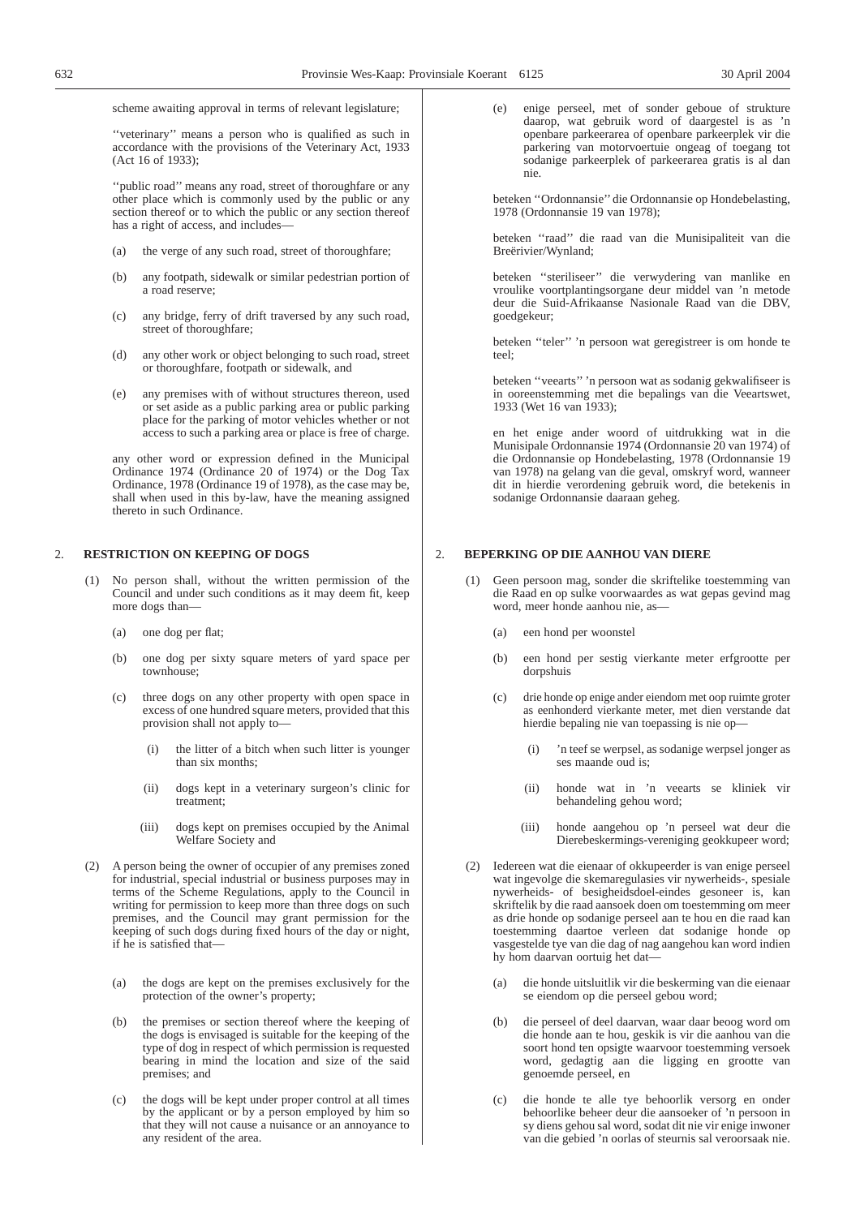scheme awaiting approval in terms of relevant legislature;

''veterinary'' means a person who is qualified as such in accordance with the provisions of the Veterinary Act, 1933 (Act 16 of 1933);

''public road'' means any road, street of thoroughfare or any other place which is commonly used by the public or any section thereof or to which the public or any section thereof has a right of access, and includes-

- (a) the verge of any such road, street of thoroughfare;
- (b) any footpath, sidewalk or similar pedestrian portion of a road reserve;
- (c) any bridge, ferry of drift traversed by any such road, street of thoroughfare;
- (d) any other work or object belonging to such road, street or thoroughfare, footpath or sidewalk, and
- (e) any premises with of without structures thereon, used or set aside as a public parking area or public parking place for the parking of motor vehicles whether or not access to such a parking area or place is free of charge.

any other word or expression defined in the Municipal Ordinance 1974 (Ordinance 20 of 1974) or the Dog Tax Ordinance, 1978 (Ordinance 19 of 1978), as the case may be, shall when used in this by-law, have the meaning assigned thereto in such Ordinance.

## 2. **RESTRICTION ON KEEPING OF DOGS**

- No person shall, without the written permission of the Council and under such conditions as it may deem fit, keep more dogs than-
	- (a) one dog per flat;
	- (b) one dog per sixty square meters of yard space per townhouse;
	- (c) three dogs on any other property with open space in excess of one hundred square meters, provided that this provision shall not apply to—
		- (i) the litter of a bitch when such litter is younger than six months;
		- (ii) dogs kept in a veterinary surgeon's clinic for treatment;
		- (iii) dogs kept on premises occupied by the Animal Welfare Society and
- (2) A person being the owner of occupier of any premises zoned for industrial, special industrial or business purposes may in terms of the Scheme Regulations, apply to the Council in writing for permission to keep more than three dogs on such premises, and the Council may grant permission for the keeping of such dogs during fixed hours of the day or night, if he is satisfied that—
	- (a) the dogs are kept on the premises exclusively for the protection of the owner's property;
	- (b) the premises or section thereof where the keeping of the dogs is envisaged is suitable for the keeping of the type of dog in respect of which permission is requested bearing in mind the location and size of the said premises; and
	- (c) the dogs will be kept under proper control at all times by the applicant or by a person employed by him so that they will not cause a nuisance or an annoyance to any resident of the area.

(e) enige perseel, met of sonder geboue of strukture daarop, wat gebruik word of daargestel is as 'n openbare parkeerarea of openbare parkeerplek vir die parkering van motorvoertuie ongeag of toegang tot sodanige parkeerplek of parkeerarea gratis is al dan nie.

beteken ''Ordonnansie'' die Ordonnansie op Hondebelasting, 1978 (Ordonnansie 19 van 1978);

beteken ''raad'' die raad van die Munisipaliteit van die Breërivier/Wynland;

beteken ''steriliseer'' die verwydering van manlike en vroulike voortplantingsorgane deur middel van 'n metode deur die Suid-Afrikaanse Nasionale Raad van die DBV, goedgekeur;

beteken ''teler'' 'n persoon wat geregistreer is om honde te teel;

beteken ''veearts'' 'n persoon wat as sodanig gekwalifiseer is in ooreenstemming met die bepalings van die Veeartswet, 1933 (Wet 16 van 1933);

en het enige ander woord of uitdrukking wat in die Munisipale Ordonnansie 1974 (Ordonnansie 20 van 1974) of die Ordonnansie op Hondebelasting, 1978 (Ordonnansie 19 van 1978) na gelang van die geval, omskryf word, wanneer dit in hierdie verordening gebruik word, die betekenis in sodanige Ordonnansie daaraan geheg.

## 2. **BEPERKING OP DIE AANHOU VAN DIERE**

- Geen persoon mag, sonder die skriftelike toestemming van die Raad en op sulke voorwaardes as wat gepas gevind mag word, meer honde aanhou nie, as-
	- (a) een hond per woonstel
	- (b) een hond per sestig vierkante meter erfgrootte per dorpshuis
	- (c) drie honde op enige ander eiendom met oop ruimte groter as eenhonderd vierkante meter, met dien verstande dat hierdie bepaling nie van toepassing is nie op—
		- (i) 'n teef se werpsel, as sodanige werpsel jonger as ses maande oud is;
		- (ii) honde wat in 'n veearts se kliniek vir behandeling gehou word;
		- (iii) honde aangehou op 'n perseel wat deur die Dierebeskermings-vereniging geokkupeer word;
- (2) Iedereen wat die eienaar of okkupeerder is van enige perseel wat ingevolge die skemaregulasies vir nywerheids-, spesiale nywerheids- of besigheidsdoel-eindes gesoneer is, kan skriftelik by die raad aansoek doen om toestemming om meer as drie honde op sodanige perseel aan te hou en die raad kan toestemming daartoe verleen dat sodanige honde op vasgestelde tye van die dag of nag aangehou kan word indien hy hom daarvan oortuig het dat—
	- (a) die honde uitsluitlik vir die beskerming van die eienaar se eiendom op die perseel gebou word;
	- (b) die perseel of deel daarvan, waar daar beoog word om die honde aan te hou, geskik is vir die aanhou van die soort hond ten opsigte waarvoor toestemming versoek word, gedagtig aan die ligging en grootte van genoemde perseel, en
	- (c) die honde te alle tye behoorlik versorg en onder behoorlike beheer deur die aansoeker of 'n persoon in sy diens gehou sal word, sodat dit nie vir enige inwoner van die gebied 'n oorlas of steurnis sal veroorsaak nie.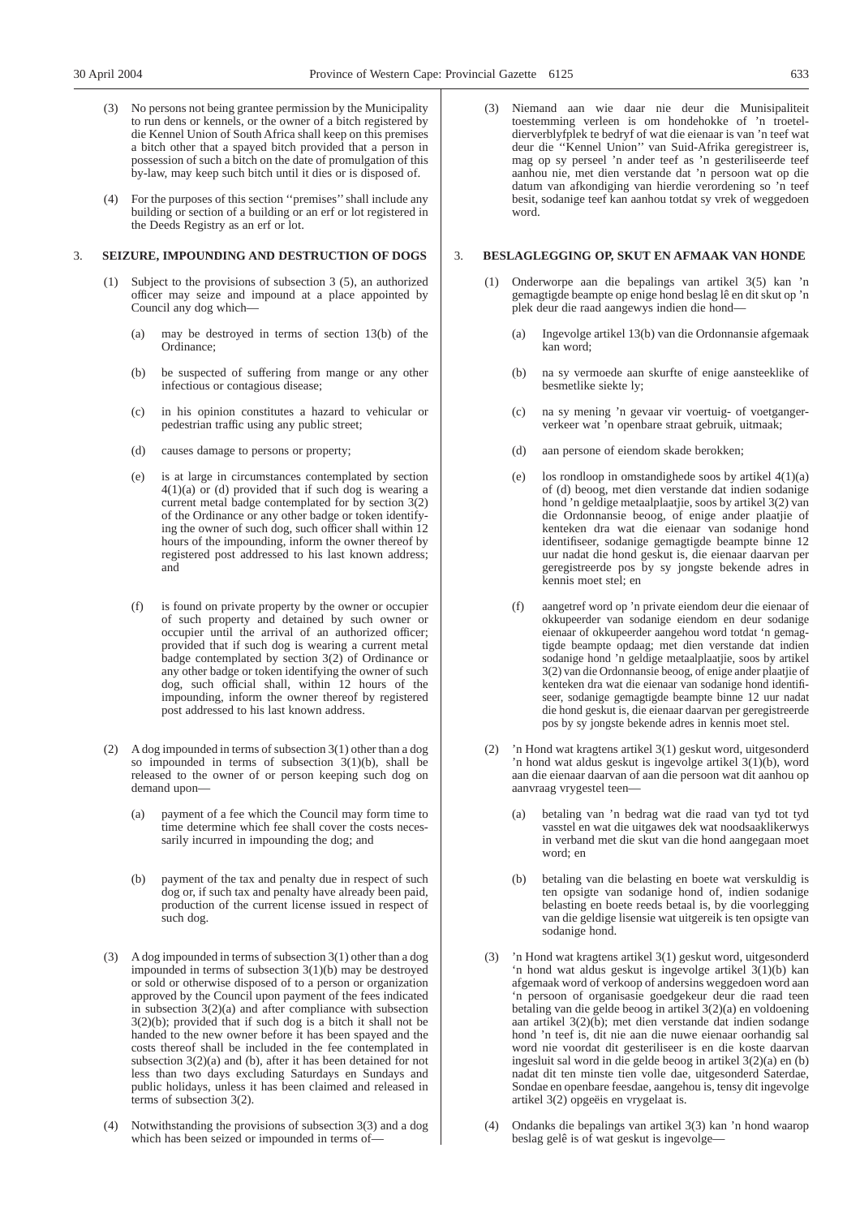- No persons not being grantee permission by the Municipality to run dens or kennels, or the owner of a bitch registered by die Kennel Union of South Africa shall keep on this premises a bitch other that a spayed bitch provided that a person in possession of such a bitch on the date of promulgation of this by-law, may keep such bitch until it dies or is disposed of.
- (4) For the purposes of this section ''premises''shall include any building or section of a building or an erf or lot registered in the Deeds Registry as an erf or lot.

## 3. **SEIZURE, IMPOUNDING AND DESTRUCTION OF DOGS**

- (1) Subject to the provisions of subsection 3 (5), an authorized officer may seize and impound at a place appointed by Council any dog which—
	- (a) may be destroyed in terms of section 13(b) of the Ordinance;
	- (b) be suspected of suffering from mange or any other infectious or contagious disease;
	- (c) in his opinion constitutes a hazard to vehicular or pedestrian traffic using any public street;
	- (d) causes damage to persons or property;
	- (e) is at large in circumstances contemplated by section  $4(1)(a)$  or (d) provided that if such dog is wearing a current metal badge contemplated for by section  $3(2)$ of the Ordinance or any other badge or token identifying the owner of such dog, such officer shall within 12 hours of the impounding, inform the owner thereof by registered post addressed to his last known address; and
	- (f) is found on private property by the owner or occupier of such property and detained by such owner or occupier until the arrival of an authorized officer; provided that if such dog is wearing a current metal badge contemplated by section 3(2) of Ordinance or any other badge or token identifying the owner of such dog, such official shall, within 12 hours of the impounding, inform the owner thereof by registered post addressed to his last known address.
- (2) A dog impounded in terms of subsection 3(1) other than a dog so impounded in terms of subsection  $3(1)(b)$ , shall be released to the owner of or person keeping such dog on demand upon—
	- (a) payment of a fee which the Council may form time to time determine which fee shall cover the costs necessarily incurred in impounding the dog; and
	- (b) payment of the tax and penalty due in respect of such dog or, if such tax and penalty have already been paid, production of the current license issued in respect of such dog.
- (3) A dog impounded in terms of subsection 3(1) other than a dog impounded in terms of subsection 3(1)(b) may be destroyed or sold or otherwise disposed of to a person or organization approved by the Council upon payment of the fees indicated in subsection  $3(2)(a)$  and after compliance with subsection  $3(2)(b)$ ; provided that if such dog is a bitch it shall not be handed to the new owner before it has been spayed and the costs thereof shall be included in the fee contemplated in subsection 3(2)(a) and (b), after it has been detained for not less than two days excluding Saturdays en Sundays and public holidays, unless it has been claimed and released in terms of subsection 3(2).
- (4) Notwithstanding the provisions of subsection 3(3) and a dog which has been seized or impounded in terms of—

(3) Niemand aan wie daar nie deur die Munisipaliteit toestemming verleen is om hondehokke of 'n troeteldierverblyfplek te bedryf of wat die eienaar is van 'n teef wat deur die ''Kennel Union'' van Suid-Afrika geregistreer is, mag op sy perseel 'n ander teef as 'n gesteriliseerde teef aanhou nie, met dien verstande dat 'n persoon wat op die datum van afkondiging van hierdie verordening so 'n teef besit, sodanige teef kan aanhou totdat sy vrek of weggedoen word.

## 3. **BESLAGLEGGING OP, SKUT EN AFMAAK VAN HONDE**

- (1) Onderworpe aan die bepalings van artikel 3(5) kan 'n gemagtigde beampte op enige hond beslag lê en dit skut op 'n plek deur die raad aangewys indien die hond—
	- (a) Ingevolge artikel 13(b) van die Ordonnansie afgemaak kan word;
	- (b) na sy vermoede aan skurfte of enige aansteeklike of besmetlike siekte ly;
	- (c) na sy mening 'n gevaar vir voertuig- of voetgangerverkeer wat 'n openbare straat gebruik, uitmaak;
	- (d) aan persone of eiendom skade berokken;
	- (e) los rondloop in omstandighede soos by artikel 4(1)(a) of (d) beoog, met dien verstande dat indien sodanige hond 'n geldige metaalplaatjie, soos by artikel 3(2) van die Ordonnansie beoog, of enige ander plaatjie of kenteken dra wat die eienaar van sodanige hond identifiseer, sodanige gemagtigde beampte binne 12 uur nadat die hond geskut is, die eienaar daarvan per geregistreerde pos by sy jongste bekende adres in kennis moet stel; en
	- (f) aangetref word op 'n private eiendom deur die eienaar of okkupeerder van sodanige eiendom en deur sodanige eienaar of okkupeerder aangehou word totdat 'n gemagtigde beampte opdaag; met dien verstande dat indien sodanige hond 'n geldige metaalplaatjie, soos by artikel 3(2) van die Ordonnansie beoog, of enige ander plaatjie of kenteken dra wat die eienaar van sodanige hond identifiseer, sodanige gemagtigde beampte binne 12 uur nadat die hond geskut is, die eienaar daarvan per geregistreerde pos by sy jongste bekende adres in kennis moet stel.
- (2) 'n Hond wat kragtens artikel 3(1) geskut word, uitgesonderd 'n hond wat aldus geskut is ingevolge artikel 3(1)(b), word aan die eienaar daarvan of aan die persoon wat dit aanhou op aanvraag vrygestel teen
	- betaling van 'n bedrag wat die raad van tyd tot tyd vasstel en wat die uitgawes dek wat noodsaaklikerwys in verband met die skut van die hond aangegaan moet word; en
	- (b) betaling van die belasting en boete wat verskuldig is ten opsigte van sodanige hond of, indien sodanige belasting en boete reeds betaal is, by die voorlegging van die geldige lisensie wat uitgereik is ten opsigte van sodanige hond.
- (3) 'n Hond wat kragtens artikel 3(1) geskut word, uitgesonderd 'n hond wat aldus geskut is ingevolge artikel  $3(1)(b)$  kan afgemaak word of verkoop of andersins weggedoen word aan 'n persoon of organisasie goedgekeur deur die raad teen betaling van die gelde beoog in artikel 3(2)(a) en voldoening aan artikel 3(2)(b); met dien verstande dat indien sodange hond 'n teef is, dit nie aan die nuwe eienaar oorhandig sal word nie voordat dit gesteriliseer is en die koste daarvan ingesluit sal word in die gelde beoog in artikel 3(2)(a) en (b) nadat dit ten minste tien volle dae, uitgesonderd Saterdae, Sondae en openbare feesdae, aangehou is, tensy dit ingevolge artikel 3(2) opgeëis en vrygelaat is.
- (4) Ondanks die bepalings van artikel 3(3) kan 'n hond waarop beslag gelê is of wat geskut is ingevolge—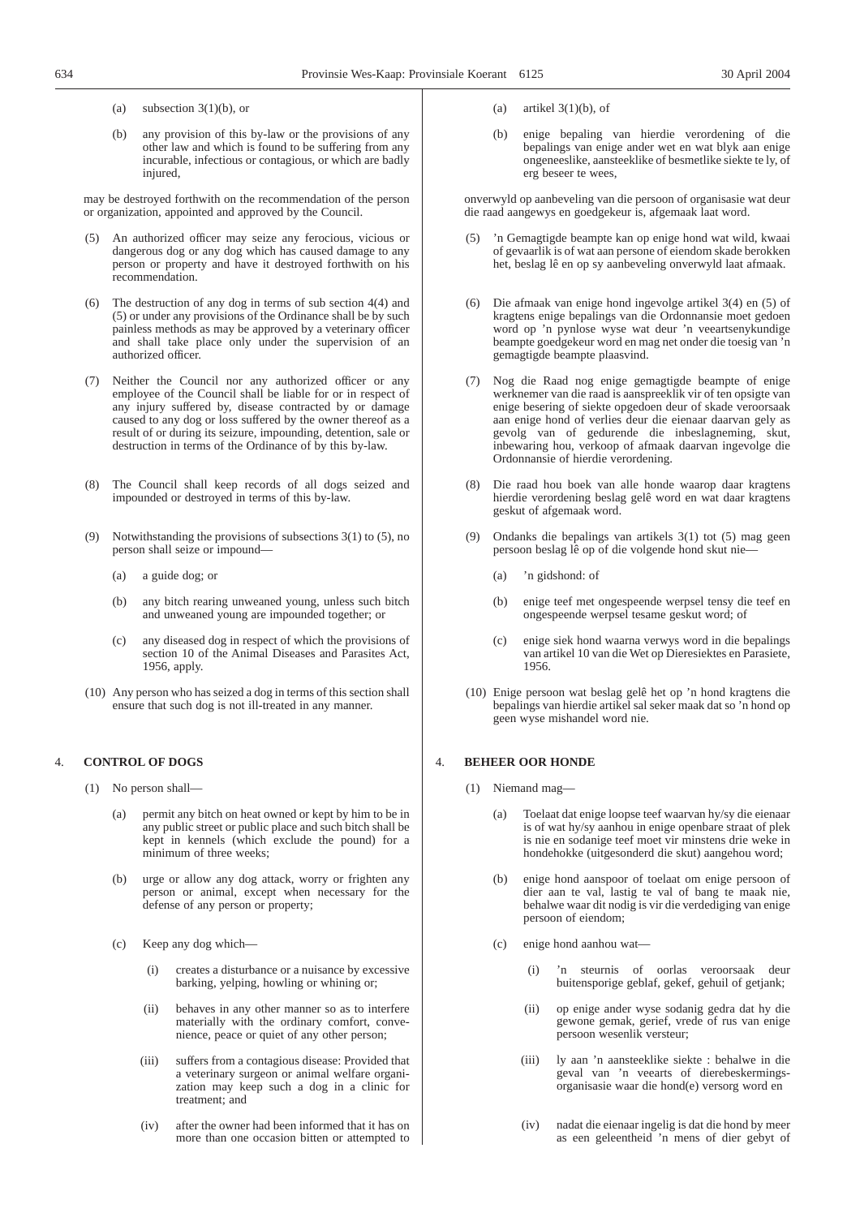(a) subsection  $3(1)(b)$ , or

(b) any provision of this by-law or the provisions of any other law and which is found to be suffering from any incurable, infectious or contagious, or which are badly injured.

may be destroyed forthwith on the recommendation of the person or organization, appointed and approved by the Council.

- An authorized officer may seize any ferocious, vicious or dangerous dog or any dog which has caused damage to any person or property and have it destroyed forthwith on his recommendation.
- The destruction of any dog in terms of sub section  $4(4)$  and (5) or under any provisions of the Ordinance shall be by such painless methods as may be approved by a veterinary officer and shall take place only under the supervision of an authorized officer.
- (7) Neither the Council nor any authorized officer or any employee of the Council shall be liable for or in respect of any injury suffered by, disease contracted by or damage caused to any dog or loss suffered by the owner thereof as a result of or during its seizure, impounding, detention, sale or destruction in terms of the Ordinance of by this by-law.
- (8) The Council shall keep records of all dogs seized and impounded or destroyed in terms of this by-law.
- (9) Notwithstanding the provisions of subsections 3(1) to (5), no person shall seize or impound—
	- (a) a guide dog; or
	- (b) any bitch rearing unweaned young, unless such bitch and unweaned young are impounded together; or
	- (c) any diseased dog in respect of which the provisions of section 10 of the Animal Diseases and Parasites Act, 1956, apply.
- (10) Any person who has seized a dog in terms of this section shall ensure that such dog is not ill-treated in any manner.

#### 4. **CONTROL OF DOGS**

- (1) No person shall—
	- (a) permit any bitch on heat owned or kept by him to be in any public street or public place and such bitch shall be kept in kennels (which exclude the pound) for a minimum of three weeks;
	- (b) urge or allow any dog attack, worry or frighten any person or animal, except when necessary for the defense of any person or property;
	- (c) Keep any dog which—
		- (i) creates a disturbance or a nuisance by excessive barking, yelping, howling or whining or;
		- (ii) behaves in any other manner so as to interfere materially with the ordinary comfort, convenience, peace or quiet of any other person;
		- (iii) suffers from a contagious disease: Provided that a veterinary surgeon or animal welfare organization may keep such a dog in a clinic for treatment; and
		- (iv) after the owner had been informed that it has on more than one occasion bitten or attempted to
- (a) artikel  $3(1)(b)$ , of
- (b) enige bepaling van hierdie verordening of die bepalings van enige ander wet en wat blyk aan enige ongeneeslike, aansteeklike of besmetlike siekte te ly, of erg beseer te wees,

onverwyld op aanbeveling van die persoon of organisasie wat deur die raad aangewys en goedgekeur is, afgemaak laat word.

- 'n Gemagtigde beampte kan op enige hond wat wild, kwaai of gevaarlik is of wat aan persone of eiendom skade berokken het, beslag lê en op sy aanbeveling onverwyld laat afmaak.
- (6) Die afmaak van enige hond ingevolge artikel 3(4) en (5) of kragtens enige bepalings van die Ordonnansie moet gedoen word op 'n pynlose wyse wat deur 'n veeartsenykundige beampte goedgekeur word en mag net onder die toesig van 'n gemagtigde beampte plaasvind.
- (7) Nog die Raad nog enige gemagtigde beampte of enige werknemer van die raad is aanspreeklik vir of ten opsigte van enige besering of siekte opgedoen deur of skade veroorsaak aan enige hond of verlies deur die eienaar daarvan gely as gevolg van of gedurende die inbeslagneming, skut, inbewaring hou, verkoop of afmaak daarvan ingevolge die Ordonnansie of hierdie verordening.
- (8) Die raad hou boek van alle honde waarop daar kragtens hierdie verordening beslag gelê word en wat daar kragtens geskut of afgemaak word.
- (9) Ondanks die bepalings van artikels 3(1) tot (5) mag geen persoon beslag lê op of die volgende hond skut nie—
	- (a) 'n gidshond: of
	- (b) enige teef met ongespeende werpsel tensy die teef en ongespeende werpsel tesame geskut word; of
	- (c) enige siek hond waarna verwys word in die bepalings van artikel 10 van die Wet op Dieresiektes en Parasiete, 1956.
- (10) Enige persoon wat beslag gelê het op 'n hond kragtens die bepalings van hierdie artikel sal seker maak dat so 'n hond op geen wyse mishandel word nie.

## 4. **BEHEER OOR HONDE**

- (1) Niemand mag—
	- (a) Toelaat dat enige loopse teef waarvan hy/sy die eienaar is of wat hy/sy aanhou in enige openbare straat of plek is nie en sodanige teef moet vir minstens drie weke in hondehokke (uitgesonderd die skut) aangehou word;
	- (b) enige hond aanspoor of toelaat om enige persoon of dier aan te val, lastig te val of bang te maak nie, behalwe waar dit nodig is vir die verdediging van enige persoon of eiendom;
	- (c) enige hond aanhou wat—
		- (i) 'n steurnis of oorlas veroorsaak deur buitensporige geblaf, gekef, gehuil of getjank;
		- (ii) op enige ander wyse sodanig gedra dat hy die gewone gemak, gerief, vrede of rus van enige persoon wesenlik versteur;
		- (iii) ly aan 'n aansteeklike siekte : behalwe in die geval van 'n veearts of dierebeskermingsorganisasie waar die hond(e) versorg word en
		- (iv) nadat die eienaar ingelig is dat die hond by meer as een geleentheid 'n mens of dier gebyt of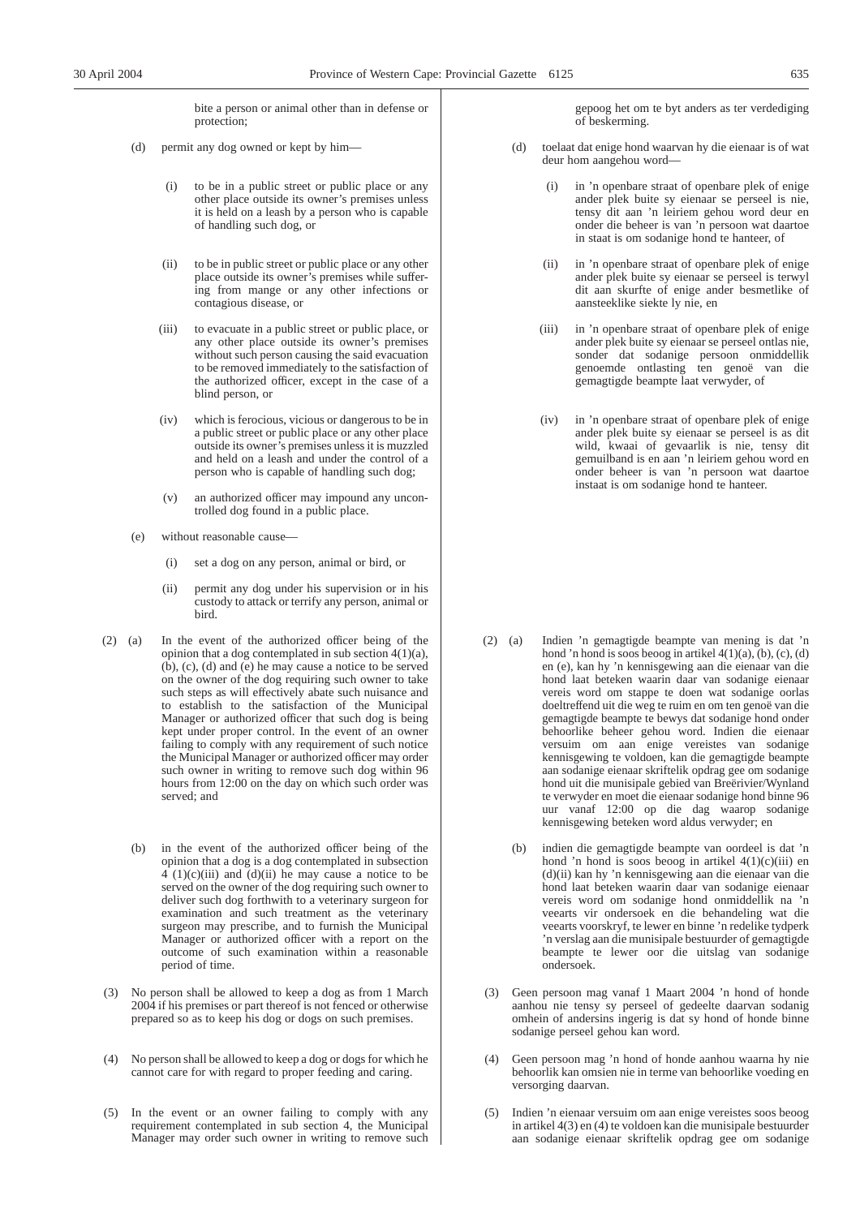bite a person or animal other than in defense or protection;

- (d) permit any dog owned or kept by him—
	- (i) to be in a public street or public place or any other place outside its owner's premises unless it is held on a leash by a person who is capable of handling such dog, or
	- (ii) to be in public street or public place or any other place outside its owner's premises while suffering from mange or any other infections or contagious disease, or
	- (iii) to evacuate in a public street or public place, or any other place outside its owner's premises without such person causing the said evacuation to be removed immediately to the satisfaction of the authorized officer, except in the case of a blind person, or
	- (iv) which is ferocious, vicious or dangerous to be in a public street or public place or any other place outside its owner's premises unless it is muzzled and held on a leash and under the control of a person who is capable of handling such dog;
	- (v) an authorized officer may impound any uncontrolled dog found in a public place.
- (e) without reasonable cause—
	- (i) set a dog on any person, animal or bird, or
	- (ii) permit any dog under his supervision or in his custody to attack or terrify any person, animal or bird.
- (2) (a) In the event of the authorized officer being of the opinion that a dog contemplated in sub section 4(1)(a), (b), (c), (d) and (e) he may cause a notice to be served on the owner of the dog requiring such owner to take such steps as will effectively abate such nuisance and to establish to the satisfaction of the Municipal Manager or authorized officer that such dog is being kept under proper control. In the event of an owner failing to comply with any requirement of such notice the Municipal Manager or authorized officer may order such owner in writing to remove such dog within 96 hours from 12:00 on the day on which such order was served; and
	- (b) in the event of the authorized officer being of the opinion that a dog is a dog contemplated in subsection  $4 (1)(c)(iii)$  and  $(d)(ii)$  he may cause a notice to be served on the owner of the dog requiring such owner to deliver such dog forthwith to a veterinary surgeon for examination and such treatment as the veterinary surgeon may prescribe, and to furnish the Municipal Manager or authorized officer with a report on the outcome of such examination within a reasonable period of time.
- (3) No person shall be allowed to keep a dog as from 1 March 2004 if his premises or part thereof is not fenced or otherwise prepared so as to keep his dog or dogs on such premises.
- (4) No person shall be allowed to keep a dog or dogs for which he cannot care for with regard to proper feeding and caring.
- (5) In the event or an owner failing to comply with any requirement contemplated in sub section 4, the Municipal Manager may order such owner in writing to remove such

gepoog het om te byt anders as ter verdediging of beskerming.

- (d) toelaat dat enige hond waarvan hy die eienaar is of wat deur hom aangehou word—
	- (i) in 'n openbare straat of openbare plek of enige ander plek buite sy eienaar se perseel is nie, tensy dit aan 'n leiriem gehou word deur en onder die beheer is van 'n persoon wat daartoe in staat is om sodanige hond te hanteer, of
	- (ii) in 'n openbare straat of openbare plek of enige ander plek buite sy eienaar se perseel is terwyl dit aan skurfte of enige ander besmetlike of aansteeklike siekte ly nie, en
	- (iii) in 'n openbare straat of openbare plek of enige ander plek buite sy eienaar se perseel ontlas nie, sonder dat sodanige persoon onmiddellik genoemde ontlasting ten genoë van die gemagtigde beampte laat verwyder, of
	- (iv) in 'n openbare straat of openbare plek of enige ander plek buite sy eienaar se perseel is as dit wild, kwaai of gevaarlik is nie, tensy dit gemuilband is en aan 'n leiriem gehou word en onder beheer is van 'n persoon wat daartoe instaat is om sodanige hond te hanteer.

- (2) (a) Indien 'n gemagtigde beampte van mening is dat 'n hond 'n hond is soos beoog in artikel  $4(1)(a)$ , (b), (c), (d) en (e), kan hy 'n kennisgewing aan die eienaar van die hond laat beteken waarin daar van sodanige eienaar vereis word om stappe te doen wat sodanige oorlas doeltreffend uit die weg te ruim en om ten genoë van die gemagtigde beampte te bewys dat sodanige hond onder behoorlike beheer gehou word. Indien die eienaar versuim om aan enige vereistes van sodanige kennisgewing te voldoen, kan die gemagtigde beampte aan sodanige eienaar skriftelik opdrag gee om sodanige hond uit die munisipale gebied van Breërivier/Wynland te verwyder en moet die eienaar sodanige hond binne 96 uur vanaf 12:00 op die dag waarop sodanige kennisgewing beteken word aldus verwyder; en
	- (b) indien die gemagtigde beampte van oordeel is dat 'n hond 'n hond is soos beoog in artikel  $4(1)(c)(iii)$  en (d)(ii) kan hy 'n kennisgewing aan die eienaar van die hond laat beteken waarin daar van sodanige eienaar vereis word om sodanige hond onmiddellik na 'n veearts vir ondersoek en die behandeling wat die veearts voorskryf, te lewer en binne 'n redelike tydperk 'n verslag aan die munisipale bestuurder of gemagtigde beampte te lewer oor die uitslag van sodanige ondersoek.
- (3) Geen persoon mag vanaf 1 Maart 2004 'n hond of honde aanhou nie tensy sy perseel of gedeelte daarvan sodanig omhein of andersins ingerig is dat sy hond of honde binne sodanige perseel gehou kan word.
- (4) Geen persoon mag 'n hond of honde aanhou waarna hy nie behoorlik kan omsien nie in terme van behoorlike voeding en versorging daarvan.
- (5) Indien 'n eienaar versuim om aan enige vereistes soos beoog in artikel 4(3) en (4) te voldoen kan die munisipale bestuurder aan sodanige eienaar skriftelik opdrag gee om sodanige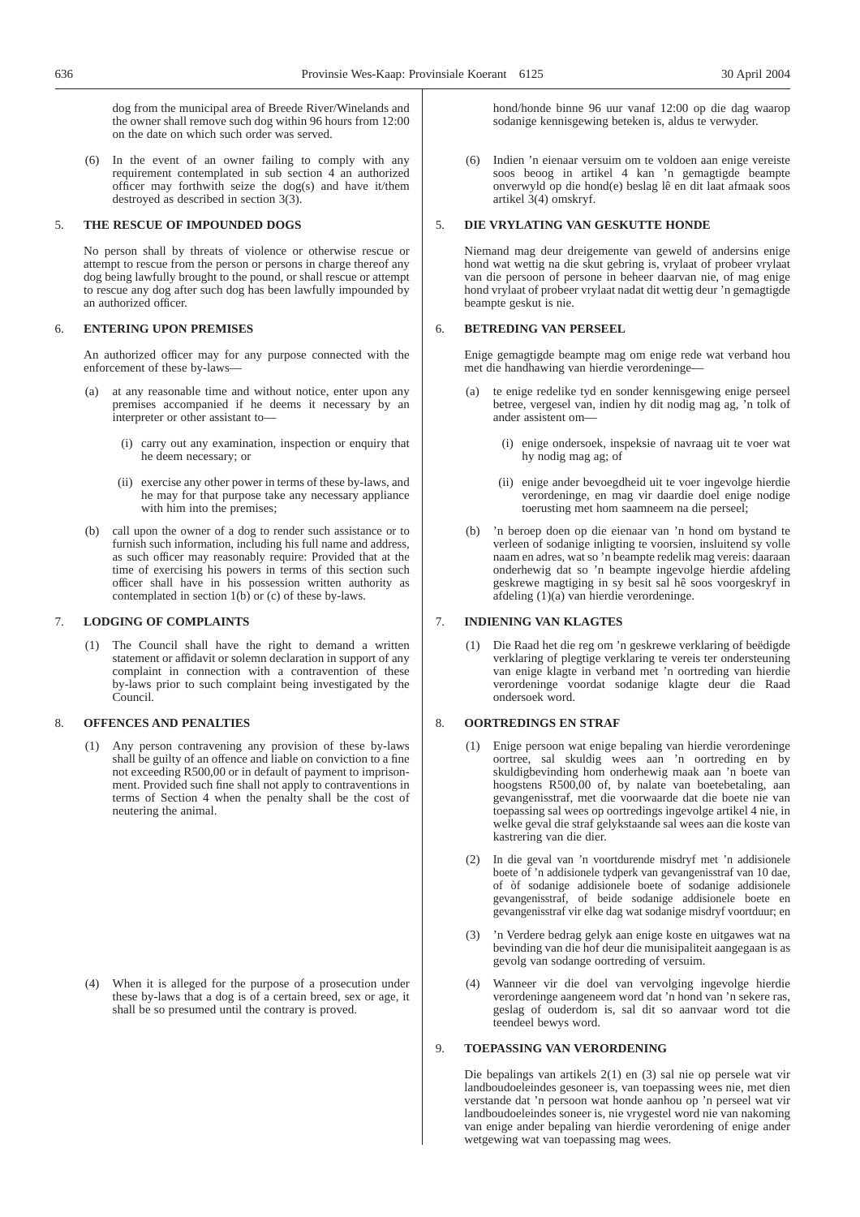dog from the municipal area of Breede River/Winelands and the owner shall remove such dog within 96 hours from 12:00 on the date on which such order was served.

(6) In the event of an owner failing to comply with any requirement contemplated in sub section 4 an authorized officer may forthwith seize the dog(s) and have it/them destroyed as described in section 3(3).

## 5. **THE RESCUE OF IMPOUNDED DOGS**

No person shall by threats of violence or otherwise rescue or attempt to rescue from the person or persons in charge thereof any dog being lawfully brought to the pound, or shall rescue or attempt to rescue any dog after such dog has been lawfully impounded by an authorized officer.

## 6. **ENTERING UPON PREMISES**

An authorized officer may for any purpose connected with the enforcement of these by-laws—

- (a) at any reasonable time and without notice, enter upon any premises accompanied if he deems it necessary by an interpreter or other assistant to—
	- (i) carry out any examination, inspection or enquiry that he deem necessary; or
	- (ii) exercise any other power in terms of these by-laws, and he may for that purpose take any necessary appliance with him into the premises;
- (b) call upon the owner of a dog to render such assistance or to furnish such information, including his full name and address, as such officer may reasonably require: Provided that at the time of exercising his powers in terms of this section such officer shall have in his possession written authority as contemplated in section  $1(b)$  or (c) of these by-laws.

## 7. **LODGING OF COMPLAINTS**

(1) The Council shall have the right to demand a written statement or affidavit or solemn declaration in support of any complaint in connection with a contravention of these by-laws prior to such complaint being investigated by the Council.

## 8. **OFFENCES AND PENALTIES**

(1) Any person contravening any provision of these by-laws shall be guilty of an offence and liable on conviction to a fine not exceeding R500,00 or in default of payment to imprisonment. Provided such fine shall not apply to contraventions in terms of Section 4 when the penalty shall be the cost of neutering the animal.

(4) When it is alleged for the purpose of a prosecution under these by-laws that a dog is of a certain breed, sex or age, it shall be so presumed until the contrary is proved.

hond/honde binne 96 uur vanaf 12:00 op die dag waarop sodanige kennisgewing beteken is, aldus te verwyder.

(6) Indien 'n eienaar versuim om te voldoen aan enige vereiste soos beoog in artikel 4 kan 'n gemagtigde beampte onverwyld op die hond(e) beslag lê en dit laat afmaak soos artikel 3(4) omskryf.

## 5. **DIE VRYLATING VAN GESKUTTE HONDE**

Niemand mag deur dreigemente van geweld of andersins enige hond wat wettig na die skut gebring is, vrylaat of probeer vrylaat van die persoon of persone in beheer daarvan nie, of mag enige hond vrylaat of probeer vrylaat nadat dit wettig deur 'n gemagtigde beampte geskut is nie.

## 6. **BETREDING VAN PERSEEL**

Enige gemagtigde beampte mag om enige rede wat verband hou met die handhawing van hierdie verordeninge—

- te enige redelike tyd en sonder kennisgewing enige perseel betree, vergesel van, indien hy dit nodig mag ag, 'n tolk of ander assistent om—
	- (i) enige ondersoek, inspeksie of navraag uit te voer wat hy nodig mag ag; of
	- (ii) enige ander bevoegdheid uit te voer ingevolge hierdie verordeninge, en mag vir daardie doel enige nodige toerusting met hom saamneem na die perseel;
- (b) 'n beroep doen op die eienaar van 'n hond om bystand te verleen of sodanige inligting te voorsien, insluitend sy volle naam en adres, wat so 'n beampte redelik mag vereis: daaraan onderhewig dat so 'n beampte ingevolge hierdie afdeling geskrewe magtiging in sy besit sal hê soos voorgeskryf in afdeling (1)(a) van hierdie verordeninge.

## 7. **INDIENING VAN KLAGTES**

(1) Die Raad het die reg om 'n geskrewe verklaring of beëdigde verklaring of plegtige verklaring te vereis ter ondersteuning van enige klagte in verband met 'n oortreding van hierdie verordeninge voordat sodanige klagte deur die Raad ondersoek word.

## 8. **OORTREDINGS EN STRAF**

- (1) Enige persoon wat enige bepaling van hierdie verordeninge oortree, sal skuldig wees aan 'n oortreding en by skuldigbevinding hom onderhewig maak aan 'n boete van hoogstens R500,00 of, by nalate van boetebetaling, aan gevangenisstraf, met die voorwaarde dat die boete nie van toepassing sal wees op oortredings ingevolge artikel 4 nie, in welke geval die straf gelykstaande sal wees aan die koste van kastrering van die dier.
- (2) In die geval van 'n voortdurende misdryf met 'n addisionele boete of 'n addisionele tydperk van gevangenisstraf van 10 dae, of òf sodanige addisionele boete of sodanige addisionele gevangenisstraf, of beide sodanige addisionele boete en gevangenisstraf vir elke dag wat sodanige misdryf voortduur; en
- (3) 'n Verdere bedrag gelyk aan enige koste en uitgawes wat na bevinding van die hof deur die munisipaliteit aangegaan is as gevolg van sodange oortreding of versuim.
- (4) Wanneer vir die doel van vervolging ingevolge hierdie verordeninge aangeneem word dat 'n hond van 'n sekere ras, geslag of ouderdom is, sal dit so aanvaar word tot die teendeel bewys word.

## 9. **TOEPASSING VAN VERORDENING**

Die bepalings van artikels 2(1) en (3) sal nie op persele wat vir landboudoeleindes gesoneer is, van toepassing wees nie, met dien verstande dat 'n persoon wat honde aanhou op 'n perseel wat vir landboudoeleindes soneer is, nie vrygestel word nie van nakoming van enige ander bepaling van hierdie verordening of enige ander wetgewing wat van toepassing mag wees.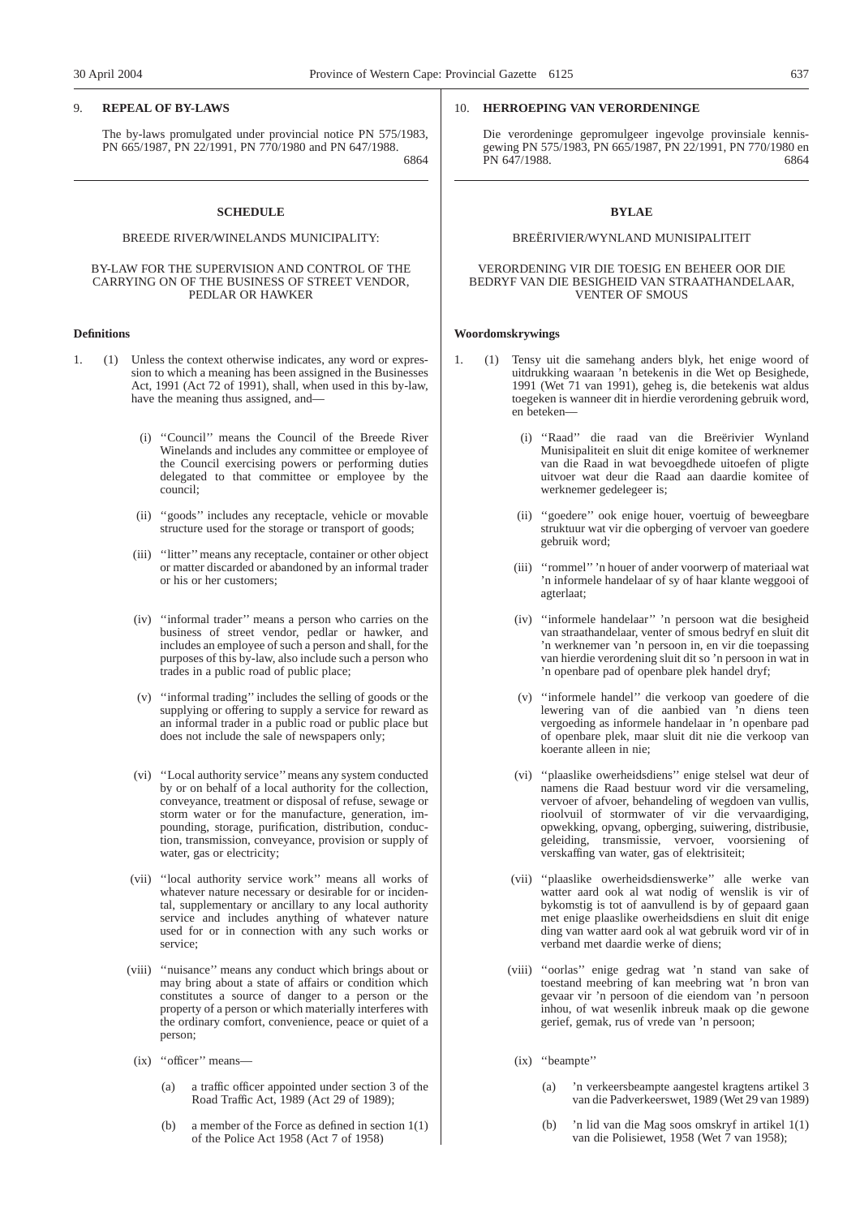## 9. **REPEAL OF BY-LAWS**

The by-laws promulgated under provincial notice PN 575/1983, PN 665/1987, PN 22/1991, PN 770/1980 and PN 647/1988.

6864

## **SCHEDULE**

#### BREEDE RIVER/WINELANDS MUNICIPALITY:

## BY-LAW FOR THE SUPERVISION AND CONTROL OF THE CARRYING ON OF THE BUSINESS OF STREET VENDOR, PEDLAR OR HAWKER

## **Definitions**

- 1. (1) Unless the context otherwise indicates, any word or expression to which a meaning has been assigned in the Businesses Act, 1991 (Act 72 of 1991), shall, when used in this by-law, have the meaning thus assigned, and—
	- (i) ''Council'' means the Council of the Breede River Winelands and includes any committee or employee of the Council exercising powers or performing duties delegated to that committee or employee by the council;
	- (ii) ''goods'' includes any receptacle, vehicle or movable structure used for the storage or transport of goods;
	- (iii) ''litter''means any receptacle, container or other object or matter discarded or abandoned by an informal trader or his or her customers;
	- (iv) ''informal trader'' means a person who carries on the business of street vendor, pedlar or hawker, and includes an employee of such a person and shall, for the purposes of this by-law, also include such a person who trades in a public road of public place;
	- (v) ''informal trading'' includes the selling of goods or the supplying or offering to supply a service for reward as an informal trader in a public road or public place but does not include the sale of newspapers only;
	- (vi) ''Local authority service''means any system conducted by or on behalf of a local authority for the collection, conveyance, treatment or disposal of refuse, sewage or storm water or for the manufacture, generation, impounding, storage, purification, distribution, conduction, transmission, conveyance, provision or supply of water, gas or electricity;
	- (vii) ''local authority service work'' means all works of whatever nature necessary or desirable for or incidental, supplementary or ancillary to any local authority service and includes anything of whatever nature used for or in connection with any such works or service;
	- (viii) ''nuisance'' means any conduct which brings about or may bring about a state of affairs or condition which constitutes a source of danger to a person or the property of a person or which materially interferes with the ordinary comfort, convenience, peace or quiet of a person;
	- (ix) ''officer'' means—
		- (a) a traffic officer appointed under section 3 of the Road Traffic Act, 1989 (Act 29 of 1989);
		- (b) a member of the Force as defined in section 1(1) of the Police Act 1958 (Act 7 of 1958)

## 10. **HERROEPING VAN VERORDENINGE**

Die verordeninge gepromulgeer ingevolge provinsiale kennisgewing PN 575/1983, PN 665/1987, PN 22/1991, PN 770/1980 en PN 647/1988. 6864

## **BYLAE**

## BREËRIVIER/WYNLAND MUNISIPALITEIT

## VERORDENING VIR DIE TOESIG EN BEHEER OOR DIE BEDRYF VAN DIE BESIGHEID VAN STRAATHANDELAAR, VENTER OF SMOUS

#### **Woordomskrywings**

- 1. (1) Tensy uit die samehang anders blyk, het enige woord of uitdrukking waaraan 'n betekenis in die Wet op Besighede, 1991 (Wet 71 van 1991), geheg is, die betekenis wat aldus toegeken is wanneer dit in hierdie verordening gebruik word, en beteken—
	- (i) ''Raad'' die raad van die Breërivier Wynland Munisipaliteit en sluit dit enige komitee of werknemer van die Raad in wat bevoegdhede uitoefen of pligte uitvoer wat deur die Raad aan daardie komitee of werknemer gedelegeer is;
	- (ii) ''goedere'' ook enige houer, voertuig of beweegbare struktuur wat vir die opberging of vervoer van goedere gebruik word;
	- (iii) ''rommel'' 'n houer of ander voorwerp of materiaal wat 'n informele handelaar of sy of haar klante weggooi of agterlaat;
	- (iv) ''informele handelaar'' 'n persoon wat die besigheid van straathandelaar, venter of smous bedryf en sluit dit 'n werknemer van 'n persoon in, en vir die toepassing van hierdie verordening sluit dit so 'n persoon in wat in 'n openbare pad of openbare plek handel dryf;
	- (v) ''informele handel'' die verkoop van goedere of die lewering van of die aanbied van 'n diens teen vergoeding as informele handelaar in 'n openbare pad of openbare plek, maar sluit dit nie die verkoop van koerante alleen in nie;
	- (vi) ''plaaslike owerheidsdiens'' enige stelsel wat deur of namens die Raad bestuur word vir die versameling, vervoer of afvoer, behandeling of wegdoen van vullis, rioolvuil of stormwater of vir die vervaardiging, opwekking, opvang, opberging, suiwering, distribusie, geleiding, transmissie, vervoer, voorsiening of verskaffing van water, gas of elektrisiteit;
	- (vii) ''plaaslike owerheidsdienswerke'' alle werke van watter aard ook al wat nodig of wenslik is vir of bykomstig is tot of aanvullend is by of gepaard gaan met enige plaaslike owerheidsdiens en sluit dit enige ding van watter aard ook al wat gebruik word vir of in verband met daardie werke of diens;
	- (viii) ''oorlas'' enige gedrag wat 'n stand van sake of toestand meebring of kan meebring wat 'n bron van gevaar vir 'n persoon of die eiendom van 'n persoon inhou, of wat wesenlik inbreuk maak op die gewone gerief, gemak, rus of vrede van 'n persoon;
	- (ix) "beampte"
		- (a) 'n verkeersbeampte aangestel kragtens artikel 3 van die Padverkeerswet, 1989 (Wet 29 van 1989)
		- (b) 'n lid van die Mag soos omskryf in artikel 1(1) van die Polisiewet, 1958 (Wet 7 van 1958);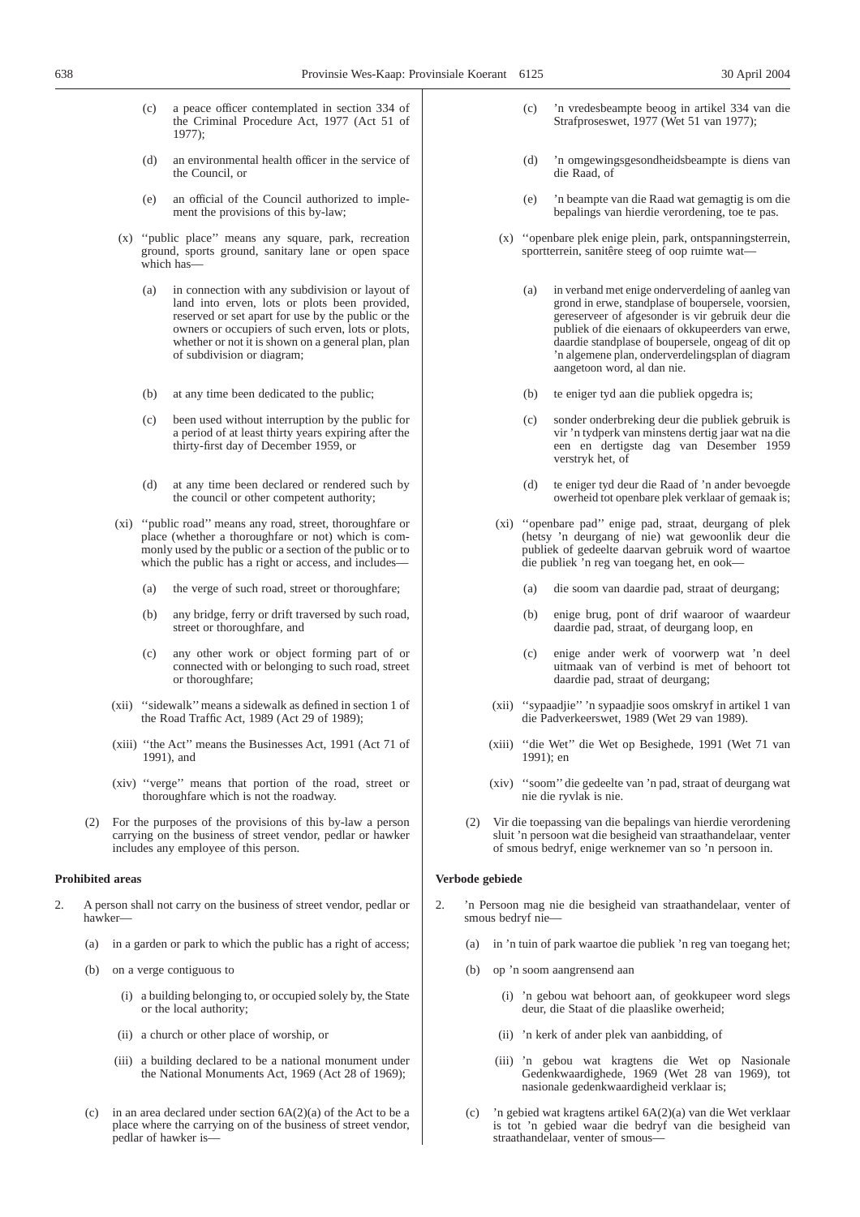- (c) a peace officer contemplated in section 334 of the Criminal Procedure Act, 1977 (Act 51 of 1977);
- (d) an environmental health officer in the service of the Council, or
- (e) an official of the Council authorized to implement the provisions of this by-law;
- (x) ''public place'' means any square, park, recreation ground, sports ground, sanitary lane or open space which has—
	- (a) in connection with any subdivision or layout of land into erven, lots or plots been provided, reserved or set apart for use by the public or the owners or occupiers of such erven, lots or plots, whether or not it is shown on a general plan, plan of subdivision or diagram;
	- (b) at any time been dedicated to the public;
	- (c) been used without interruption by the public for a period of at least thirty years expiring after the thirty-first day of December 1959, or
	- (d) at any time been declared or rendered such by the council or other competent authority;
- (xi) ''public road'' means any road, street, thoroughfare or place (whether a thoroughfare or not) which is commonly used by the public or a section of the public or to which the public has a right or access, and includes-
	- (a) the verge of such road, street or thoroughfare;
	- (b) any bridge, ferry or drift traversed by such road, street or thoroughfare, and
	- (c) any other work or object forming part of or connected with or belonging to such road, street or thoroughfare;
- (xii) ''sidewalk''means a sidewalk as defined in section 1 of the Road Traffic Act, 1989 (Act 29 of 1989);
- (xiii) ''the Act'' means the Businesses Act, 1991 (Act 71 of 1991), and
- (xiv) ''verge'' means that portion of the road, street or thoroughfare which is not the roadway.
- (2) For the purposes of the provisions of this by-law a person carrying on the business of street vendor, pedlar or hawker includes any employee of this person.

## **Prohibited areas**

- 2. A person shall not carry on the business of street vendor, pedlar or hawker—
	- (a) in a garden or park to which the public has a right of access;
	- (b) on a verge contiguous to
		- (i) a building belonging to, or occupied solely by, the State or the local authority;
		- (ii) a church or other place of worship, or
		- (iii) a building declared to be a national monument under the National Monuments Act, 1969 (Act 28 of 1969);
	- (c) in an area declared under section  $6A(2)(a)$  of the Act to be a place where the carrying on of the business of street vendor, pedlar of hawker is—
- (c) 'n vredesbeampte beoog in artikel 334 van die Strafproseswet, 1977 (Wet 51 van 1977);
- (d) 'n omgewingsgesondheidsbeampte is diens van die Raad, of
- (e) 'n beampte van die Raad wat gemagtig is om die bepalings van hierdie verordening, toe te pas.
- (x) ''openbare plek enige plein, park, ontspanningsterrein, sportterrein, sanitêre steeg of oop ruimte wat—
	- (a) in verband met enige onderverdeling of aanleg van grond in erwe, standplase of boupersele, voorsien, gereserveer of afgesonder is vir gebruik deur die publiek of die eienaars of okkupeerders van erwe, daardie standplase of boupersele, ongeag of dit op 'n algemene plan, onderverdelingsplan of diagram aangetoon word, al dan nie.
	- (b) te eniger tyd aan die publiek opgedra is;
	- (c) sonder onderbreking deur die publiek gebruik is vir 'n tydperk van minstens dertig jaar wat na die een en dertigste dag van Desember 1959 verstryk het, of
	- (d) te eniger tyd deur die Raad of 'n ander bevoegde owerheid tot openbare plek verklaar of gemaak is;
- (xi) ''openbare pad'' enige pad, straat, deurgang of plek (hetsy 'n deurgang of nie) wat gewoonlik deur die publiek of gedeelte daarvan gebruik word of waartoe die publiek 'n reg van toegang het, en ook—
	- (a) die soom van daardie pad, straat of deurgang;
	- (b) enige brug, pont of drif waaroor of waardeur daardie pad, straat, of deurgang loop, en
	- (c) enige ander werk of voorwerp wat 'n deel uitmaak van of verbind is met of behoort tot daardie pad, straat of deurgang;
- (xii) ''sypaadjie'' 'n sypaadjie soos omskryf in artikel 1 van die Padverkeerswet, 1989 (Wet 29 van 1989).
- (xiii) ''die Wet'' die Wet op Besighede, 1991 (Wet 71 van 1991); en
- (xiv) ''soom'' die gedeelte van 'n pad, straat of deurgang wat nie die ryvlak is nie.
- (2) Vir die toepassing van die bepalings van hierdie verordening sluit 'n persoon wat die besigheid van straathandelaar, venter of smous bedryf, enige werknemer van so 'n persoon in.

## **Verbode gebiede**

- 'n Persoon mag nie die besigheid van straathandelaar, venter of smous bedryf nie—
	- (a) in 'n tuin of park waartoe die publiek 'n reg van toegang het;
	- (b) op 'n soom aangrensend aan
		- (i) 'n gebou wat behoort aan, of geokkupeer word slegs deur, die Staat of die plaaslike owerheid;
		- (ii) 'n kerk of ander plek van aanbidding, of
		- (iii) 'n gebou wat kragtens die Wet op Nasionale Gedenkwaardighede, 1969 (Wet 28 van 1969), tot nasionale gedenkwaardigheid verklaar is;
	- (c) 'n gebied wat kragtens artikel 6A(2)(a) van die Wet verklaar is tot 'n gebied waar die bedryf van die besigheid van straathandelaar, venter of smous—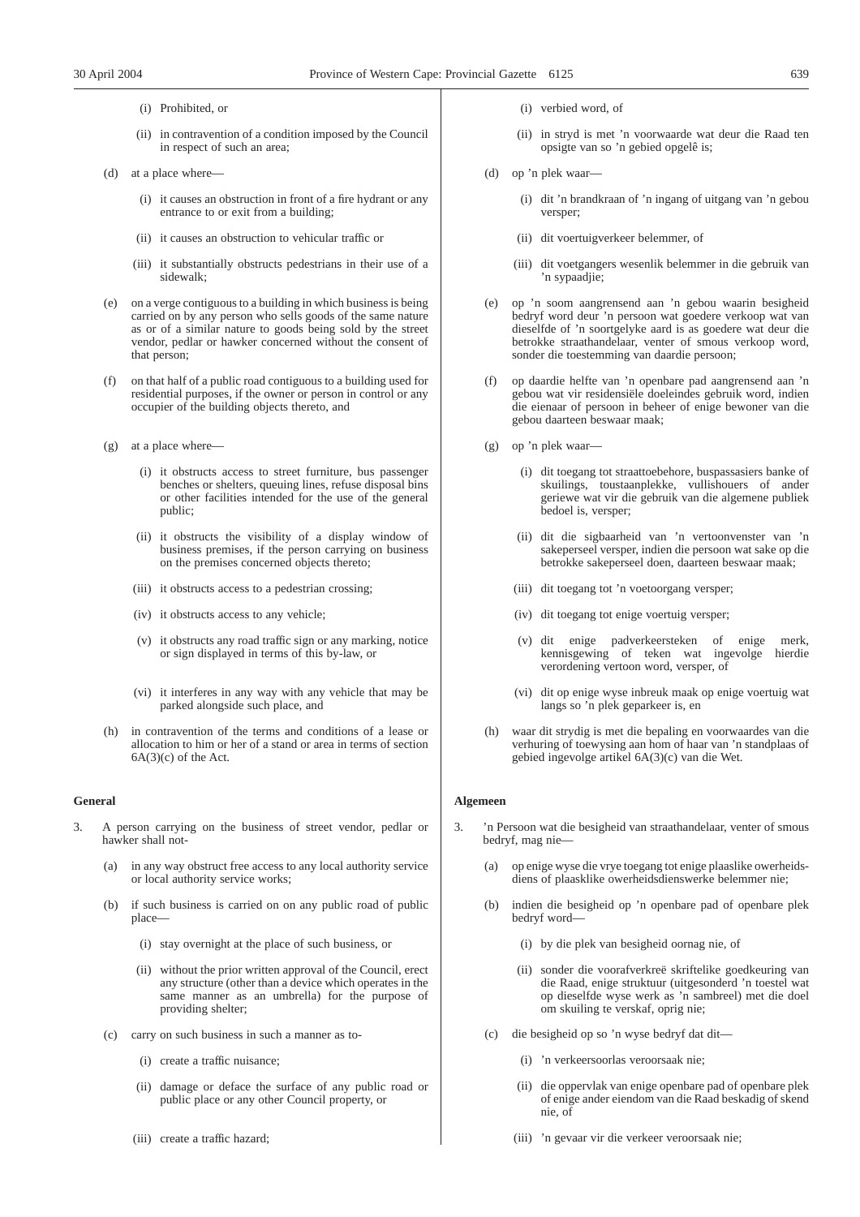## (i) Prohibited, or

- (ii) in contravention of a condition imposed by the Council in respect of such an area;
- (d) at a place where—
	- (i) it causes an obstruction in front of a fire hydrant or any entrance to or exit from a building;
	- (ii) it causes an obstruction to vehicular traffic or
	- (iii) it substantially obstructs pedestrians in their use of a sidewalk;
- (e) on a verge contiguous to a building in which business is being carried on by any person who sells goods of the same nature as or of a similar nature to goods being sold by the street vendor, pedlar or hawker concerned without the consent of that person;
- (f) on that half of a public road contiguous to a building used for residential purposes, if the owner or person in control or any occupier of the building objects thereto, and
- (g) at a place where—
	- (i) it obstructs access to street furniture, bus passenger benches or shelters, queuing lines, refuse disposal bins or other facilities intended for the use of the general public;
	- (ii) it obstructs the visibility of a display window of business premises, if the person carrying on business on the premises concerned objects thereto;
	- (iii) it obstructs access to a pedestrian crossing;
	- (iv) it obstructs access to any vehicle;
	- (v) it obstructs any road traffic sign or any marking, notice or sign displayed in terms of this by-law, or
	- (vi) it interferes in any way with any vehicle that may be parked alongside such place, and
- (h) in contravention of the terms and conditions of a lease or allocation to him or her of a stand or area in terms of section 6A(3)(c) of the Act.

## **General**

- 3. A person carrying on the business of street vendor, pedlar or hawker shall not-
	- (a) in any way obstruct free access to any local authority service or local authority service works;
	- (b) if such business is carried on on any public road of public place—
		- (i) stay overnight at the place of such business, or
		- (ii) without the prior written approval of the Council, erect any structure (other than a device which operates in the same manner as an umbrella) for the purpose of providing shelter;
	- (c) carry on such business in such a manner as to-
		- (i) create a traffic nuisance;
		- (ii) damage or deface the surface of any public road or public place or any other Council property, or
		- (iii) create a traffic hazard;
- (i) verbied word, of
- (ii) in stryd is met 'n voorwaarde wat deur die Raad ten opsigte van so 'n gebied opgelê is;
- (d) op 'n plek waar—
	- (i) dit 'n brandkraan of 'n ingang of uitgang van 'n gebou versper;
	- (ii) dit voertuigverkeer belemmer, of
	- (iii) dit voetgangers wesenlik belemmer in die gebruik van 'n sypaadjie;
- (e) op 'n soom aangrensend aan 'n gebou waarin besigheid bedryf word deur 'n persoon wat goedere verkoop wat van dieselfde of 'n soortgelyke aard is as goedere wat deur die betrokke straathandelaar, venter of smous verkoop word, sonder die toestemming van daardie persoon;
- (f) op daardie helfte van 'n openbare pad aangrensend aan 'n gebou wat vir residensiële doeleindes gebruik word, indien die eienaar of persoon in beheer of enige bewoner van die gebou daarteen beswaar maak;
- (g) op 'n plek waar—
	- (i) dit toegang tot straattoebehore, buspassasiers banke of skuilings, toustaanplekke, vullishouers of ander geriewe wat vir die gebruik van die algemene publiek bedoel is, versper;
	- (ii) dit die sigbaarheid van 'n vertoonvenster van 'n sakeperseel versper, indien die persoon wat sake op die betrokke sakeperseel doen, daarteen beswaar maak;
	- (iii) dit toegang tot 'n voetoorgang versper;
	- (iv) dit toegang tot enige voertuig versper;
	- (v) dit enige padverkeersteken of enige merk, kennisgewing of teken wat ingevolge hierdie verordening vertoon word, versper, of
	- (vi) dit op enige wyse inbreuk maak op enige voertuig wat langs so 'n plek geparkeer is, en
- (h) waar dit strydig is met die bepaling en voorwaardes van die verhuring of toewysing aan hom of haar van 'n standplaas of gebied ingevolge artikel 6A(3)(c) van die Wet.

## **Algemeen**

- 3. 'n Persoon wat die besigheid van straathandelaar, venter of smous bedryf, mag nie—
	- (a) op enige wyse die vrye toegang tot enige plaaslike owerheidsdiens of plaasklike owerheidsdienswerke belemmer nie;
	- (b) indien die besigheid op 'n openbare pad of openbare plek bedryf word—
		- (i) by die plek van besigheid oornag nie, of
		- (ii) sonder die voorafverkreë skriftelike goedkeuring van die Raad, enige struktuur (uitgesonderd 'n toestel wat op dieselfde wyse werk as 'n sambreel) met die doel om skuiling te verskaf, oprig nie;
	- (c) die besigheid op so 'n wyse bedryf dat dit—
		- (i) 'n verkeersoorlas veroorsaak nie;
		- (ii) die oppervlak van enige openbare pad of openbare plek of enige ander eiendom van die Raad beskadig of skend nie, of
		- (iii) 'n gevaar vir die verkeer veroorsaak nie;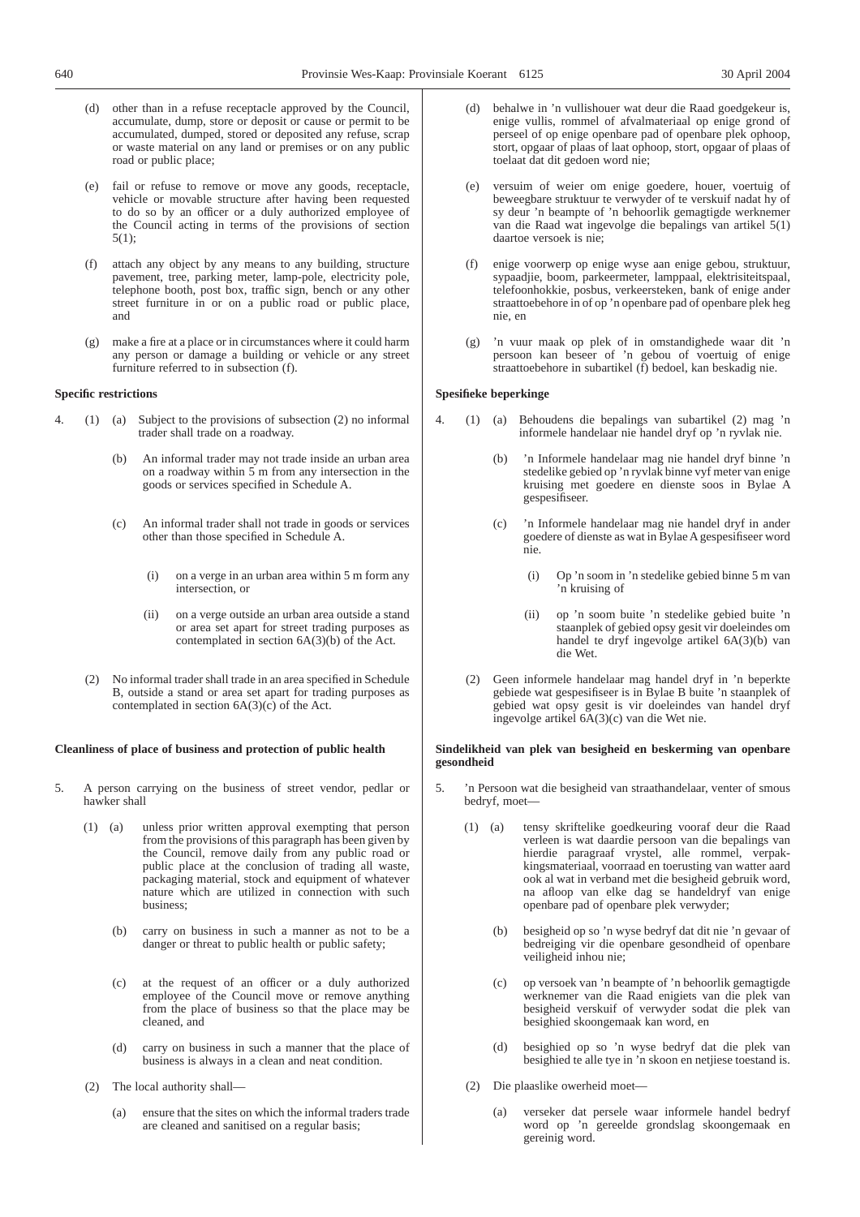- (d) other than in a refuse receptacle approved by the Council, accumulate, dump, store or deposit or cause or permit to be accumulated, dumped, stored or deposited any refuse, scrap or waste material on any land or premises or on any public road or public place;
- (e) fail or refuse to remove or move any goods, receptacle, vehicle or movable structure after having been requested to do so by an officer or a duly authorized employee of the Council acting in terms of the provisions of section 5(1);
- (f) attach any object by any means to any building, structure pavement, tree, parking meter, lamp-pole, electricity pole, telephone booth, post box, traffic sign, bench or any other street furniture in or on a public road or public place, and
- (g) make a fire at a place or in circumstances where it could harm any person or damage a building or vehicle or any street furniture referred to in subsection (f).

## **Specific restrictions**

- 4. (1) (a) Subject to the provisions of subsection (2) no informal trader shall trade on a roadway.
	- (b) An informal trader may not trade inside an urban area on a roadway within  $5 \text{ m}$  from any intersection in the goods or services specified in Schedule A.
	- (c) An informal trader shall not trade in goods or services other than those specified in Schedule A.
		- (i) on a verge in an urban area within 5 m form any intersection, or
		- (ii) on a verge outside an urban area outside a stand or area set apart for street trading purposes as contemplated in section  $6A(3)(b)$  of the Act.
	- (2) No informal trader shall trade in an area specified in Schedule B, outside a stand or area set apart for trading purposes as contemplated in section  $6A(3)(c)$  of the Act.

## **Cleanliness of place of business and protection of public health**

- 5. A person carrying on the business of street vendor, pedlar or hawker shall
	- (1) (a) unless prior written approval exempting that person from the provisions of this paragraph has been given by the Council, remove daily from any public road or public place at the conclusion of trading all waste, packaging material, stock and equipment of whatever nature which are utilized in connection with such business;
		- (b) carry on business in such a manner as not to be a danger or threat to public health or public safety;
		- (c) at the request of an officer or a duly authorized employee of the Council move or remove anything from the place of business so that the place may be cleaned, and
		- (d) carry on business in such a manner that the place of business is always in a clean and neat condition.
	- (2) The local authority shall—
		- (a) ensure that the sites on which the informal traders trade are cleaned and sanitised on a regular basis;
- behalwe in 'n vullishouer wat deur die Raad goedgekeur is, enige vullis, rommel of afvalmateriaal op enige grond of perseel of op enige openbare pad of openbare plek ophoop, stort, opgaar of plaas of laat ophoop, stort, opgaar of plaas of toelaat dat dit gedoen word nie;
- (e) versuim of weier om enige goedere, houer, voertuig of beweegbare struktuur te verwyder of te verskuif nadat hy of sy deur 'n beampte of 'n behoorlik gemagtigde werknemer van die Raad wat ingevolge die bepalings van artikel 5(1) daartoe versoek is nie;
- (f) enige voorwerp op enige wyse aan enige gebou, struktuur, sypaadjie, boom, parkeermeter, lamppaal, elektrisiteitspaal, telefoonhokkie, posbus, verkeersteken, bank of enige ander straattoebehore in of op 'n openbare pad of openbare plek heg nie, en
- (g) 'n vuur maak op plek of in omstandighede waar dit 'n persoon kan beseer of 'n gebou of voertuig of enige straattoebehore in subartikel (f) bedoel, kan beskadig nie.

## **Spesifieke beperkinge**

- 4. (1) (a) Behoudens die bepalings van subartikel (2) mag 'n informele handelaar nie handel dryf op 'n ryvlak nie.
	- (b) 'n Informele handelaar mag nie handel dryf binne 'n stedelike gebied op 'n ryvlak binne vyf meter van enige kruising met goedere en dienste soos in Bylae A gespesifiseer.
	- (c) 'n Informele handelaar mag nie handel dryf in ander goedere of dienste as wat in Bylae A gespesifiseer word nie.
		- (i) Op 'n soom in 'n stedelike gebied binne 5 m van 'n kruising of
		- (ii) op 'n soom buite 'n stedelike gebied buite 'n staanplek of gebied opsy gesit vir doeleindes om handel te dryf ingevolge artikel 6A(3)(b) van die Wet.
	- (2) Geen informele handelaar mag handel dryf in 'n beperkte gebiede wat gespesifiseer is in Bylae B buite 'n staanplek of gebied wat opsy gesit is vir doeleindes van handel dryf ingevolge artikel 6A(3)(c) van die Wet nie.

## **Sindelikheid van plek van besigheid en beskerming van openbare gesondheid**

- 5. 'n Persoon wat die besigheid van straathandelaar, venter of smous bedryf, moet—
	- (1) (a) tensy skriftelike goedkeuring vooraf deur die Raad verleen is wat daardie persoon van die bepalings van hierdie paragraaf vrystel, alle rommel, verpakkingsmateriaal, voorraad en toerusting van watter aard ook al wat in verband met die besigheid gebruik word, na afloop van elke dag se handeldryf van enige openbare pad of openbare plek verwyder;
		- (b) besigheid op so 'n wyse bedryf dat dit nie 'n gevaar of bedreiging vir die openbare gesondheid of openbare veiligheid inhou nie;
		- (c) op versoek van 'n beampte of 'n behoorlik gemagtigde werknemer van die Raad enigiets van die plek van besigheid verskuif of verwyder sodat die plek van besighied skoongemaak kan word, en
		- (d) besighied op so 'n wyse bedryf dat die plek van besighied te alle tye in 'n skoon en netjiese toestand is.
	- (2) Die plaaslike owerheid moet—
		- (a) verseker dat persele waar informele handel bedryf word op 'n gereelde grondslag skoongemaak en gereinig word.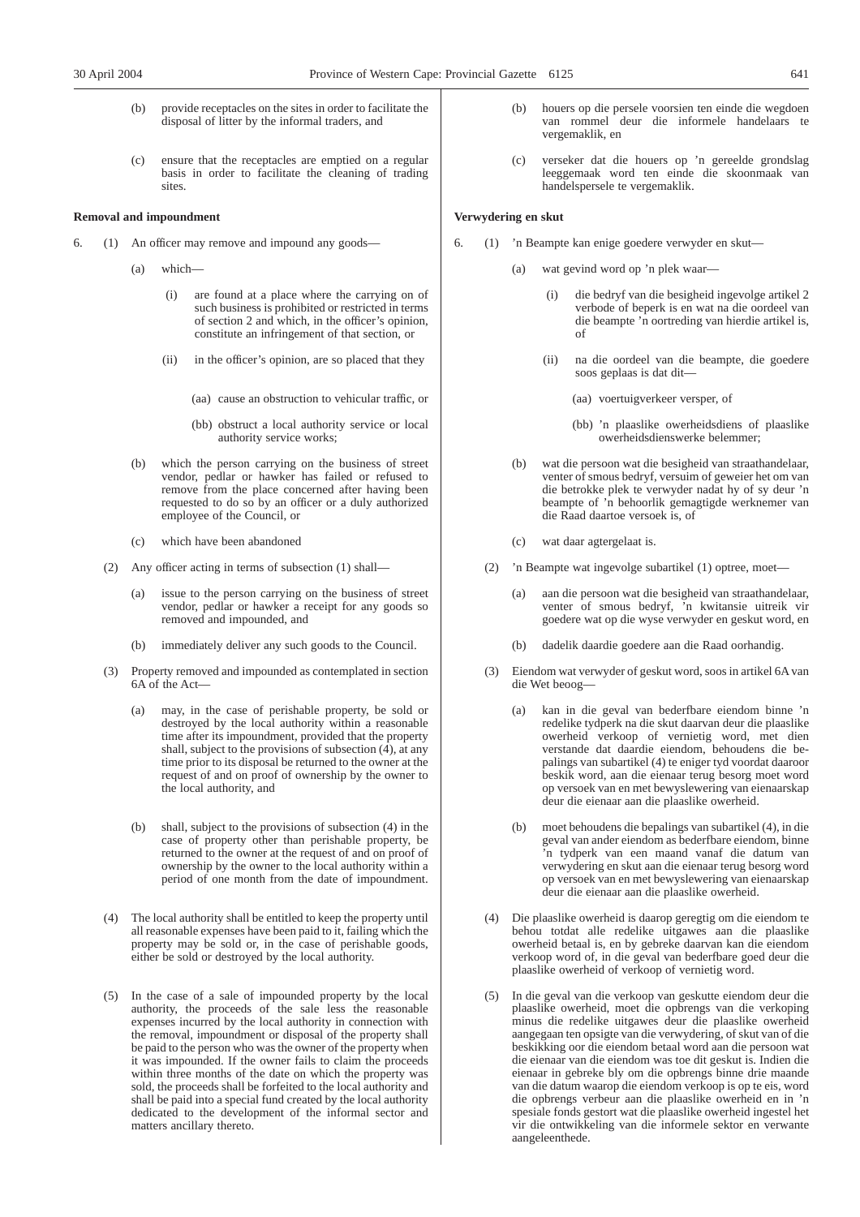- (b) provide receptacles on the sites in order to facilitate the disposal of litter by the informal traders, and
- (c) ensure that the receptacles are emptied on a regular basis in order to facilitate the cleaning of trading sites.

## **Removal and impoundment**

- 6. (1) An officer may remove and impound any goods—
	- (a) which—
		- (i) are found at a place where the carrying on of such business is prohibited or restricted in terms of section 2 and which, in the officer's opinion, constitute an infringement of that section, or
		- (ii) in the officer's opinion, are so placed that they
			- (aa) cause an obstruction to vehicular traffic, or
			- (bb) obstruct a local authority service or local authority service works;
	- (b) which the person carrying on the business of street vendor, pedlar or hawker has failed or refused to remove from the place concerned after having been requested to do so by an officer or a duly authorized employee of the Council, or
	- (c) which have been abandoned
	- (2) Any officer acting in terms of subsection (1) shall—
		- (a) issue to the person carrying on the business of street vendor, pedlar or hawker a receipt for any goods so removed and impounded, and
		- immediately deliver any such goods to the Council.
	- (3) Property removed and impounded as contemplated in section 6A of the Act—
		- (a) may, in the case of perishable property, be sold or destroyed by the local authority within a reasonable time after its impoundment, provided that the property shall, subject to the provisions of subsection  $(4)$ , at any time prior to its disposal be returned to the owner at the request of and on proof of ownership by the owner to the local authority, and
		- (b) shall, subject to the provisions of subsection (4) in the case of property other than perishable property, be returned to the owner at the request of and on proof of ownership by the owner to the local authority within a period of one month from the date of impoundment.
	- (4) The local authority shall be entitled to keep the property until all reasonable expenses have been paid to it, failing which the property may be sold or, in the case of perishable goods, either be sold or destroyed by the local authority.
	- (5) In the case of a sale of impounded property by the local authority, the proceeds of the sale less the reasonable expenses incurred by the local authority in connection with the removal, impoundment or disposal of the property shall be paid to the person who was the owner of the property when it was impounded. If the owner fails to claim the proceeds within three months of the date on which the property was sold, the proceeds shall be forfeited to the local authority and shall be paid into a special fund created by the local authority dedicated to the development of the informal sector and matters ancillary thereto.
- houers op die persele voorsien ten einde die wegdoen van rommel deur die informele handelaars te vergemaklik, en
- (c) verseker dat die houers op 'n gereelde grondslag leeggemaak word ten einde die skoonmaak van handelspersele te vergemaklik.

## **Verwydering en skut**

- 6. (1) 'n Beampte kan enige goedere verwyder en skut—
	- (a) wat gevind word op 'n plek waar
		- die bedryf van die besigheid ingevolge artikel 2 verbode of beperk is en wat na die oordeel van die beampte 'n oortreding van hierdie artikel is, of
		- (ii) na die oordeel van die beampte, die goedere soos geplaas is dat dit—
			- (aa) voertuigverkeer versper, of
			- (bb) 'n plaaslike owerheidsdiens of plaaslike owerheidsdienswerke belemmer;
	- (b) wat die persoon wat die besigheid van straathandelaar, venter of smous bedryf, versuim of geweier het om van die betrokke plek te verwyder nadat hy of sy deur 'n beampte of 'n behoorlik gemagtigde werknemer van die Raad daartoe versoek is, of
	- (c) wat daar agtergelaat is.
	- (2) 'n Beampte wat ingevolge subartikel (1) optree, moet—
		- (a) aan die persoon wat die besigheid van straathandelaar, venter of smous bedryf, 'n kwitansie uitreik vir goedere wat op die wyse verwyder en geskut word, en
		- dadelik daardie goedere aan die Raad oorhandig.
	- (3) Eiendom wat verwyder of geskut word, soos in artikel 6A van die Wet beoog—
		- (a) kan in die geval van bederfbare eiendom binne 'n redelike tydperk na die skut daarvan deur die plaaslike owerheid verkoop of vernietig word, met dien verstande dat daardie eiendom, behoudens die bepalings van subartikel (4) te eniger tyd voordat daaroor beskik word, aan die eienaar terug besorg moet word op versoek van en met bewyslewering van eienaarskap deur die eienaar aan die plaaslike owerheid.
		- (b) moet behoudens die bepalings van subartikel (4), in die geval van ander eiendom as bederfbare eiendom, binne 'n tydperk van een maand vanaf die datum van verwydering en skut aan die eienaar terug besorg word op versoek van en met bewyslewering van eienaarskap deur die eienaar aan die plaaslike owerheid.
	- (4) Die plaaslike owerheid is daarop geregtig om die eiendom te behou totdat alle redelike uitgawes aan die plaaslike owerheid betaal is, en by gebreke daarvan kan die eiendom verkoop word of, in die geval van bederfbare goed deur die plaaslike owerheid of verkoop of vernietig word.
	- (5) In die geval van die verkoop van geskutte eiendom deur die plaaslike owerheid, moet die opbrengs van die verkoping minus die redelike uitgawes deur die plaaslike owerheid aangegaan ten opsigte van die verwydering, of skut van of die beskikking oor die eiendom betaal word aan die persoon wat die eienaar van die eiendom was toe dit geskut is. Indien die eienaar in gebreke bly om die opbrengs binne drie maande van die datum waarop die eiendom verkoop is op te eis, word die opbrengs verbeur aan die plaaslike owerheid en in 'n spesiale fonds gestort wat die plaaslike owerheid ingestel het vir die ontwikkeling van die informele sektor en verwante aangeleenthede.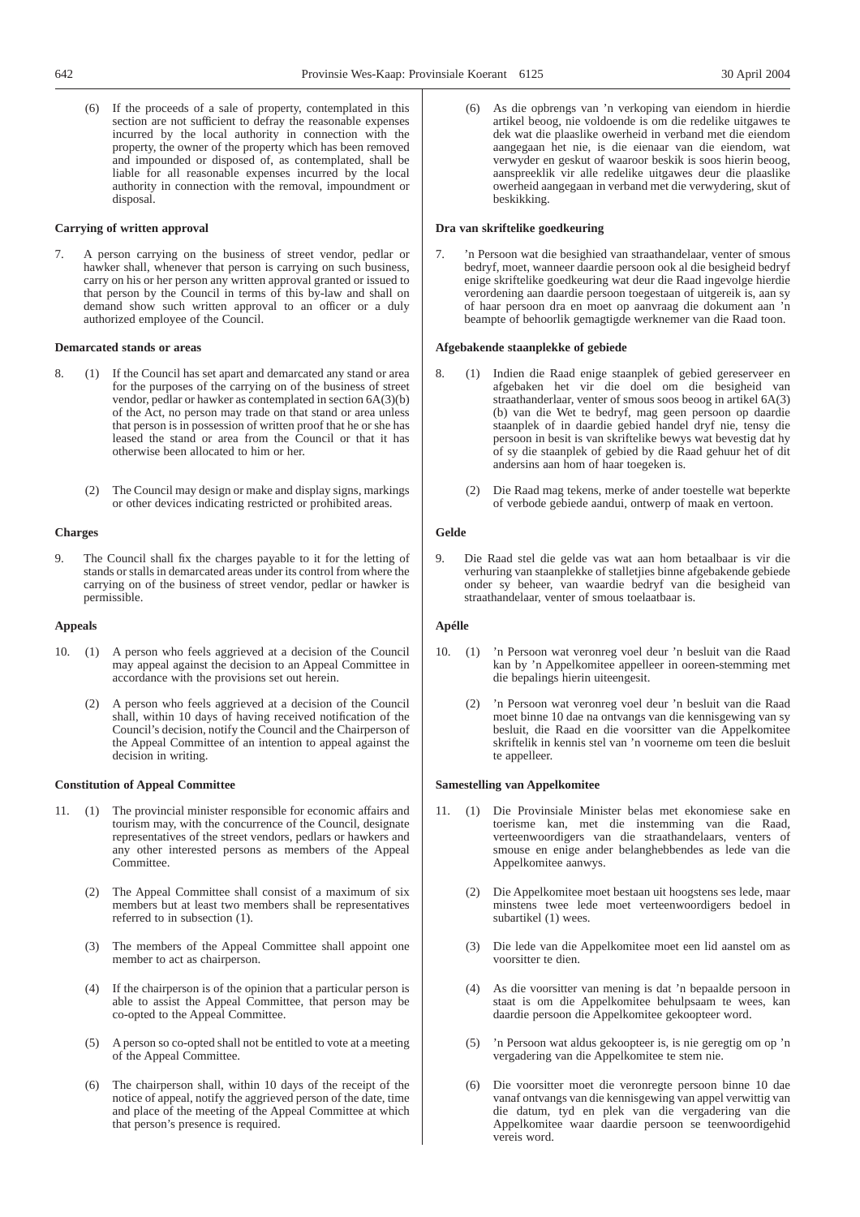(6) If the proceeds of a sale of property, contemplated in this section are not sufficient to defray the reasonable expenses incurred by the local authority in connection with the property, the owner of the property which has been removed and impounded or disposed of, as contemplated, shall be liable for all reasonable expenses incurred by the local authority in connection with the removal, impoundment or disposal.

## **Carrying of written approval**

7. A person carrying on the business of street vendor, pedlar or hawker shall, whenever that person is carrying on such business, carry on his or her person any written approval granted or issued to that person by the Council in terms of this by-law and shall on demand show such written approval to an officer or a duly authorized employee of the Council.

## **Demarcated stands or areas**

- 8. (1) If the Council has set apart and demarcated any stand or area for the purposes of the carrying on of the business of street vendor, pedlar or hawker as contemplated in section 6A(3)(b) of the Act, no person may trade on that stand or area unless that person is in possession of written proof that he or she has leased the stand or area from the Council or that it has otherwise been allocated to him or her.
	- (2) The Council may design or make and display signs, markings or other devices indicating restricted or prohibited areas.

## **Charges**

9. The Council shall fix the charges payable to it for the letting of stands or stalls in demarcated areas under its control from where the carrying on of the business of street vendor, pedlar or hawker is permissible.

## **Appeals**

- 10. (1) A person who feels aggrieved at a decision of the Council may appeal against the decision to an Appeal Committee in accordance with the provisions set out herein.
	- (2) A person who feels aggrieved at a decision of the Council shall, within 10 days of having received notification of the Council's decision, notify the Council and the Chairperson of the Appeal Committee of an intention to appeal against the decision in writing.

## **Constitution of Appeal Committee**

- 11. (1) The provincial minister responsible for economic affairs and tourism may, with the concurrence of the Council, designate representatives of the street vendors, pedlars or hawkers and any other interested persons as members of the Appeal Committee.
	- (2) The Appeal Committee shall consist of a maximum of six members but at least two members shall be representatives referred to in subsection (1).
	- (3) The members of the Appeal Committee shall appoint one member to act as chairperson.
	- (4) If the chairperson is of the opinion that a particular person is able to assist the Appeal Committee, that person may be co-opted to the Appeal Committee.
	- (5) A person so co-opted shall not be entitled to vote at a meeting of the Appeal Committee.
	- (6) The chairperson shall, within 10 days of the receipt of the notice of appeal, notify the aggrieved person of the date, time and place of the meeting of the Appeal Committee at which that person's presence is required.

(6) As die opbrengs van 'n verkoping van eiendom in hierdie artikel beoog, nie voldoende is om die redelike uitgawes te dek wat die plaaslike owerheid in verband met die eiendom aangegaan het nie, is die eienaar van die eiendom, wat verwyder en geskut of waaroor beskik is soos hierin beoog, aanspreeklik vir alle redelike uitgawes deur die plaaslike owerheid aangegaan in verband met die verwydering, skut of beskikking.

## **Dra van skriftelike goedkeuring**

7. 'n Persoon wat die besighied van straathandelaar, venter of smous bedryf, moet, wanneer daardie persoon ook al die besigheid bedryf enige skriftelike goedkeuring wat deur die Raad ingevolge hierdie verordening aan daardie persoon toegestaan of uitgereik is, aan sy of haar persoon dra en moet op aanvraag die dokument aan 'n beampte of behoorlik gemagtigde werknemer van die Raad toon.

## **Afgebakende staanplekke of gebiede**

- 8. (1) Indien die Raad enige staanplek of gebied gereserveer en afgebaken het vir die doel om die besigheid van straathanderlaar, venter of smous soos beoog in artikel 6A(3) (b) van die Wet te bedryf, mag geen persoon op daardie staanplek of in daardie gebied handel dryf nie, tensy die persoon in besit is van skriftelike bewys wat bevestig dat hy of sy die staanplek of gebied by die Raad gehuur het of dit andersins aan hom of haar toegeken is.
	- (2) Die Raad mag tekens, merke of ander toestelle wat beperkte of verbode gebiede aandui, ontwerp of maak en vertoon.

## **Gelde**

9. Die Raad stel die gelde vas wat aan hom betaalbaar is vir die verhuring van staanplekke of stalletjies binne afgebakende gebiede onder sy beheer, van waardie bedryf van die besigheid van straathandelaar, venter of smous toelaatbaar is.

## **Apélle**

- 10. (1) 'n Persoon wat veronreg voel deur 'n besluit van die Raad kan by 'n Appelkomitee appelleer in ooreen-stemming met die bepalings hierin uiteengesit.
	- (2) 'n Persoon wat veronreg voel deur 'n besluit van die Raad moet binne 10 dae na ontvangs van die kennisgewing van sy besluit, die Raad en die voorsitter van die Appelkomitee skriftelik in kennis stel van 'n voorneme om teen die besluit te appelleer.

## **Samestelling van Appelkomitee**

- 11. (1) Die Provinsiale Minister belas met ekonomiese sake en toerisme kan, met die instemming van die Raad, verteenwoordigers van die straathandelaars, venters of smouse en enige ander belanghebbendes as lede van die Appelkomitee aanwys.
	- (2) Die Appelkomitee moet bestaan uit hoogstens ses lede, maar minstens twee lede moet verteenwoordigers bedoel in subartikel (1) wees.
	- (3) Die lede van die Appelkomitee moet een lid aanstel om as voorsitter te dien.
	- (4) As die voorsitter van mening is dat 'n bepaalde persoon in staat is om die Appelkomitee behulpsaam te wees, kan daardie persoon die Appelkomitee gekoopteer word.
	- (5) 'n Persoon wat aldus gekoopteer is, is nie geregtig om op 'n vergadering van die Appelkomitee te stem nie.
	- (6) Die voorsitter moet die veronregte persoon binne 10 dae vanaf ontvangs van die kennisgewing van appel verwittig van die datum, tyd en plek van die vergadering van die Appelkomitee waar daardie persoon se teenwoordigehid vereis word.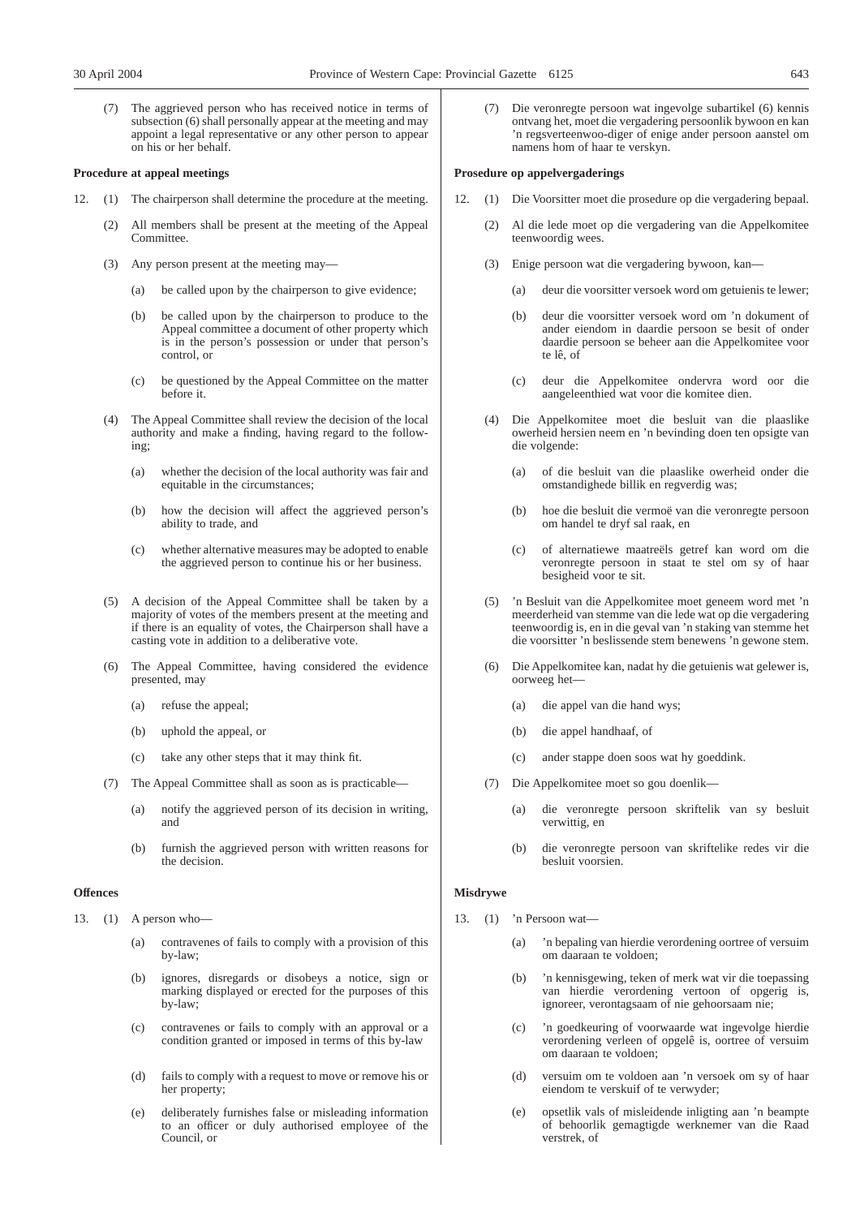(7) The aggrieved person who has received notice in terms of subsection (6) shall personally appear at the meeting and may appoint a legal representative or any other person to appear on his or her behalf.

## **Procedure at appeal meetings**

- 12. (1) The chairperson shall determine the procedure at the meeting.
	- (2) All members shall be present at the meeting of the Appeal Committee.
	- (3) Any person present at the meeting may—
		- (a) be called upon by the chairperson to give evidence;
		- (b) be called upon by the chairperson to produce to the Appeal committee a document of other property which is in the person's possession or under that person's control, or
		- (c) be questioned by the Appeal Committee on the matter before it.
	- (4) The Appeal Committee shall review the decision of the local authority and make a finding, having regard to the following;
		- (a) whether the decision of the local authority was fair and equitable in the circumstances;
		- (b) how the decision will affect the aggrieved person's ability to trade, and
		- (c) whether alternative measures may be adopted to enable the aggrieved person to continue his or her business.
	- (5) A decision of the Appeal Committee shall be taken by a majority of votes of the members present at the meeting and if there is an equality of votes, the Chairperson shall have a casting vote in addition to a deliberative vote.
	- (6) The Appeal Committee, having considered the evidence presented, may
		- (a) refuse the appeal;
		- (b) uphold the appeal, or
		- (c) take any other steps that it may think fit.
	- (7) The Appeal Committee shall as soon as is practicable—
		- (a) notify the aggrieved person of its decision in writing, and
		- (b) furnish the aggrieved person with written reasons for the decision.

## **Offences**

- 13. (1) A person who—
	- (a) contravenes of fails to comply with a provision of this by-law;
	- (b) ignores, disregards or disobeys a notice, sign or marking displayed or erected for the purposes of this by-law;
	- (c) contravenes or fails to comply with an approval or a condition granted or imposed in terms of this by-law
	- (d) fails to comply with a request to move or remove his or her property;
	- (e) deliberately furnishes false or misleading information to an officer or duly authorised employee of the Council, or

(7) Die veronregte persoon wat ingevolge subartikel (6) kennis ontvang het, moet die vergadering persoonlik bywoon en kan 'n regsverteenwoo-diger of enige ander persoon aanstel om namens hom of haar te verskyn.

## **Prosedure op appelvergaderings**

- 12. (1) Die Voorsitter moet die prosedure op die vergadering bepaal.
	- (2) Al die lede moet op die vergadering van die Appelkomitee teenwoordig wees.
	- (3) Enige persoon wat die vergadering bywoon, kan—
		- (a) deur die voorsitter versoek word om getuienis te lewer;
		- (b) deur die voorsitter versoek word om 'n dokument of ander eiendom in daardie persoon se besit of onder daardie persoon se beheer aan die Appelkomitee voor te lê, of
		- (c) deur die Appelkomitee ondervra word oor die aangeleenthied wat voor die komitee dien.
	- (4) Die Appelkomitee moet die besluit van die plaaslike owerheid hersien neem en 'n bevinding doen ten opsigte van die volgende:
		- (a) of die besluit van die plaaslike owerheid onder die omstandighede billik en regverdig was;
		- (b) hoe die besluit die vermoë van die veronregte persoon om handel te dryf sal raak, en
		- (c) of alternatiewe maatreëls getref kan word om die veronregte persoon in staat te stel om sy of haar besigheid voor te sit.
	- (5) 'n Besluit van die Appelkomitee moet geneem word met 'n meerderheid van stemme van die lede wat op die vergadering teenwoordig is, en in die geval van 'n staking van stemme het die voorsitter 'n beslissende stem benewens 'n gewone stem.
	- (6) Die Appelkomitee kan, nadat hy die getuienis wat gelewer is, oorweeg het—
		- (a) die appel van die hand wys;
		- (b) die appel handhaaf, of
		- (c) ander stappe doen soos wat hy goeddink.
	- (7) Die Appelkomitee moet so gou doenlik—
		- (a) die veronregte persoon skriftelik van sy besluit verwittig, en
		- (b) die veronregte persoon van skriftelike redes vir die besluit voorsien.

## **Misdrywe**

- 13. (1) 'n Persoon wat—
	- (a) 'n bepaling van hierdie verordening oortree of versuim om daaraan te voldoen;
	- (b) 'n kennisgewing, teken of merk wat vir die toepassing van hierdie verordening vertoon of opgerig is, ignoreer, verontagsaam of nie gehoorsaam nie;
	- (c) 'n goedkeuring of voorwaarde wat ingevolge hierdie verordening verleen of opgelê is, oortree of versuim om daaraan te voldoen;
	- (d) versuim om te voldoen aan 'n versoek om sy of haar eiendom te verskuif of te verwyder;
	- (e) opsetlik vals of misleidende inligting aan 'n beampte of behoorlik gemagtigde werknemer van die Raad verstrek, of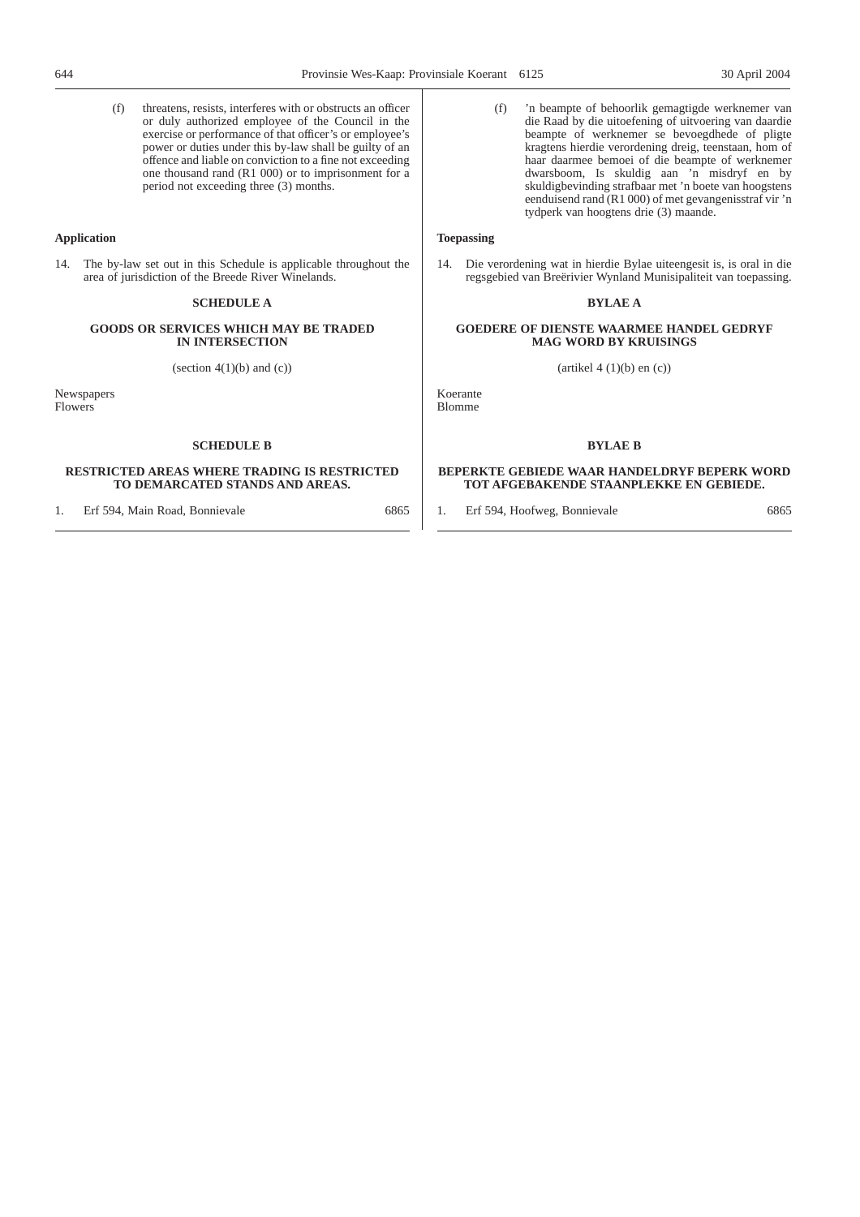(f) threatens, resists, interferes with or obstructs an officer or duly authorized employee of the Council in the exercise or performance of that officer's or employee's power or duties under this by-law shall be guilty of an offence and liable on conviction to a fine not exceeding one thousand rand (R1 000) or to imprisonment for a period not exceeding three (3) months.

## **Application**

14. The by-law set out in this Schedule is applicable throughout the area of jurisdiction of the Breede River Winelands.

## **SCHEDULE A**

## **GOODS OR SERVICES WHICH MAY BE TRADED IN INTERSECTION**

(section  $4(1)(b)$  and  $(c)$ )

**Newspapers** Flowers

## **SCHEDULE B**

## **RESTRICTED AREAS WHERE TRADING IS RESTRICTED TO DEMARCATED STANDS AND AREAS.**

1. Erf 594, Main Road, Bonnievale 6865

(f) 'n beampte of behoorlik gemagtigde werknemer van die Raad by die uitoefening of uitvoering van daardie beampte of werknemer se bevoegdhede of pligte kragtens hierdie verordening dreig, teenstaan, hom of haar daarmee bemoei of die beampte of werknemer dwarsboom, Is skuldig aan 'n misdryf en by skuldigbevinding strafbaar met 'n boete van hoogstens eenduisend rand (R1 000) of met gevangenisstraf vir 'n tydperk van hoogtens drie (3) maande.

## **Toepassing**

14. Die verordening wat in hierdie Bylae uiteengesit is, is oral in die regsgebied van Breërivier Wynland Munisipaliteit van toepassing.

## **BYLAE A**

## **GOEDERE OF DIENSTE WAARMEE HANDEL GEDRYF MAG WORD BY KRUISINGS**

 $(\text{artikel } 4 (1)(b) \text{ en } (c))$ 

Koerante Blomme

## **BYLAE B**

## **BEPERKTE GEBIEDE WAAR HANDELDRYF BEPERK WORD TOT AFGEBAKENDE STAANPLEKKE EN GEBIEDE.**

1. Erf 594, Hoofweg, Bonnievale 6865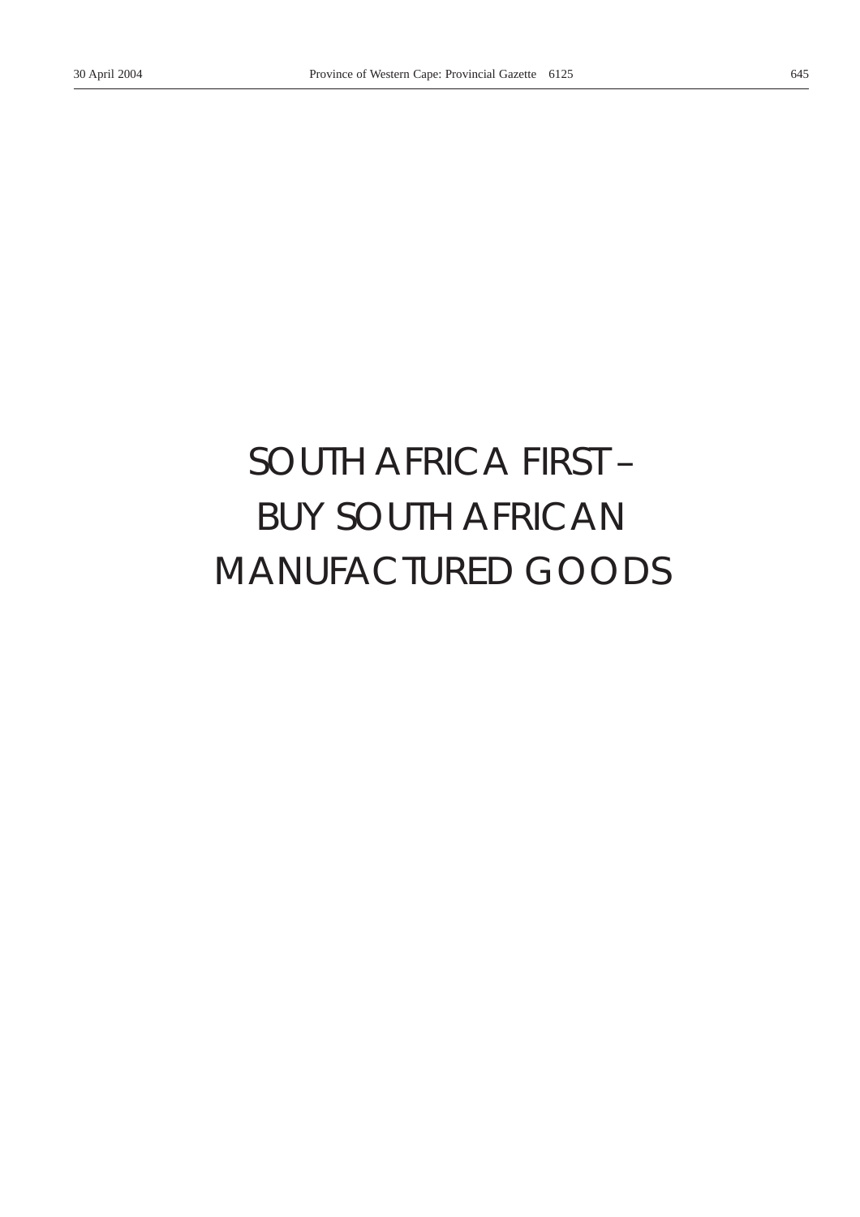# *SOUTH AFRICA FIRST –* BUY SOUTH AFRICAN MANUFACTURED GOODS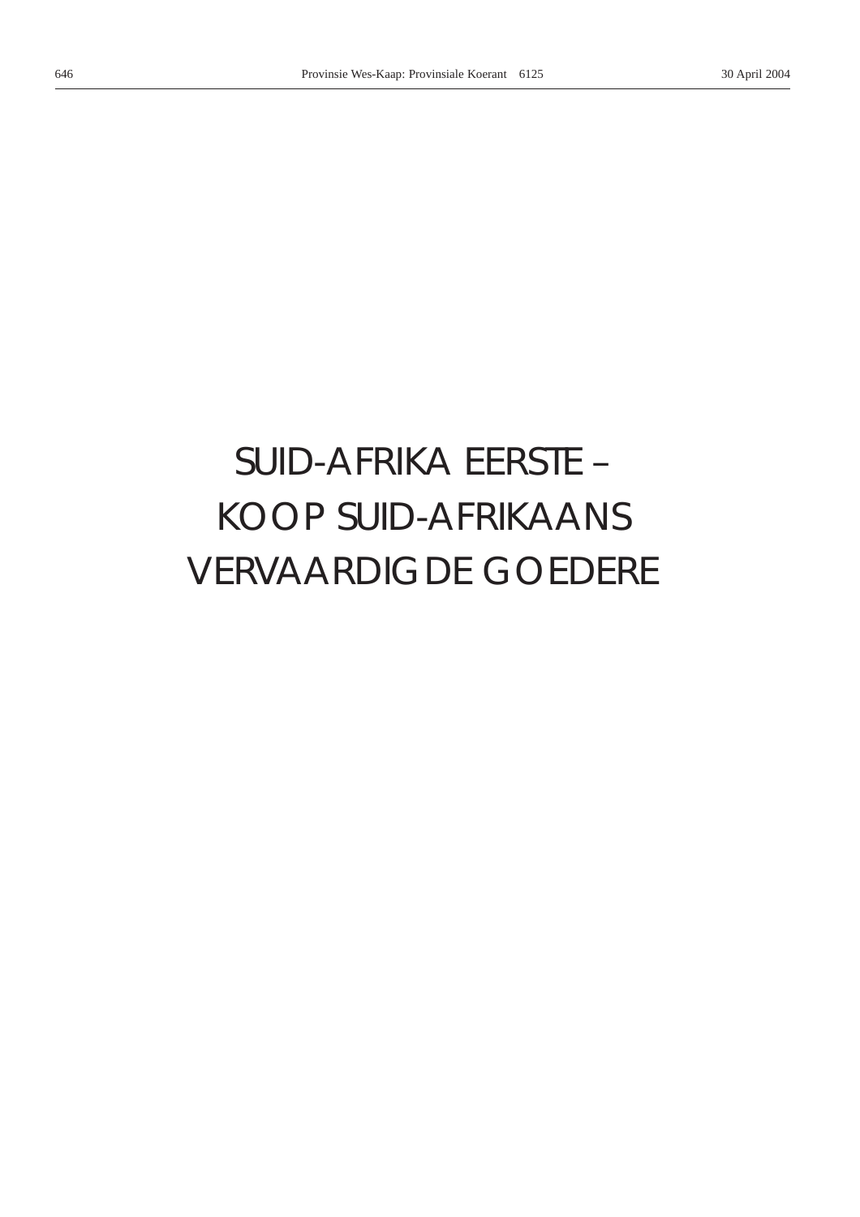# *SUID-AFRIKA EERSTE –* KOOP SUID-AFRIKAANS VERVAARDIGDE GOEDERE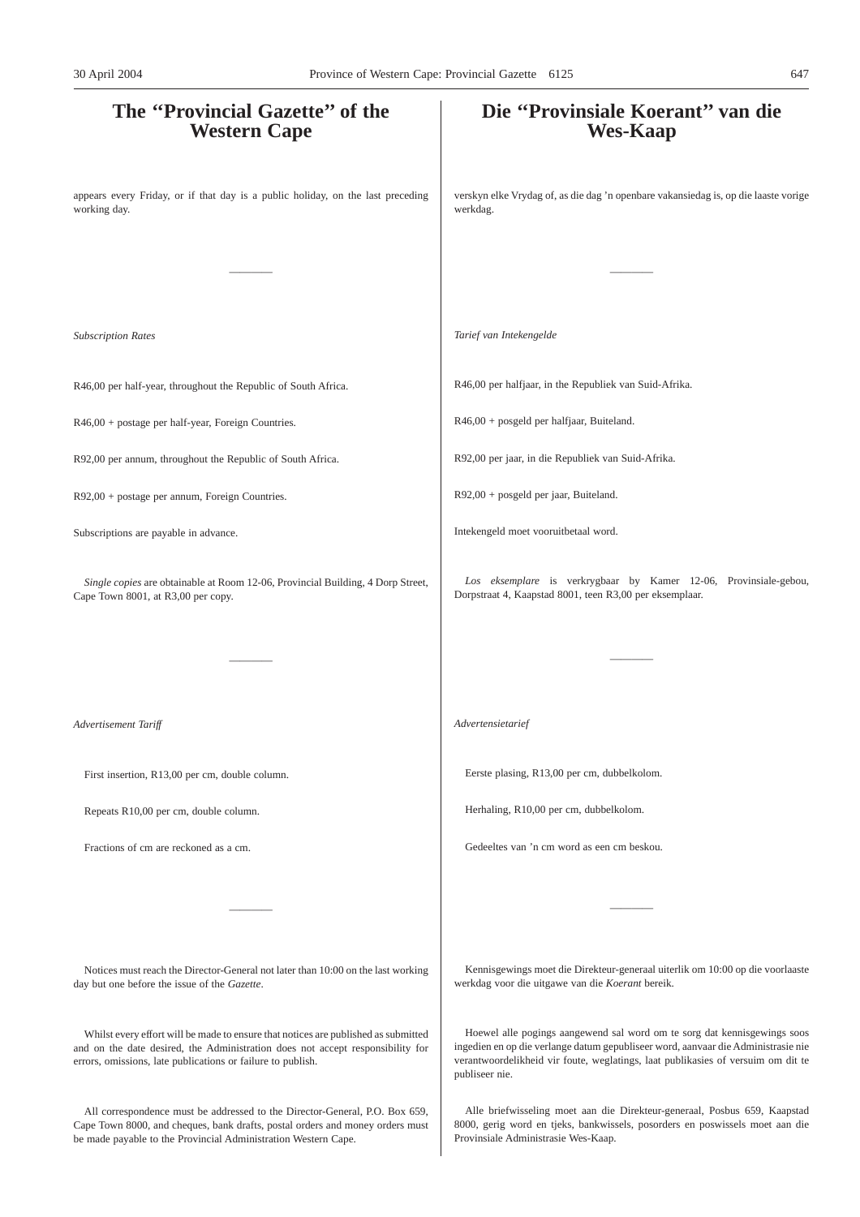# **The ''Provincial Gazette'' of the Western Cape** appears every Friday, or if that day is a public holiday, on the last preceding working day. ———— *Subscription Rates* R46,00 per half-year, throughout the Republic of South Africa. R46,00 + postage per half-year, Foreign Countries. R92,00 per annum, throughout the Republic of South Africa. R92,00 + postage per annum, Foreign Countries. Subscriptions are payable in advance. *Single copies* are obtainable at Room 12-06, Provincial Building, 4 Dorp Street, Cape Town 8001, at R3,00 per copy. ———— *Advertisement Tariff* First insertion, R13,00 per cm, double column. Repeats R10,00 per cm, double column. Fractions of cm are reckoned as a cm. ———— Notices must reach the Director-General not later than 10:00 on the last working day but one before the issue of the *Gazette*. Whilst every effort will be made to ensure that notices are published as submitted **Die ''Provinsiale Koerant'' van die Wes-Kaap** verskyn elke Vrydag of, as die dag 'n openbare vakansiedag is, op die laaste vorige werkdag. ———— *Tarief van Intekengelde* R46,00 per halfjaar, in the Republiek van Suid-Afrika. R46,00 + posgeld per halfjaar, Buiteland. R92,00 per jaar, in die Republiek van Suid-Afrika. R92,00 + posgeld per jaar, Buiteland. Intekengeld moet vooruitbetaal word. *Los eksemplare* is verkrygbaar by Kamer 12-06, Provinsiale-gebou, Dorpstraat 4, Kaapstad 8001, teen R3,00 per eksemplaar. ———— *Advertensietarief* Eerste plasing, R13,00 per cm, dubbelkolom. Herhaling, R10,00 per cm, dubbelkolom. Gedeeltes van 'n cm word as een cm beskou. ———— Kennisgewings moet die Direkteur-generaal uiterlik om 10:00 op die voorlaaste werkdag voor die uitgawe van die *Koerant* bereik. Hoewel alle pogings aangewend sal word om te sorg dat kennisgewings soos 30 April 2004 Province of Western Cape: Provincial Gazette 6125 647

publiseer nie.

and on the date desired, the Administration does not accept responsibility for errors, omissions, late publications or failure to publish.

All correspondence must be addressed to the Director-General, P.O. Box 659, Cape Town 8000, and cheques, bank drafts, postal orders and money orders must be made payable to the Provincial Administration Western Cape.

Alle briefwisseling moet aan die Direkteur-generaal, Posbus 659, Kaapstad 8000, gerig word en tjeks, bankwissels, posorders en poswissels moet aan die Provinsiale Administrasie Wes-Kaap.

ingedien en op die verlange datum gepubliseer word, aanvaar die Administrasie nie verantwoordelikheid vir foute, weglatings, laat publikasies of versuim om dit te